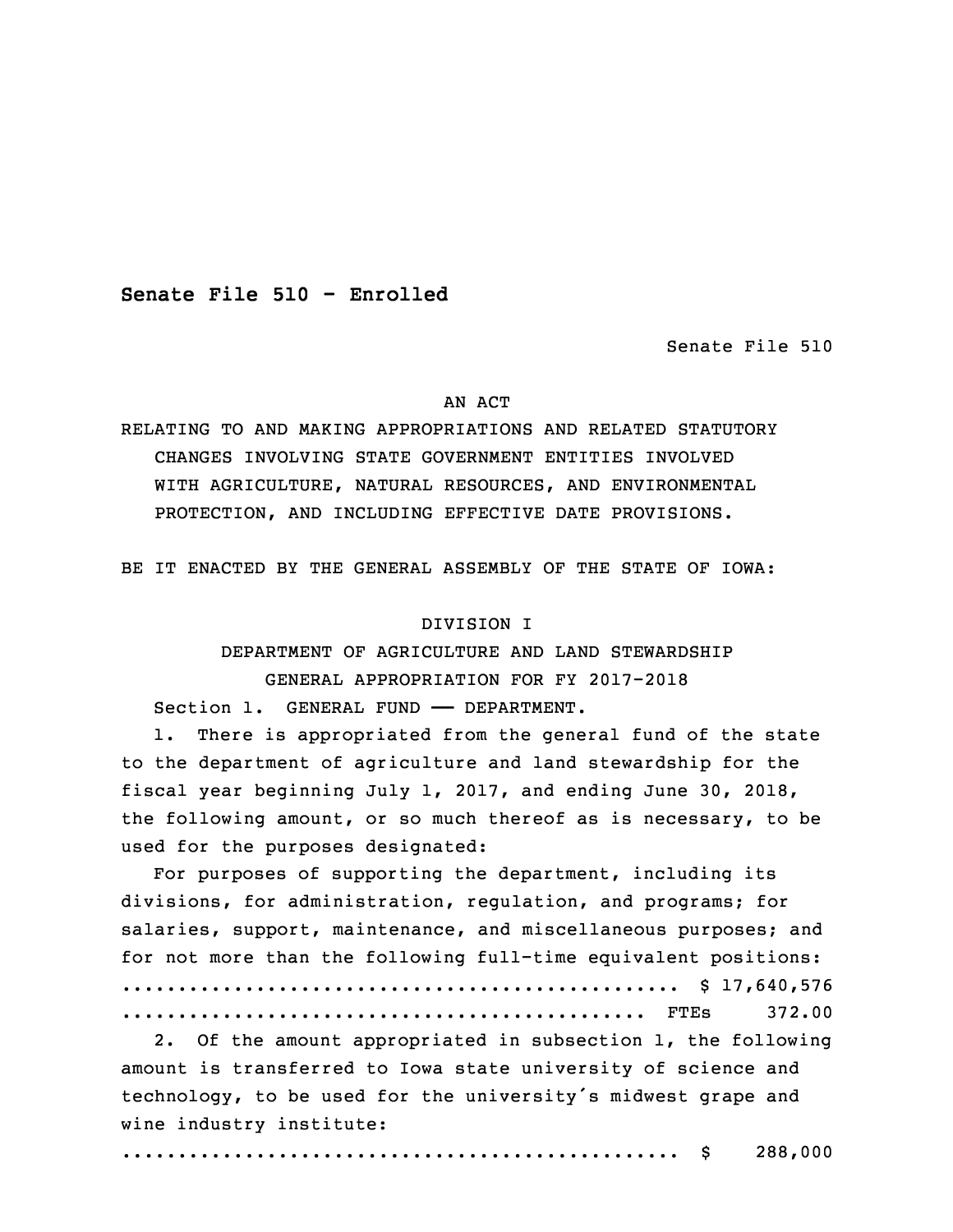**Senate File 510 - Enrolled**

Senate File 510

#### AN ACT

RELATING TO AND MAKING APPROPRIATIONS AND RELATED STATUTORY CHANGES INVOLVING STATE GOVERNMENT ENTITIES INVOLVED WITH AGRICULTURE, NATURAL RESOURCES, AND ENVIRONMENTAL PROTECTION, AND INCLUDING EFFECTIVE DATE PROVISIONS.

BE IT ENACTED BY THE GENERAL ASSEMBLY OF THE STATE OF IOWA:

# DIVISION I

 DEPARTMENT OF AGRICULTURE AND LAND STEWARDSHIP 3 GENERAL APPROPRIATION FOR FY 2017-2018 Section 1. GENERAL FUND - DEPARTMENT.

1. There is appropriated from the general fund of the state to the department of agriculture and land stewardship for the fiscal year beginning July 1, 2017, and ending June 30, 2018, the following amount, or so much thereof as is necessary, to be used for the purposes designated:

For purposes of supporting the department, including its divisions, for administration, regulation, and programs; for salaries, support, maintenance, and miscellaneous purposes; and for not more than the following full-time equivalent positions: .................................................. \$ 17,640,576 15 ............................................... FTEs 372.00

2. Of the amount appropriated in subsection 1, the following amount is transferred to Iowa state university of science and technology, to be used for the university's midwest grape and wine industry institute:

20 .................................................. \$ 288,000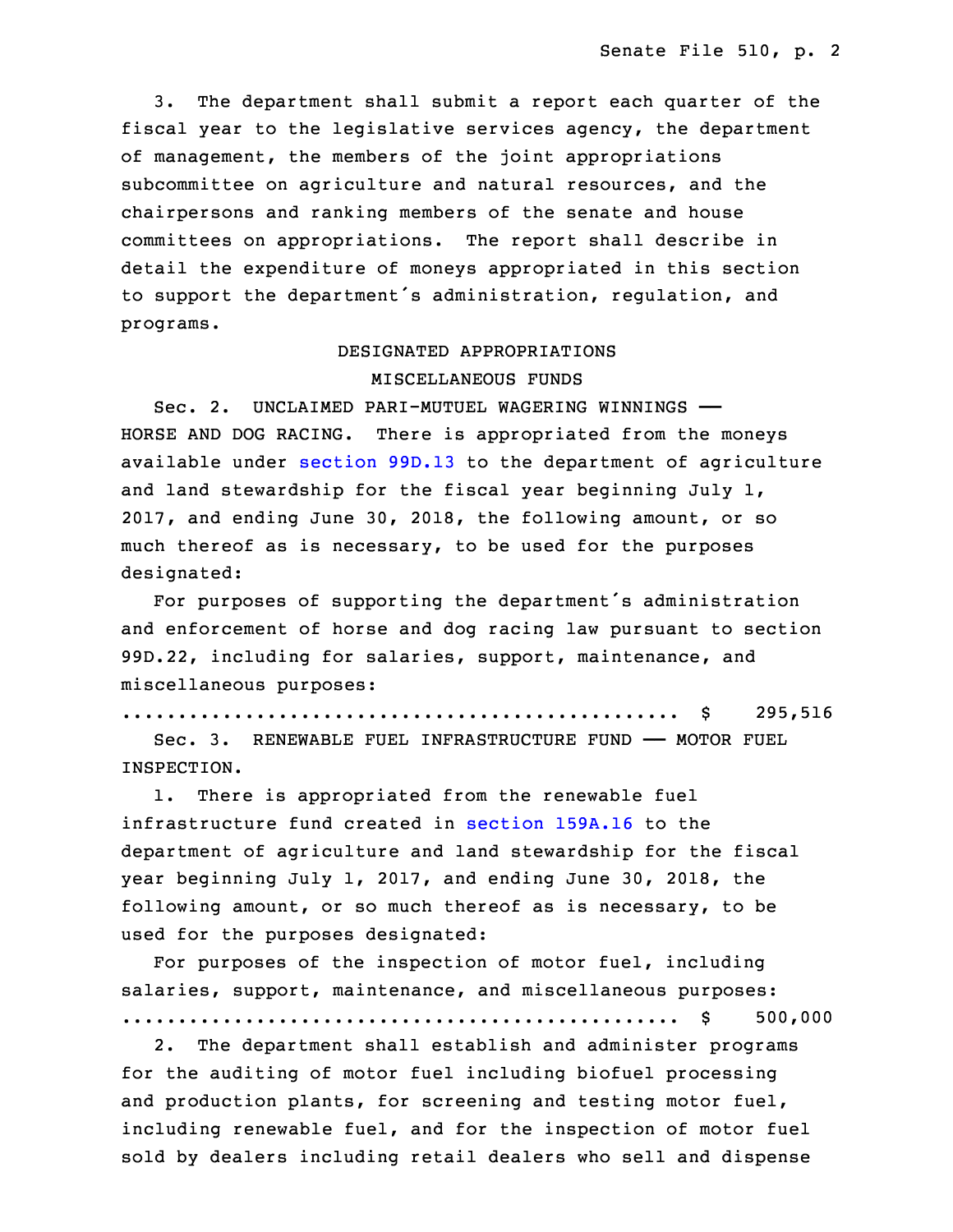3. The department shall submit <sup>a</sup> report each quarter of the fiscal year to the legislative services agency, the department of management, the members of the joint appropriations subcommittee on agriculture and natural resources, and the chairpersons and ranking members of the senate and house committees on appropriations. The report shall describe in detail the expenditure of moneys appropriated in this section to support the department's administration, requlation, and programs.

# 30 DESIGNATED APPROPRIATIONS MISCELLANEOUS FUNDS

32 Sec. 2. UNCLAIMED PARI-MUTUEL WAGERING WINNINGS —— HORSE AND DOG RACING. There is appropriated from the moneys available under [section](https://www.legis.iowa.gov/docs/code/2017/99D.13.pdf) 99D.13 to the department of agriculture and land stewardship for the fiscal year beginning July  $1$ , 2017, and ending June 30, 2018, the following amount, or so much thereof as is necessary, to be used for the purposes designated:

 For purposes of supporting the department's administration and enforcement of horse and dog racing law pursuant to section 99D.22, including for salaries, support, maintenance, and miscellaneous purposes:

8 .................................................. \$ 295,516

9 Sec. 3. RENEWABLE FUEL INFRASTRUCTURE FUND —— MOTOR FUEL INSPECTION.

 1. There is appropriated from the renewable fuel infrastructure fund created in [section](https://www.legis.iowa.gov/docs/code/2017/159A.16.pdf) 159A.16 to the department of agriculture and land stewardship for the fiscal year beginning July 1, 2017, and ending June 30, 2018, the following amount, or so much thereof as is necessary, to be used for the purposes designated:

For purposes of the inspection of motor fuel, including salaries, support, maintenance, and miscellaneous purposes: 19 .................................................. \$ 500,000

2. The department shall establish and administer programs for the auditing of motor fuel including biofuel processing and production plants, for screening and testing motor fuel, including renewable fuel, and for the inspection of motor fuel sold by dealers including retail dealers who sell and dispense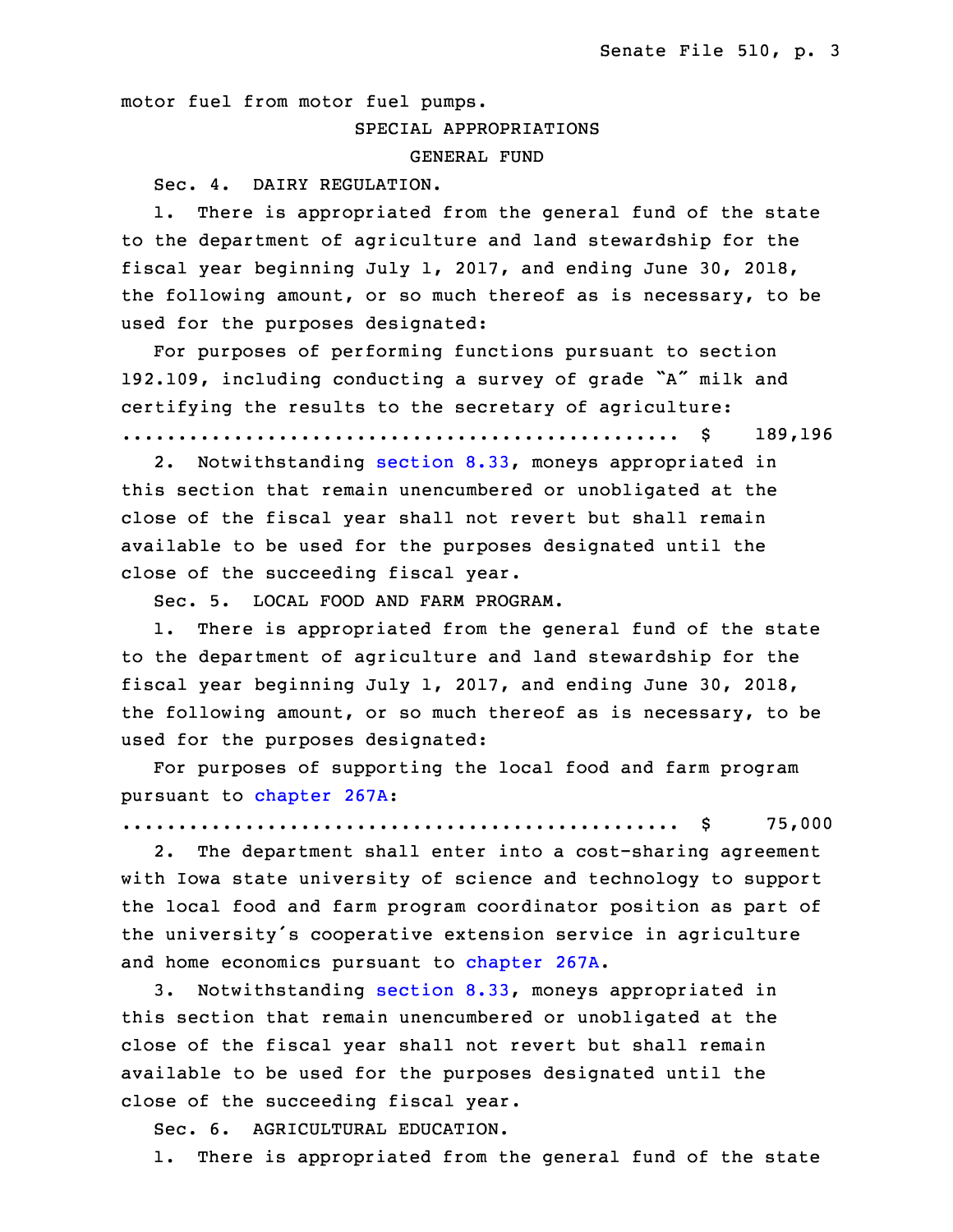motor fuel from motor fuel pumps.

# SPECIAL APPROPRIATIONS

GENERAL FUND

Sec. 4. DAIRY REGULATION.

1. There is appropriated from the general fund of the state to the department of agriculture and land stewardship for the fiscal year beginning July 1, 2017, and ending June 30, 2018, the following amount, or so much thereof as is necessary, to be used for the purposes designated:

For purposes of performing functions pursuant to section 192.109, including conducting a survey of grade "A" milk and certifying the results to the secretary of agriculture:

.................................................. \$ 189,196

2. Notwithstanding [section](https://www.legis.iowa.gov/docs/code/2017/8.33.pdf) 8.33, moneys appropriated in this section that remain unencumbered or unobligated at the close of the fiscal year shall not revert but shall remain available to be used for the purposes designated until the close of the succeeding fiscal year.

8 Sec. 5. LOCAL FOOD AND FARM PROGRAM.

1. There is appropriated from the general fund of the state to the department of agriculture and land stewardship for the fiscal year beginning July 1, 2017, and ending June 30, 2018, the following amount, or so much thereof as is necessary, to be used for the purposes designated:

 For purposes of supporting the local food and farm program pursuant to [chapter](https://www.legis.iowa.gov/docs/code/2017/267A.pdf) 267A:

16 .................................................. \$ 75,000

2. The department shall enter into a cost-sharing agreement with Iowa state university of science and technology to support the local food and farm program coordinator position as part of the university's cooperative extension service in agriculture and home economics pursuant to [chapter](https://www.legis.iowa.gov/docs/code/2017/267A.pdf) 267A.

 3. Notwithstanding [section](https://www.legis.iowa.gov/docs/code/2017/8.33.pdf) 8.33, moneys appropriated in this section that remain unencumbered or unobligated at the close of the fiscal year shall not revert but shall remain available to be used for the purposes designated until the close of the succeeding fiscal year.

Sec. 6. AGRICULTURAL EDUCATION.

1. There is appropriated from the general fund of the state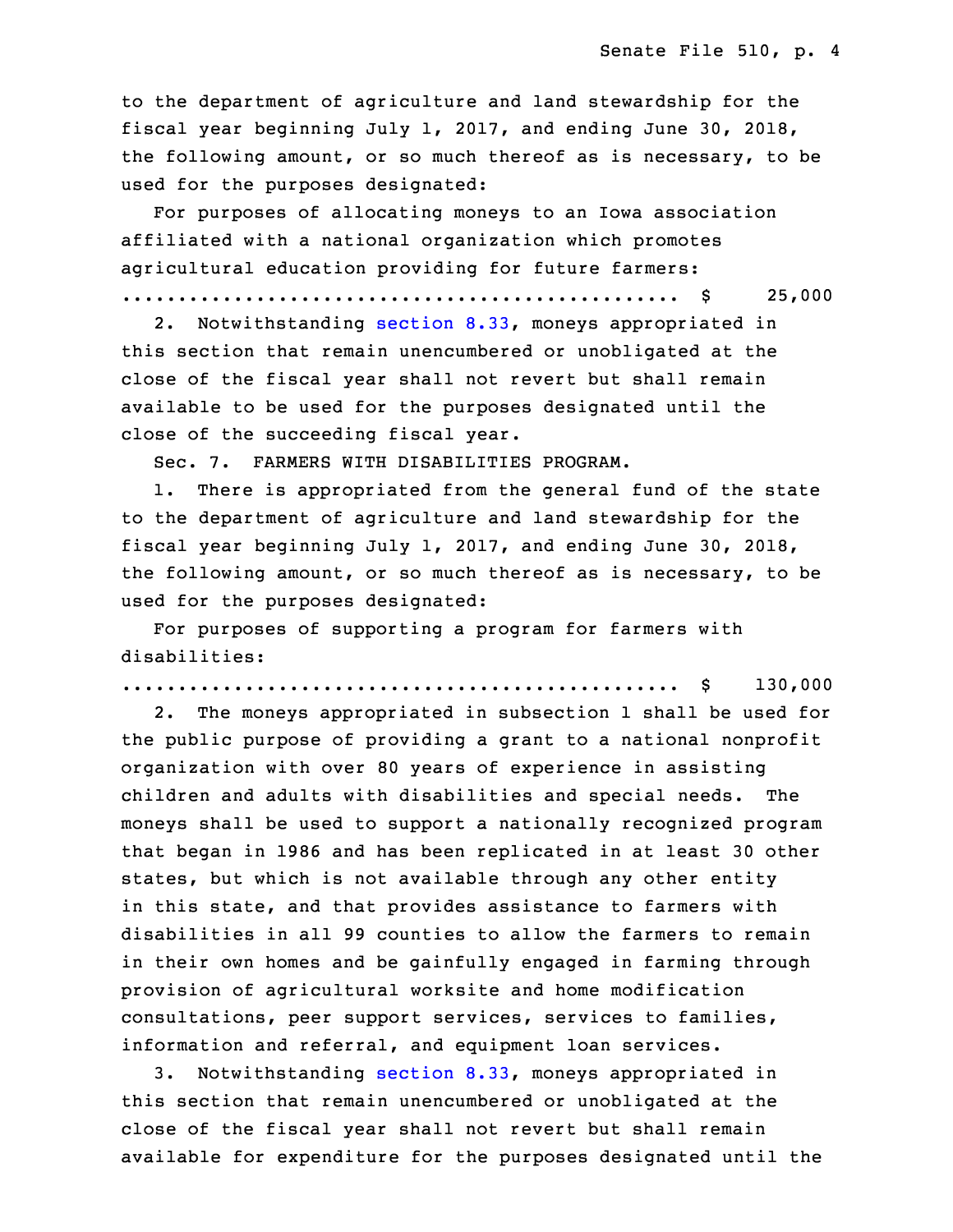to the department of agriculture and land stewardship for the fiscal year beginning July 1, 2017, and ending June 30, 2018, the following amount, or so much thereof as is necessary, to be used for the purposes designated:

For purposes of allocating moneys to an Iowa association affiliated with a national organization which promotes agricultural education providing for future farmers:

.................................................. \$ 25,000

 2. Notwithstanding [section](https://www.legis.iowa.gov/docs/code/2017/8.33.pdf) 8.33, moneys appropriated in this section that remain unencumbered or unobligated at the close of the fiscal year shall not revert but shall remain available to be used for the purposes designated until the close of the succeeding fiscal year.

Sec. 7. FARMERS WITH DISABILITIES PROGRAM.

1. There is appropriated from the general fund of the state 9 to the department of agriculture and land stewardship for the fiscal year beginning July 1, 2017, and ending June 30, 2018, the following amount, or so much thereof as is necessary, to be used for the purposes designated:

For purposes of supporting a program for farmers with disabilities:

15 .................................................. \$ 130,000

2. The moneys appropriated in subsection 1 shall be used for the public purpose of providing a grant to a national nonprofit organization with over 80 years of experience in assisting children and adults with disabilities and special needs. The moneys shall be used to support a nationally recognized program that began in 1986 and has been replicated in at least 30 other states, but which is not available through any other entity in this state, and that provides assistance to farmers with disabilities in all 99 counties to allow the farmers to remain in their own homes and be gainfully engaged in farming through provision of agricultural worksite and home modification consultations, peer support services, services to families, information and referral, and equipment loan services.

3. Notwithstanding [section](https://www.legis.iowa.gov/docs/code/2017/8.33.pdf) 8.33, moneys appropriated in this section that remain unencumbered or unobligated at the close of the fiscal year shall not revert but shall remain available for expenditure for the purposes designated until the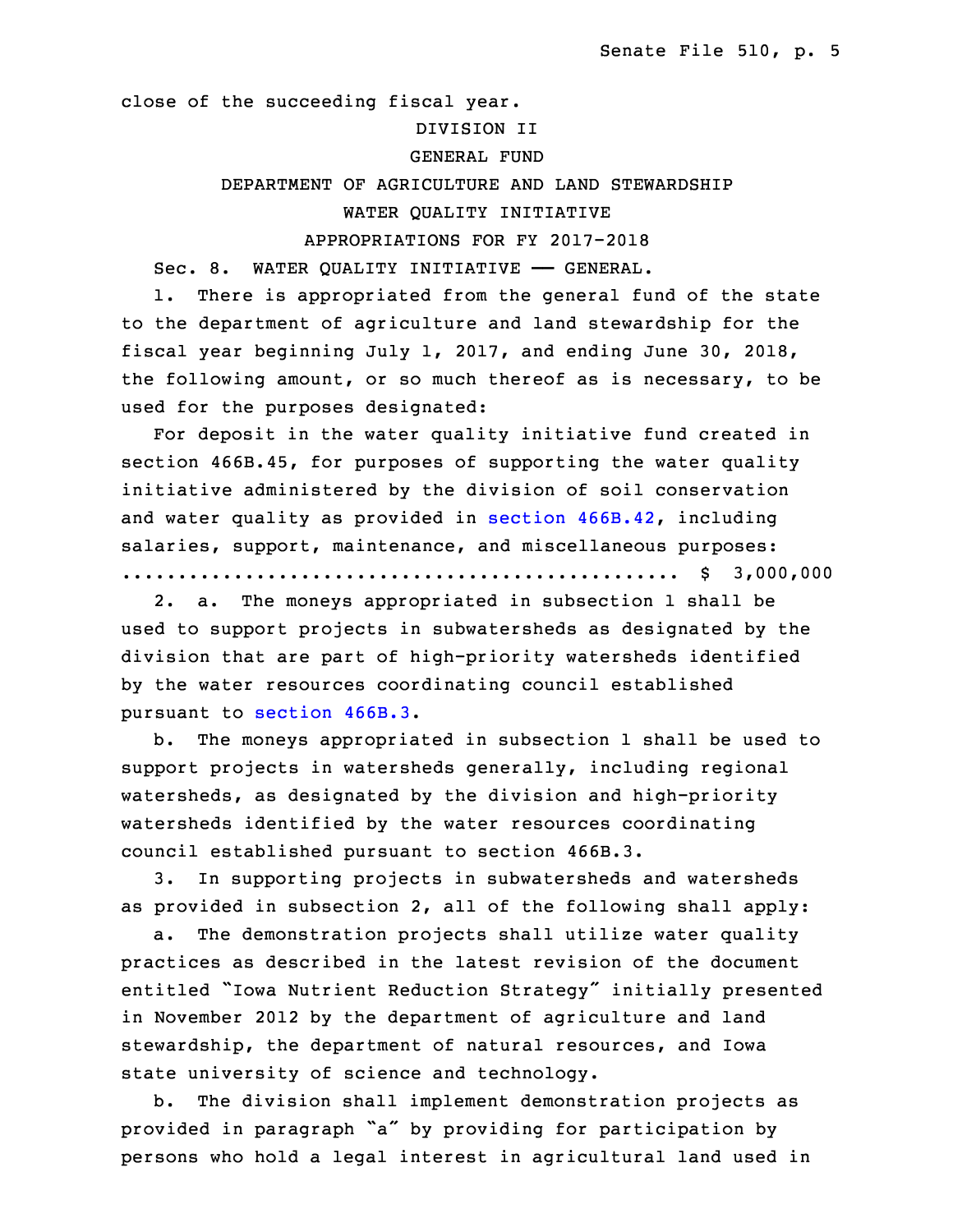close of the succeeding fiscal year.

# 34 DIVISION II

# GENERAL FUND

# DEPARTMENT OF AGRICULTURE AND LAND STEWARDSHIP WATER QUALITY INITIATIVE

## 3 APPROPRIATIONS FOR FY 2017-2018

Sec. 8. WATER QUALITY INITIATIVE - GENERAL.

1. There is appropriated from the general fund of the state to the department of agriculture and land stewardship for the fiscal year beginning July 1, 2017, and ending June 30, 2018, the following amount, or so much thereof as is necessary, to be used for the purposes designated:

For deposit in the water quality initiative fund created in section 466B.45, for purposes of supporting the water quality initiative administered by the division of soil conservation and water quality as provided in section [466B.42](https://www.legis.iowa.gov/docs/code/2017/466B.42.pdf), including salaries, support, maintenance, and miscellaneous purposes: 15 .................................................. \$ 3,000,000

2. a. The moneys appropriated in subsection 1 shall be used to support projects in subwatersheds as designated by the division that are part of high-priority watersheds identified by the water resources coordinating council established pursuant to [section](https://www.legis.iowa.gov/docs/code/2017/466B.3.pdf) 466B.3.

 b. The moneys appropriated in subsection 1 shall be used to support projects in watersheds generally, including regional watersheds, as designated by the division and high-priority watersheds identified by the water resources coordinating council established pursuant to section 466B.3.

3. In supporting projects in subwatersheds and watersheds as provided in subsection 2, all of the following shall apply:

a. The demonstration projects shall utilize water quality practices as described in the latest revision of the document entitled "Iowa Nutrient Reduction Strategy" initially presented in November 2012 by the department of agriculture and land stewardship, the department of natural resources, and Iowa state university of science and technology.

b. The division shall implement demonstration projects as provided in paragraph "a" by providing for participation by persons who hold <sup>a</sup> legal interest in agricultural land used in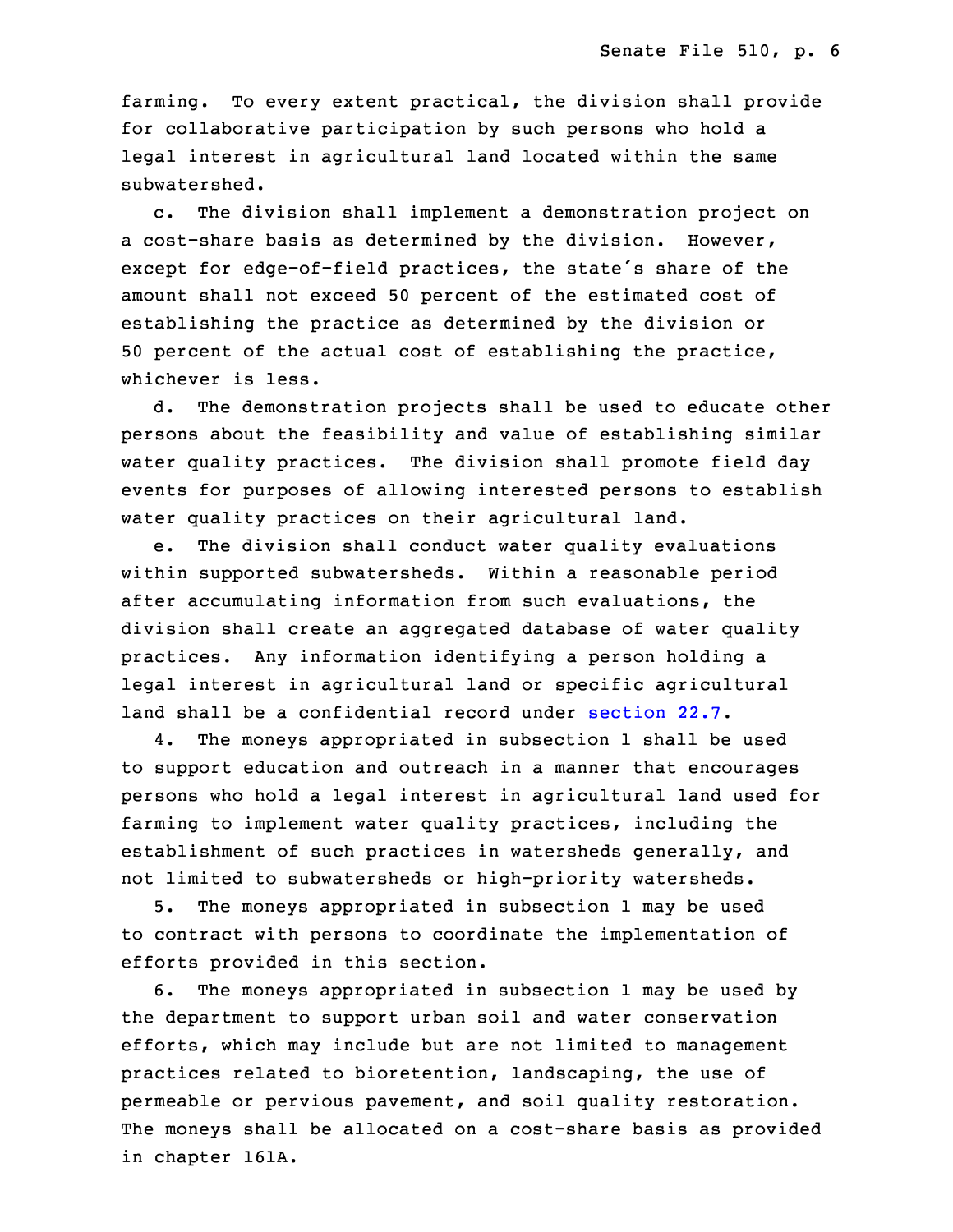farming. To every extent practical, the division shall provide for collaborative participation by such persons who hold a legal interest in agricultural land located within the same 5 subwatershed.

c. The division shall implement a demonstration project on a cost-share basis as determined by the division. However, except for edge-of-field practices, the state's share of the amount shall not exceed 50 percent of the estimated cost of establishing the practice as determined by the division or 50 percent of the actual cost of establishing the practice, whichever is less.

d. The demonstration projects shall be used to educate other persons about the feasibility and value of establishing similar water quality practices. The division shall promote field day events for purposes of allowing interested persons to establish water quality practices on their agricultural land.

e. The division shall conduct water quality evaluations within supported subwatersheds. Within a reasonable period after accumulating information from such evaluations, the division shall create an aggregated database of water quality practices. Any information identifying <sup>a</sup> person holding <sup>a</sup> legal interest in agricultural land or specific agricultural land shall be <sup>a</sup> confidential record under [section](https://www.legis.iowa.gov/docs/code/2017/22.7.pdf) 22.7.

4. The moneys appropriated in subsection 1 shall be used to support education and outreach in a manner that encourages persons who hold a legal interest in agricultural land used for farming to implement water quality practices, including the establishment of such practices in watersheds generally, and not limited to subwatersheds or high-priority watersheds.

5. The moneys appropriated in subsection 1 may be used to contract with persons to coordinate the implementation of efforts provided in this section.

6. The moneys appropriated in subsection 1 may be used by the department to support urban soil and water conservation efforts, which may include but are not limited to management practices related to bioretention, landscaping, the use of permeable or pervious pavement, and soil quality restoration. The moneys shall be allocated on <sup>a</sup> cost-share basis as provided in chapter 161A.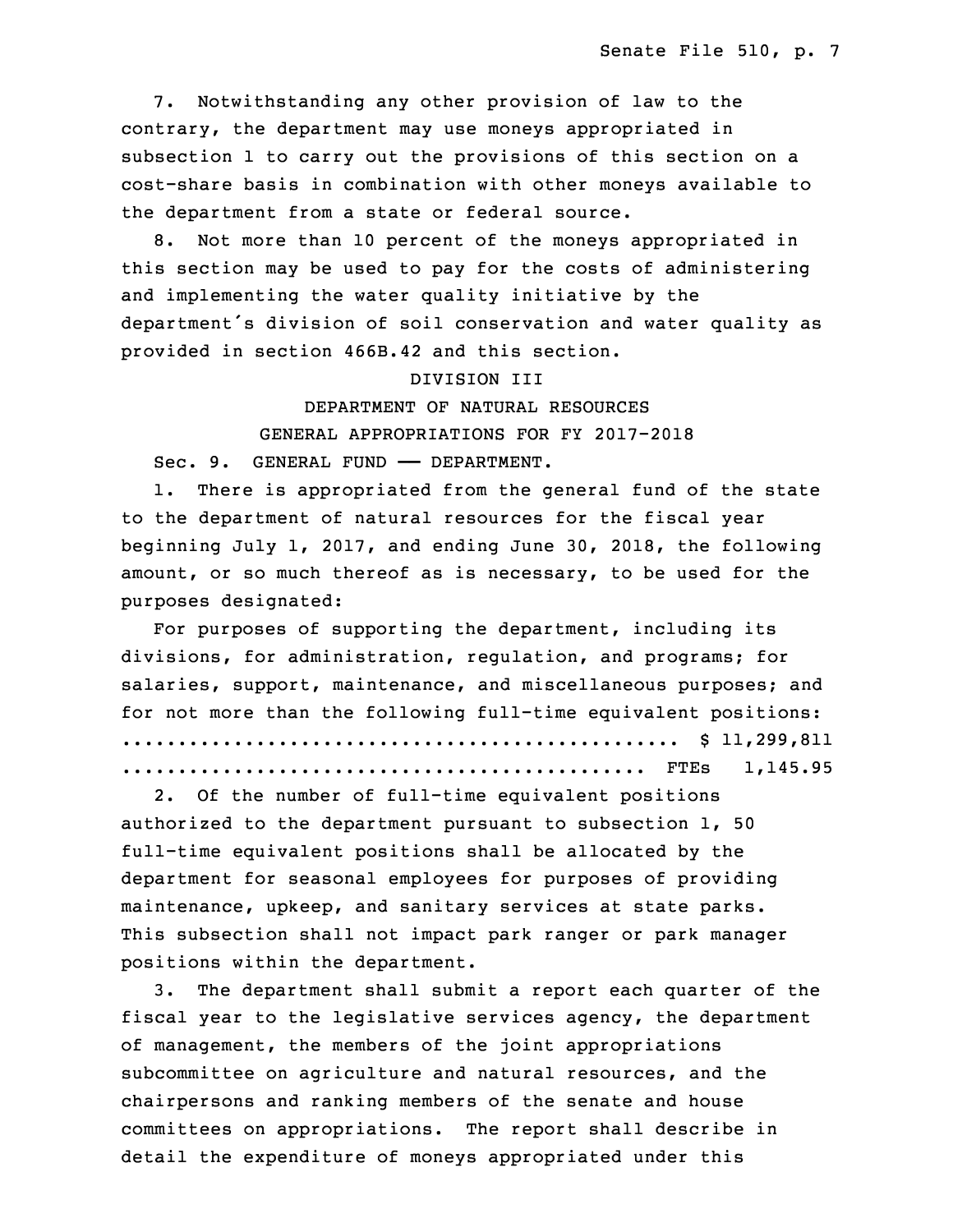7. Notwithstanding any other provision of law to the contrary, the department may use moneys appropriated in subsection 1 to carry out the provisions of this section on a 9 cost-share basis in combination with other moneys available to the department from a state or federal source.

 8. Not more than 10 percent of the moneys appropriated in this section may be used to pay for the costs of administering and implementing the water quality initiative by the department's division of soil conservation and water quality as provided in section 466B.42 and this section.

## 16 DIVISION III

DEPARTMENT OF NATURAL RESOURCES

18 GENERAL APPROPRIATIONS FOR FY 2017-2018

Sec. 9. GENERAL FUND - DEPARTMENT.

1. There is appropriated from the general fund of the state to the department of natural resources for the fiscal year beginning July 1, 2017, and ending June 30, 2018, the following amount, or so much thereof as is necessary, to be used for the purposes designated:

For purposes of supporting the department, including its divisions, for administration, regulation, and programs; for salaries, support, maintenance, and miscellaneous purposes; and for not more than the following full-time equivalent positions: 29 .................................................. \$ 11,299,811 30 ............................................... FTEs 1,145.95

2. Of the number of full-time equivalent positions authorized to the department pursuant to subsection  $1$ , 50 full-time equivalent positions shall be allocated by the department for seasonal employees for purposes of providing maintenance, upkeep, and sanitary services at state parks. This subsection shall not impact park ranger or park manager positions within the department.

3. The department shall submit a report each quarter of the fiscal year to the legislative services agency, the department of management, the members of the joint appropriations subcommittee on agriculture and natural resources, and the chairpersons and ranking members of the senate and house committees on appropriations. The report shall describe in detail the expenditure of moneys appropriated under this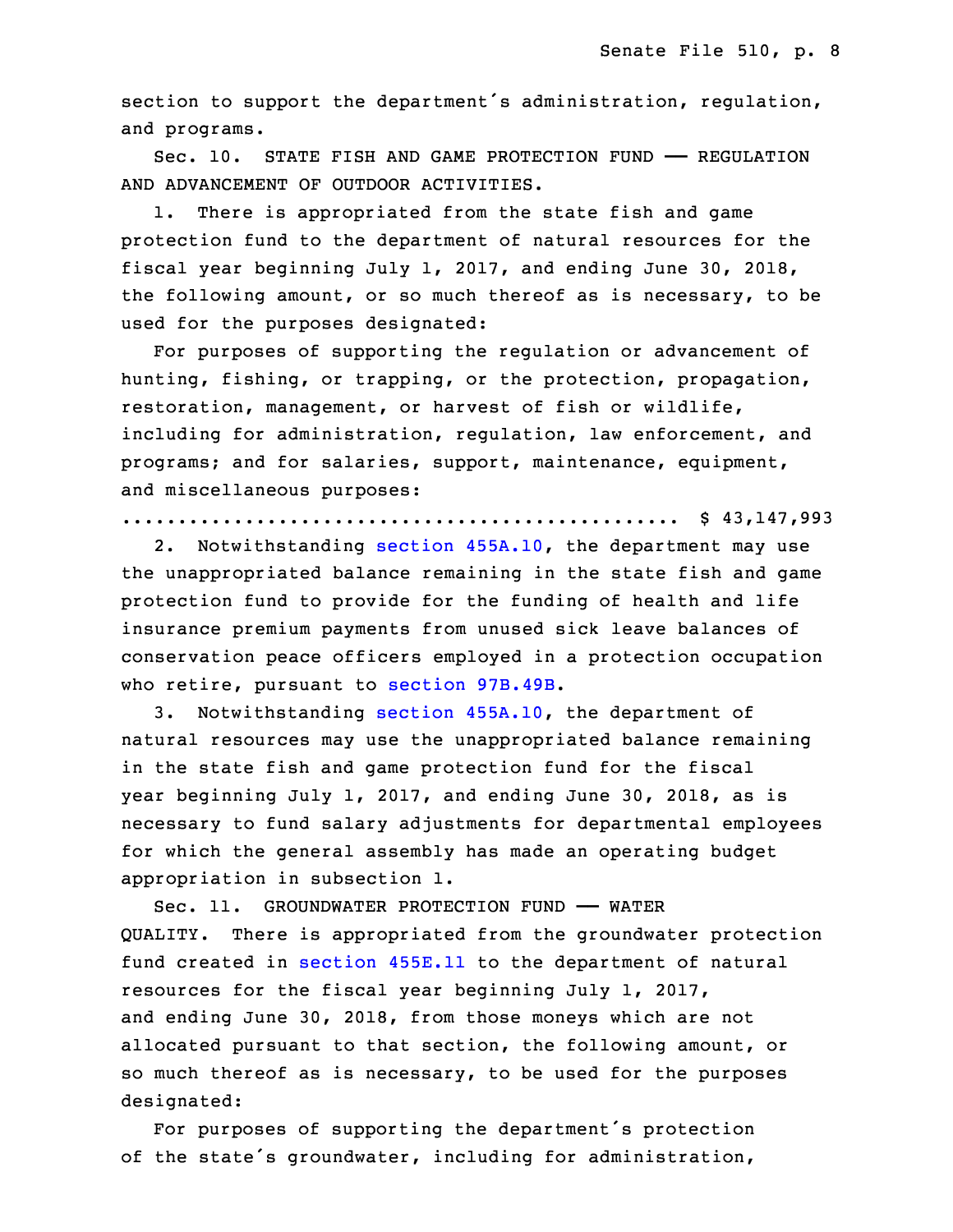section to support the department's administration, regulation, and programs.

 Sec. 10. STATE FISH AND GAME PROTECTION FUND —— REGULATION AND ADVANCEMENT OF OUTDOOR ACTIVITIES.

 1. There is appropriated from the state fish and game protection fund to the department of natural resources for the fiscal year beginning July 1, 2017, and ending June 30, 2018, the following amount, or so much thereof as is necessary, to be used for the purposes designated:

For purposes of supporting the regulation or advancement of hunting, fishing, or trapping, or the protection, propagation, restoration, management, or harvest of fish or wildlife, including for administration, regulation, law enforcement, and programs; and for salaries, support, maintenance, equipment, and miscellaneous purposes:

25 .................................................. \$ 43,147,993

2. Notwithstanding section [455A.10](https://www.legis.iowa.gov/docs/code/2017/455A.10.pdf), the department may use the unappropriated balance remaining in the state fish and game protection fund to provide for the funding of health and life insurance premium payments from unused sick leave balances of conservation peace officers employed in a protection occupation who retire, pursuant to section [97B.49B](https://www.legis.iowa.gov/docs/code/2017/97B.49B.pdf).

3. Notwithstanding section [455A.10](https://www.legis.iowa.gov/docs/code/2017/455A.10.pdf), the department of natural resources may use the unappropriated balance remaining in the state fish and game protection fund for the fiscal year beginning July 1, 2017, and ending June 30, 2018, as is necessary to fund salary adjustments for departmental employees for which the general assembly has made an operating budget appropriation in subsection 1.

 Sec. 11. GROUNDWATER PROTECTION FUND —— WATER 5 QUALITY. There is appropriated from the groundwater protection fund created in [section](https://www.legis.iowa.gov/docs/code/2017/455E.11.pdf) 455E.11 to the department of natural resources for the fiscal year beginning July 1, 2017, and ending June 30, 2018, from those moneys which are not allocated pursuant to that section, the following amount, or so much thereof as is necessary, to be used for the purposes designated:

 For purposes of supporting the department's protection of the state's groundwater, including for administration,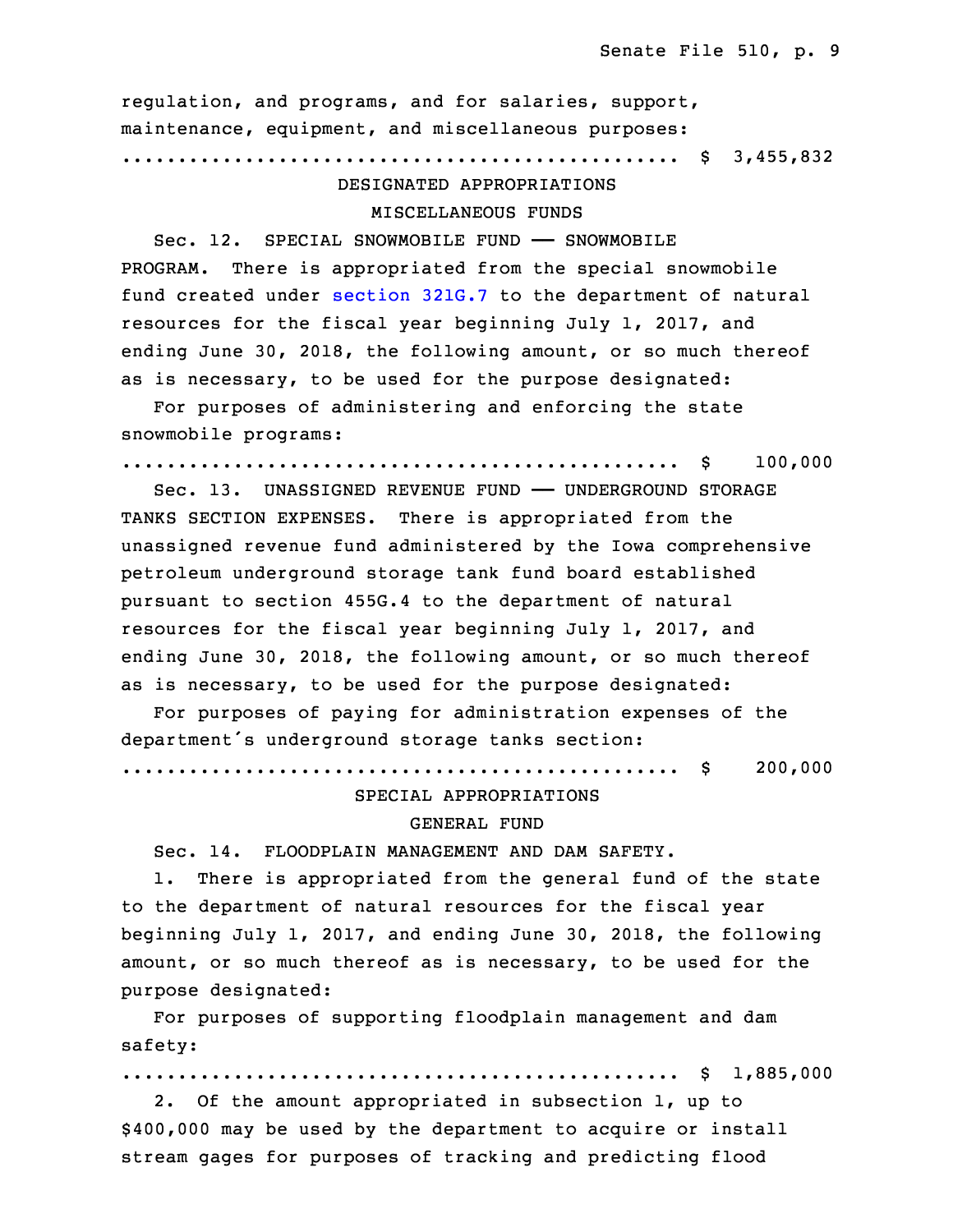regulation, and programs, and for salaries, support, maintenance, equipment, and miscellaneous purposes:

16 .................................................. \$ 3,455,832

# 17 DESIGNATED APPROPRIATIONS

# MISCELLANEOUS FUNDS

Sec. 12. SPECIAL SNOWMOBILE FUND - SNOWMOBILE PROGRAM. There is appropriated from the special snowmobile fund created under [section](https://www.legis.iowa.gov/docs/code/2017/321G.7.pdf) 321G.7 to the department of natural resources for the fiscal year beginning July 1, 2017, and ending June 30, 2018, the following amount, or so much thereof as is necessary, to be used for the purpose designated:

For purposes of administering and enforcing the state snowmobile programs:

27 .................................................. \$ 100,000

28 Sec. 13. UNASSIGNED REVENUE FUND —— UNDERGROUND STORAGE TANKS SECTION EXPENSES. There is appropriated from the unassigned revenue fund administered by the Iowa comprehensive petroleum underground storage tank fund board established pursuant to section 455G.4 to the department of natural resources for the fiscal year beginning July 1, 2017, and ending June 30, 2018, the following amount, or so much thereof as is necessary, to be used for the purpose designated:

 For purposes of paying for administration expenses of the department's underground storage tanks section:

3 .................................................. \$ 200,000

# SPECIAL APPROPRIATIONS 5 GENERAL FUND

6 Sec. 14. FLOODPLAIN MANAGEMENT AND DAM SAFETY.

1. There is appropriated from the general fund of the state to the department of natural resources for the fiscal year beginning July 1, 2017, and ending June 30, 2018, the following amount, or so much thereof as is necessary, to be used for the purpose designated:

 For purposes of supporting floodplain management and dam safety:

.................................................. \$ 1,885,000

2. Of the amount appropriated in subsection 1, up to \$400,000 may be used by the department to acquire or install stream gages for purposes of tracking and predicting flood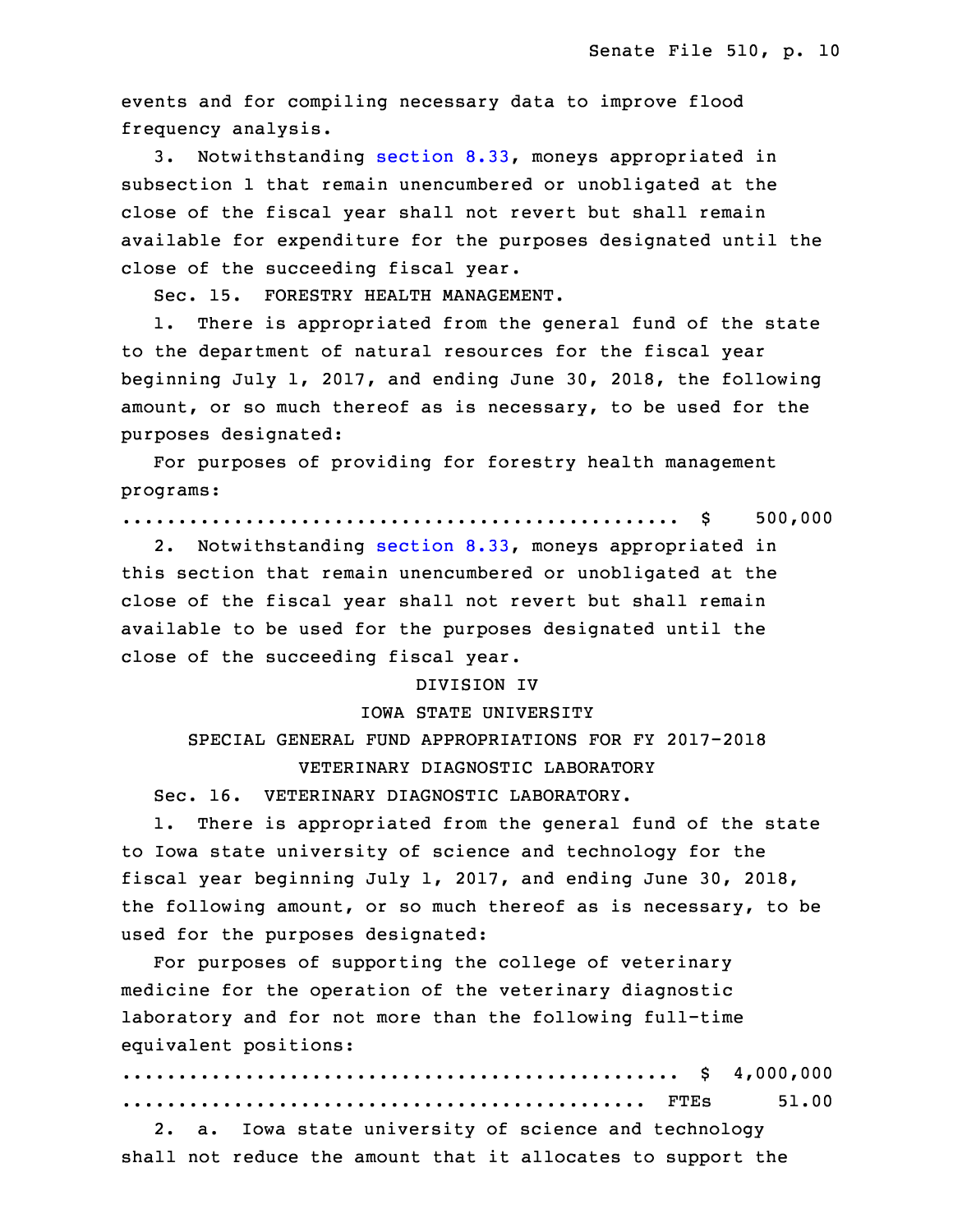events and for compiling necessary data to improve flood frequency analysis.

3. Notwithstanding [section](https://www.legis.iowa.gov/docs/code/2017/8.33.pdf) 8.33, moneys appropriated in subsection 1 that remain unencumbered or unobligated at the close of the fiscal year shall not revert but shall remain available for expenditure for the purposes designated until the close of the succeeding fiscal year.

Sec. 15. FORESTRY HEALTH MANAGEMENT.

1. There is appropriated from the general fund of the state to the department of natural resources for the fiscal year 28 beginning July 1, 2017, and ending June 30, 2018, the following amount, or so much thereof as is necessary, to be used for the purposes designated:

For purposes of providing for forestry health management programs:

33 .................................................. \$ 500,000

2. Notwithstanding [section](https://www.legis.iowa.gov/docs/code/2017/8.33.pdf) 8.33, moneys appropriated in this section that remain unencumbered or unobligated at the close of the fiscal year shall not revert but shall remain available to be used for the purposes designated until the close of the succeeding fiscal year.

#### DIVISION IV

## 5 IOWA STATE UNIVERSITY

6 SPECIAL GENERAL FUND APPROPRIATIONS FOR FY 2017-2018 7 VETERINARY DIAGNOSTIC LABORATORY

Sec. 16. VETERINARY DIAGNOSTIC LABORATORY.

1. There is appropriated from the general fund of the state to Iowa state university of science and technology for the fiscal year beginning July 1, 2017, and ending June 30, 2018, the following amount, or so much thereof as is necessary, to be used for the purposes designated:

 For purposes of supporting the college of veterinary medicine for the operation of the veterinary diagnostic laboratory and for not more than the following full-time equivalent positions:

|  |  |  |  |                                                              |  | 51.00 |
|--|--|--|--|--------------------------------------------------------------|--|-------|
|  |  |  |  | 2. a. Iowa state university of science and technology        |  |       |
|  |  |  |  | shall not reduce the amount that it allocates to support the |  |       |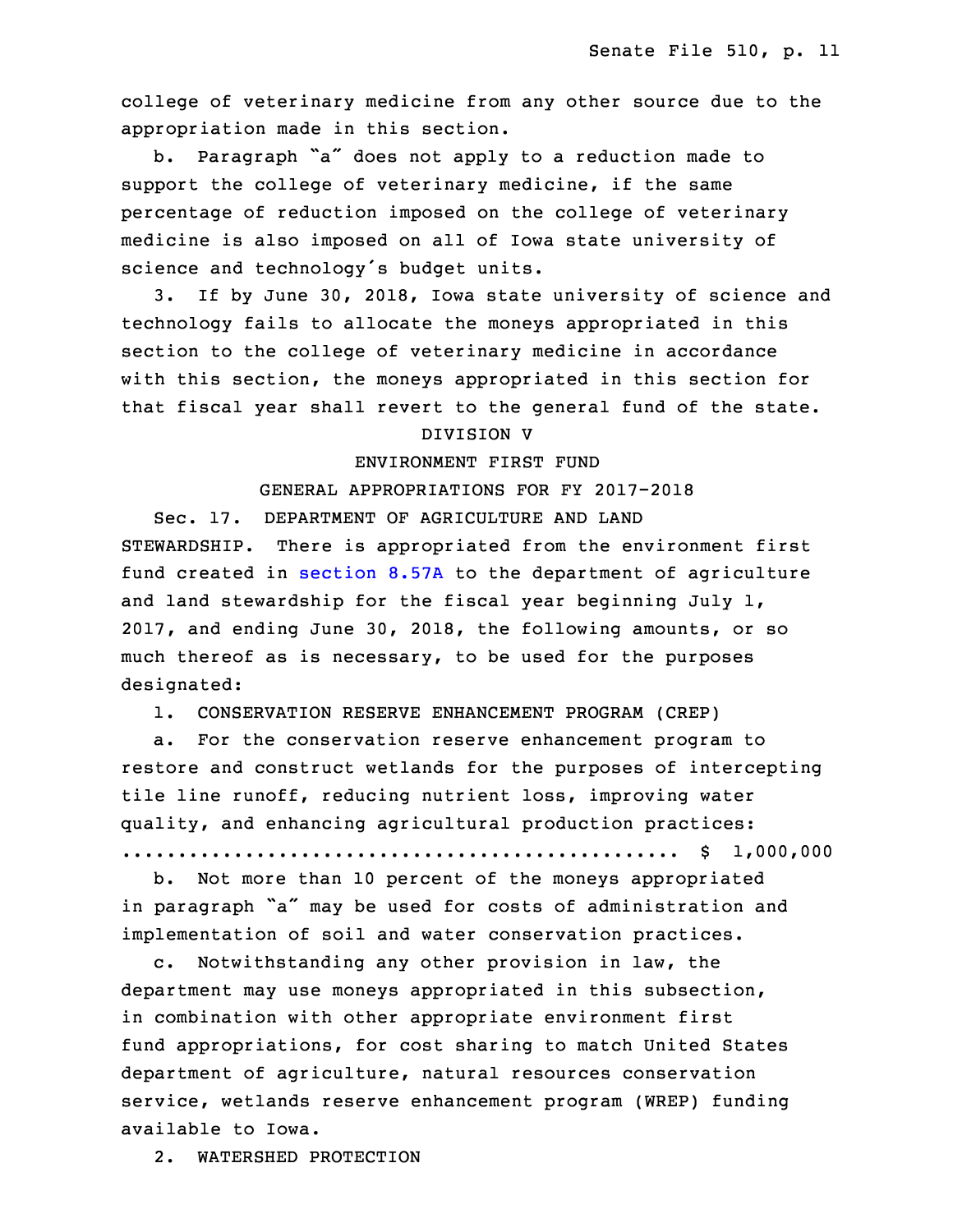college of veterinary medicine from any other source due to the appropriation made in this section.

 b. Paragraph "a" does not apply to <sup>a</sup> reduction made to support the college of veterinary medicine, if the same percentage of reduction imposed on the college of veterinary medicine is also imposed on all of Iowa state university of science and technology's budget units.

3. If by June 30, 2018, Iowa state university of science and technology fails to allocate the moneys appropriated in this section to the college of veterinary medicine in accordance with this section, the moneys appropriated in this section for that fiscal year shall revert to the general fund of the state.

## DIVISION V

# 35 ENVIRONMENT FIRST FUND

# GENERAL APPROPRIATIONS FOR FY 2017-2018

 Sec. 17. DEPARTMENT OF AGRICULTURE AND LAND 3 STEWARDSHIP. There is appropriated from the environment first fund created in [section](https://www.legis.iowa.gov/docs/code/2017/8.57A.pdf) 8.57A to the department of agriculture and land stewardship for the fiscal year beginning July 1, 2017, and ending June 30, 2018, the following amounts, or so much thereof as is necessary, to be used for the purposes designated:

9 1. CONSERVATION RESERVE ENHANCEMENT PROGRAM (CREP)

a. For the conservation reserve enhancement program to restore and construct wetlands for the purposes of intercepting tile line runoff, reducing nutrient loss, improving water quality, and enhancing agricultural production practices: .................................................. \$ 1,000,000

b. Not more than 10 percent of the moneys appropriated in paragraph "a" may be used for costs of administration and implementation of soil and water conservation practices.

c. Notwithstanding any other provision in law, the department may use moneys appropriated in this subsection, in combination with other appropriate environment first fund appropriations, for cost sharing to match United States department of agriculture, natural resources conservation service, wetlands reserve enhancement program (WREP) funding available to Iowa.

2. WATERSHED PROTECTION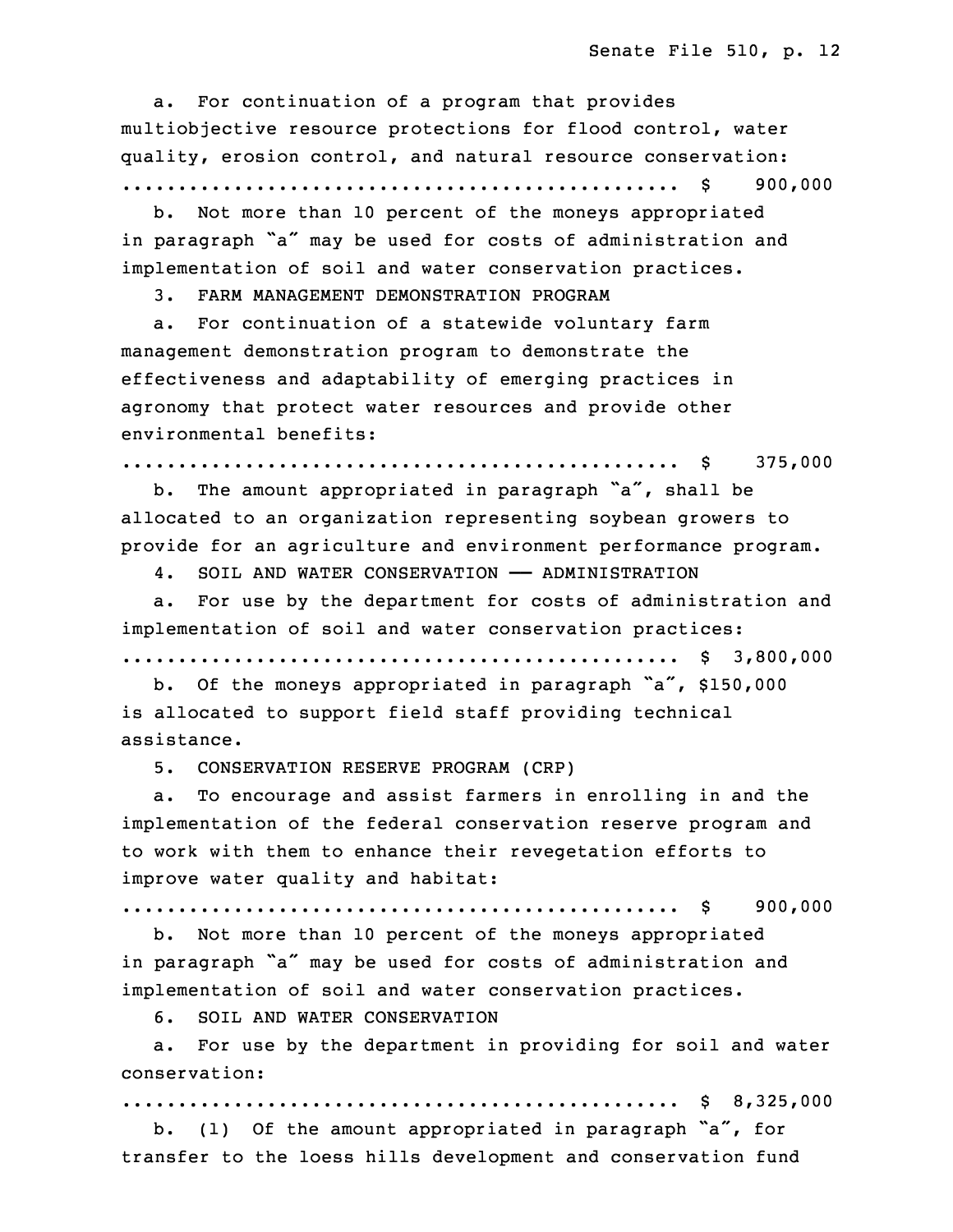a. For continuation of a program that provides multiobjective resource protections for flood control, water quality, erosion control, and natural resource conservation: 29 .................................................. \$ 900,000

b. Not more than 10 percent of the moneys appropriated in paragraph "a" may be used for costs of administration and implementation of soil and water conservation practices.

33 3. FARM MANAGEMENT DEMONSTRATION PROGRAM

a. For continuation of a statewide voluntary farm management demonstration program to demonstrate the effectiveness and adaptability of emerging practices in agronomy that protect water resources and provide other environmental benefits:

.................................................. \$ 375,000

b. The amount appropriated in paragraph "a", shall be allocated to an organization representing soybean growers to provide for an agriculture and environment performance program.

4. SOIL AND WATER CONSERVATION - ADMINISTRATION

a. For use by the department for costs of administration and implementation of soil and water conservation practices: .................................................. \$ 3,800,000

 b. Of the moneys appropriated in paragraph "a", \$150,000 is allocated to support field staff providing technical assistance.

15 5. CONSERVATION RESERVE PROGRAM (CRP)

a. To encourage and assist farmers in enrolling in and the implementation of the federal conservation reserve program and to work with them to enhance their revegetation efforts to improve water quality and habitat:

20 .................................................. \$ 900,000

 b. Not more than 10 percent of the moneys appropriated in paragraph "a" may be used for costs of administration and implementation of soil and water conservation practices.

6. SOIL AND WATER CONSERVATION

a. For use by the department in providing for soil and water conservation:

27 .................................................. \$ 8,325,000

b. (1) Of the amount appropriated in paragraph "a", for transfer to the loess hills development and conservation fund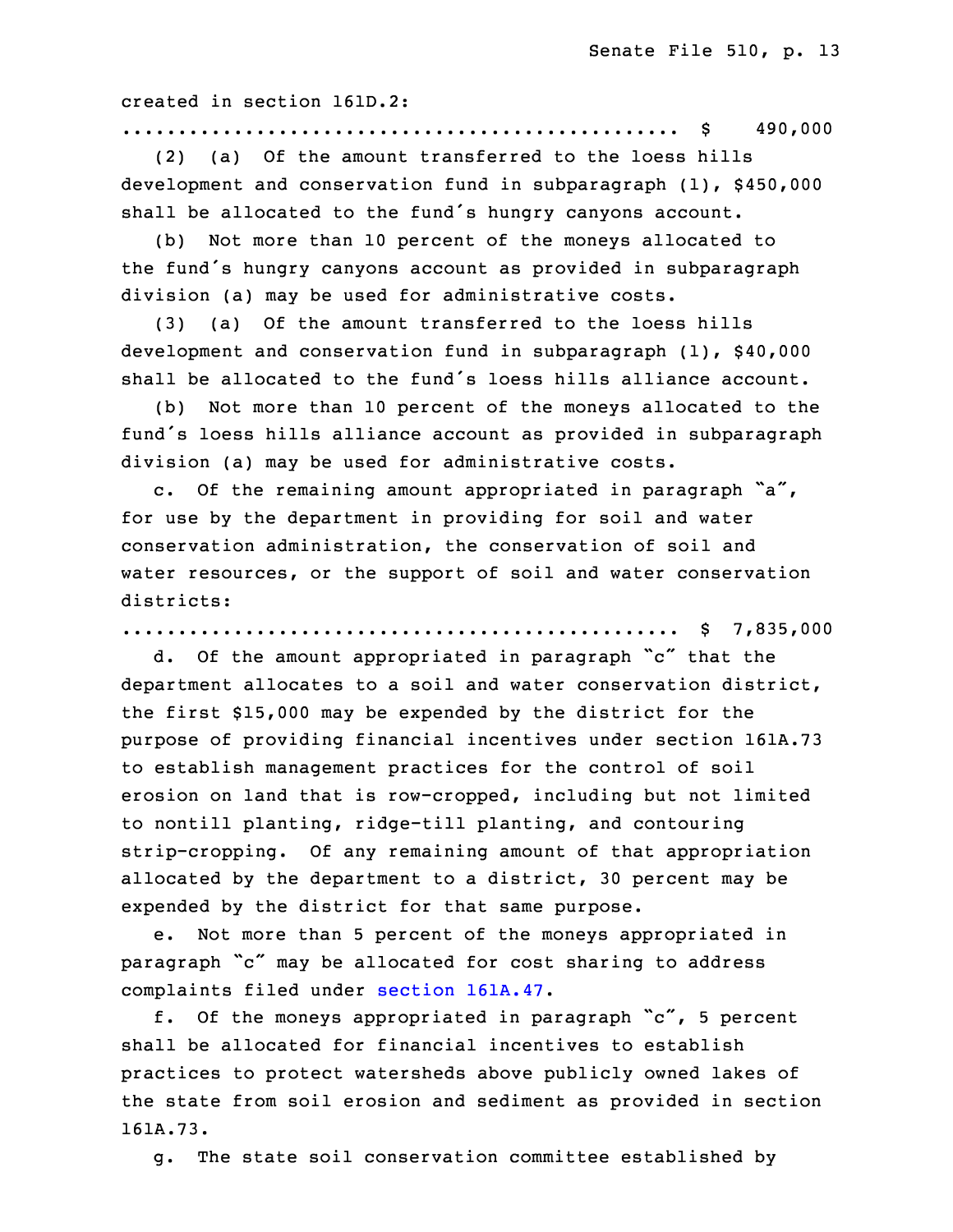created in section 161D.2:

31 .................................................. \$ 490,000

(2) (a) Of the amount transferred to the loess hills development and conservation fund in subparagraph  $(1)$ , \$450,000 shall be allocated to the fund's hungry canyons account.

(b) Not more than 10 percent of the moneys allocated to the fund's hungry canyons account as provided in subparagraph division (a) may be used for administrative costs.

3 (3) (a) Of the amount transferred to the loess hills development and conservation fund in subparagraph (1), \$40,000 shall be allocated to the fund's loess hills alliance account.

(b) Not more than 10 percent of the moneys allocated to the fund's loess hills alliance account as provided in subparagraph division (a) may be used for administrative costs.

c. Of the remaining amount appropriated in paragraph  $a''$ , for use by the department in providing for soil and water conservation administration, the conservation of soil and water resources, or the support of soil and water conservation districts:

.................................................. \$ 7,835,000

d. Of the amount appropriated in paragraph "c" that the department allocates to a soil and water conservation district, the first \$15,000 may be expended by the district for the 18 purpose of providing financial incentives under section 161A.73 to establish management practices for the control of soil erosion on land that is row-cropped, including but not limited to nontill planting, ridge-till planting, and contouring strip-cropping. Of any remaining amount of that appropriation allocated by the department to a district, 30 percent may be expended by the district for that same purpose.

e. Not more than 5 percent of the moneys appropriated in paragraph "c" may be allocated for cost sharing to address complaints filed under section [161A.47](https://www.legis.iowa.gov/docs/code/2017/161A.47.pdf).

f. Of the moneys appropriated in paragraph " $c$ ", 5 percent shall be allocated for financial incentives to establish practices to protect watersheds above publicly owned lakes of the state from soil erosion and sediment as provided in section 32 161A.73.

g. The state soil conservation committee established by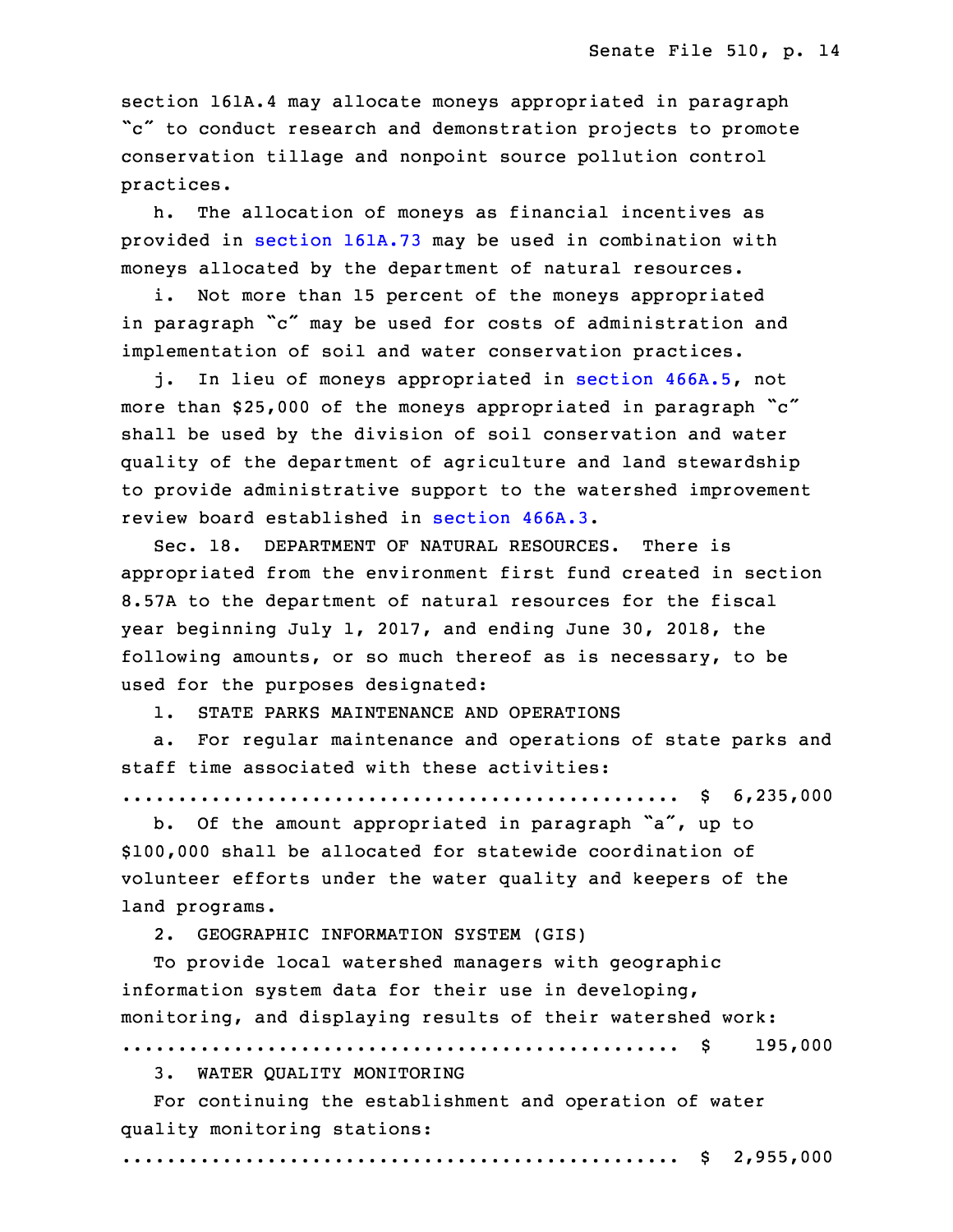section 161A.4 may allocate moneys appropriated in paragraph "c" to conduct research and demonstration projects to promote conservation tillage and nonpoint source pollution control practices.

h. The allocation of moneys as financial incentives as provided in section [161A.73](https://www.legis.iowa.gov/docs/code/2017/161A.73.pdf) may be used in combination with moneys allocated by the department of natural resources.

i. Not more than 15 percent of the moneys appropriated in paragraph "c" may be used for costs of administration and implementation of soil and water conservation practices.

j. In lieu of moneys appropriated in section [466A.5](https://www.legis.iowa.gov/docs/code/2017/466A.5.pdf), not more than \$25,000 of the moneys appropriated in paragraph  $\degree$ c" shall be used by the division of soil conservation and water quality of the department of agriculture and land stewardship to provide administrative support to the watershed improvement review board established in [section](https://www.legis.iowa.gov/docs/code/2017/466A.3.pdf) 466A.3.

Sec. 18. DEPARTMENT OF NATURAL RESOURCES. There is appropriated from the environment first fund created in section 8.57A to the department of natural resources for the fiscal year beginning July 1, 2017, and ending June 30, 2018, the following amounts, or so much thereof as is necessary, to be used for the purposes designated:

1. STATE PARKS MAINTENANCE AND OPERATIONS

 a. For regular maintenance and operations of state parks and staff time associated with these activities:

.................................................. \$ 6,235,000

b. Of the amount appropriated in paragraph "a", up to 26 \$100,000 shall be allocated for statewide coordination of volunteer efforts under the water quality and keepers of the land programs.

2. GEOGRAPHIC INFORMATION SYSTEM (GIS)

To provide local watershed managers with geographic information system data for their use in developing, monitoring, and displaying results of their watershed work: 33 .................................................. \$ 195,000

3. WATER QUALITY MONITORING

For continuing the establishment and operation of water quality monitoring stations:

.................................................. \$ 2,955,000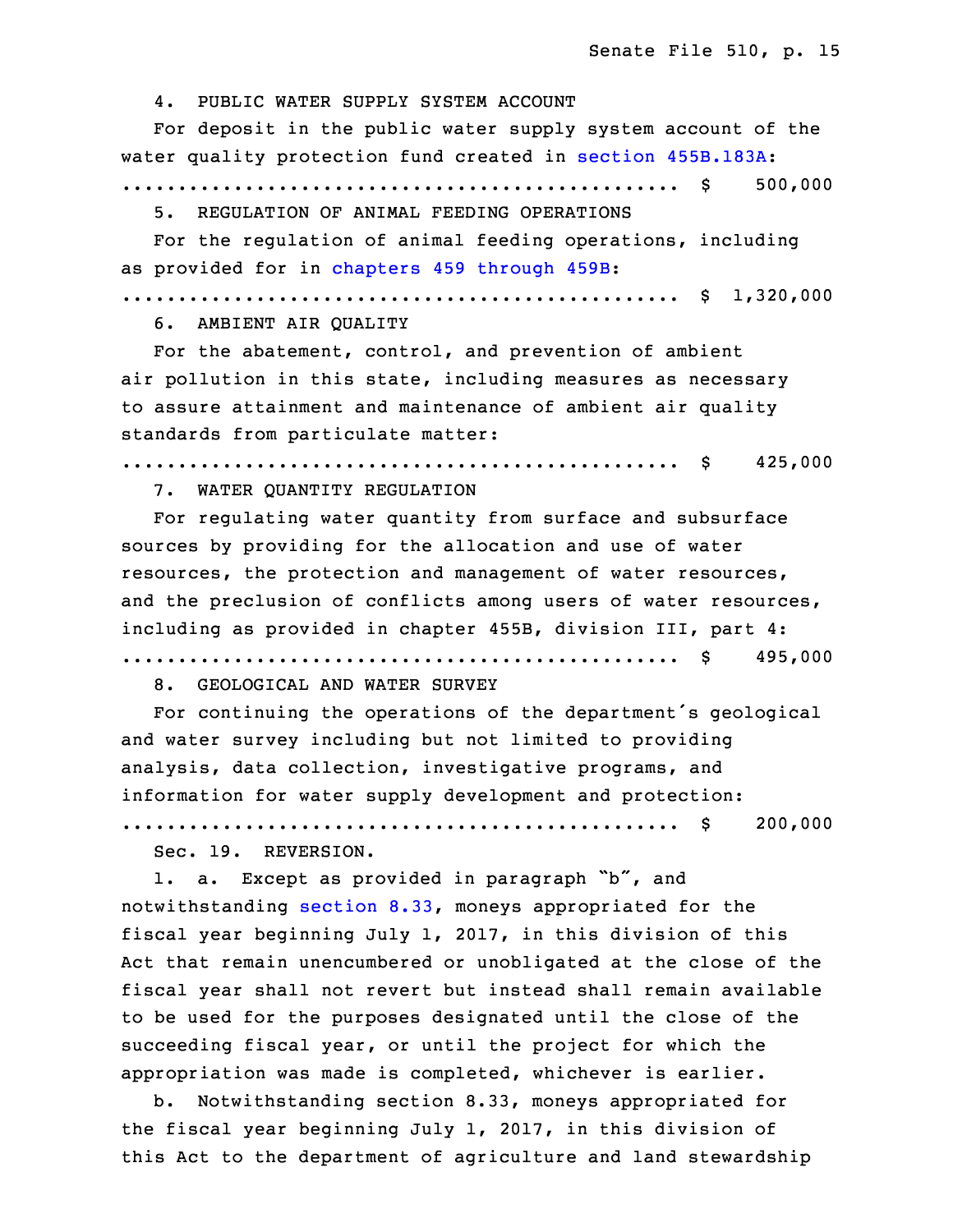4. PUBLIC WATER SUPPLY SYSTEM ACCOUNT

 For deposit in the public water supply system account of the water quality protection fund created in section [455B.183A](https://www.legis.iowa.gov/docs/code/2017/455B.183A.pdf):

6 .................................................. \$ 500,000

5. REGULATION OF ANIMAL FEEDING OPERATIONS

For the regulation of animal feeding operations, including as provided for in [chapters](https://www.legis.iowa.gov/docs/code/2017/459.pdf) 459 through 459B:

10 .................................................. \$ 1,320,000

6. AMBIENT AIR QUALITY

 For the abatement, control, and prevention of ambient air pollution in this state, including measures as necessary to assure attainment and maintenance of ambient air quality standards from particulate matter:

16 .................................................. \$ 425,000

17 7. WATER QUANTITY REGULATION

For regulating water quantity from surface and subsurface sources by providing for the allocation and use of water resources, the protection and management of water resources, and the preclusion of conflicts among users of water resources, including as provided in chapter 455B, division III, part 4:

23 .................................................. \$ 495,000

8. GEOLOGICAL AND WATER SURVEY

For continuing the operations of the department's geological and water survey including but not limited to providing analysis, data collection, investigative programs, and information for water supply development and protection:

29 .................................................. \$ 200,000

Sec. 19. REVERSION.

1. a. Except as provided in paragraph "b", and notwithstanding [section](https://www.legis.iowa.gov/docs/code/2017/8.33.pdf) 8.33, moneys appropriated for the fiscal year beginning July 1, 2017, in this division of this Act that remain unencumbered or unobligated at the close of the fiscal year shall not revert but instead shall remain available to be used for the purposes designated until the close of the succeeding fiscal year, or until the project for which the appropriation was made is completed, whichever is earlier.

 b. Notwithstanding section 8.33, moneys appropriated for the fiscal year beginning July 1, 2017, in this division of this Act to the department of agriculture and land stewardship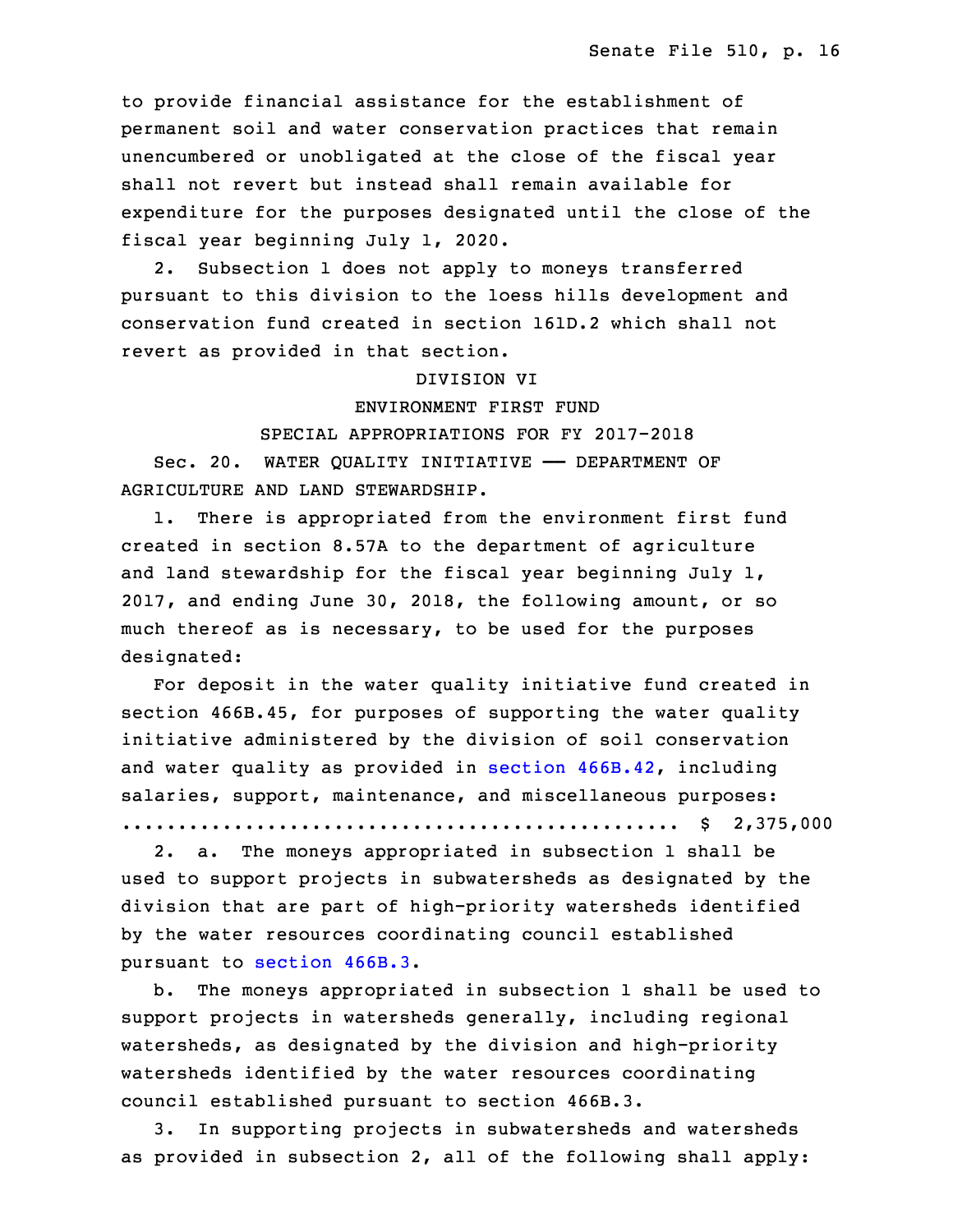to provide financial assistance for the establishment of permanent soil and water conservation practices that remain unencumbered or unobligated at the close of the fiscal year shall not revert but instead shall remain available for expenditure for the purposes designated until the close of the fiscal year beginning July 1, 2020.

2. Subsection 1 does not apply to moneys transferred pursuant to this division to the loess hills development and 15 conservation fund created in section 161D.2 which shall not revert as provided in that section.

#### 17 DIVISION VI

18 ENVIRONMENT FIRST FUND

#### 19 SPECIAL APPROPRIATIONS FOR FY 2017-2018

Sec. 20. WATER QUALITY INITIATIVE - DEPARTMENT OF AGRICULTURE AND LAND STEWARDSHIP.

 1. There is appropriated from the environment first fund created in section 8.57A to the department of agriculture and land stewardship for the fiscal year beginning July 1, 2017, and ending June 30, 2018, the following amount, or so much thereof as is necessary, to be used for the purposes designated:

For deposit in the water quality initiative fund created in section 466B.45, for purposes of supporting the water quality initiative administered by the division of soil conservation and water quality as provided in section [466B.42](https://www.legis.iowa.gov/docs/code/2017/466B.42.pdf), including salaries, support, maintenance, and miscellaneous purposes:

33 .................................................. \$ 2,375,000

2. a. The moneys appropriated in subsection 1 shall be used to support projects in subwatersheds as designated by the division that are part of high-priority watersheds identified by the water resources coordinating council established pursuant to [section](https://www.legis.iowa.gov/docs/code/2017/466B.3.pdf) 466B.3.

 b. The moneys appropriated in subsection 1 shall be used to support projects in watersheds generally, including regional watersheds, as designated by the division and high-priority watersheds identified by the water resources coordinating council established pursuant to section 466B.3.

9 3. In supporting projects in subwatersheds and watersheds as provided in subsection 2, all of the following shall apply: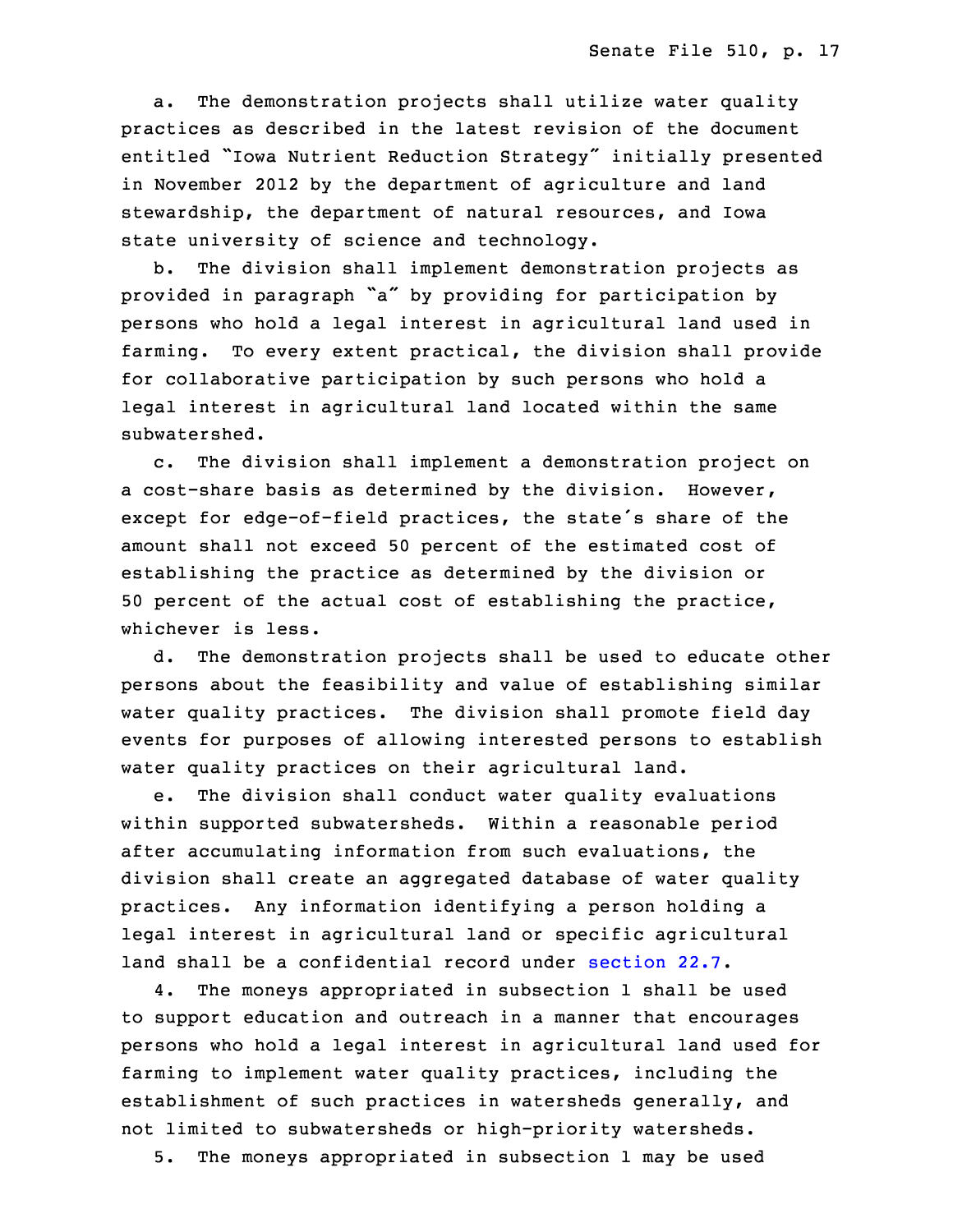a. The demonstration projects shall utilize water quality practices as described in the latest revision of the document entitled "Iowa Nutrient Reduction Strategy" initially presented in November 2012 by the department of agriculture and land stewardship, the department of natural resources, and Iowa state university of science and technology.

b. The division shall implement demonstration projects as provided in paragraph "a" by providing for participation by persons who hold a legal interest in agricultural land used in farming. To every extent practical, the division shall provide for collaborative participation by such persons who hold <sup>a</sup> legal interest in agricultural land located within the same subwatershed.

 c. The division shall implement <sup>a</sup> demonstration project on a cost-share basis as determined by the division. However, except for edge-of-field practices, the state's share of the amount shall not exceed 50 percent of the estimated cost of establishing the practice as determined by the division or 50 percent of the actual cost of establishing the practice, whichever is less.

d. The demonstration projects shall be used to educate other persons about the feasibility and value of establishing similar water quality practices. The division shall promote field day events for purposes of allowing interested persons to establish water quality practices on their agricultural land.

 e. The division shall conduct water quality evaluations within supported subwatersheds. Within <sup>a</sup> reasonable period after accumulating information from such evaluations, the division shall create an aggregated database of water quality practices. Any information identifying a person holding a legal interest in agricultural land or specific agricultural land shall be a confidential record under [section](https://www.legis.iowa.gov/docs/code/2017/22.7.pdf) 22.7.

4. The moneys appropriated in subsection 1 shall be used 9 to support education and outreach in <sup>a</sup> manner that encourages persons who hold a legal interest in agricultural land used for farming to implement water quality practices, including the establishment of such practices in watersheds generally, and not limited to subwatersheds or high-priority watersheds.

5. The moneys appropriated in subsection 1 may be used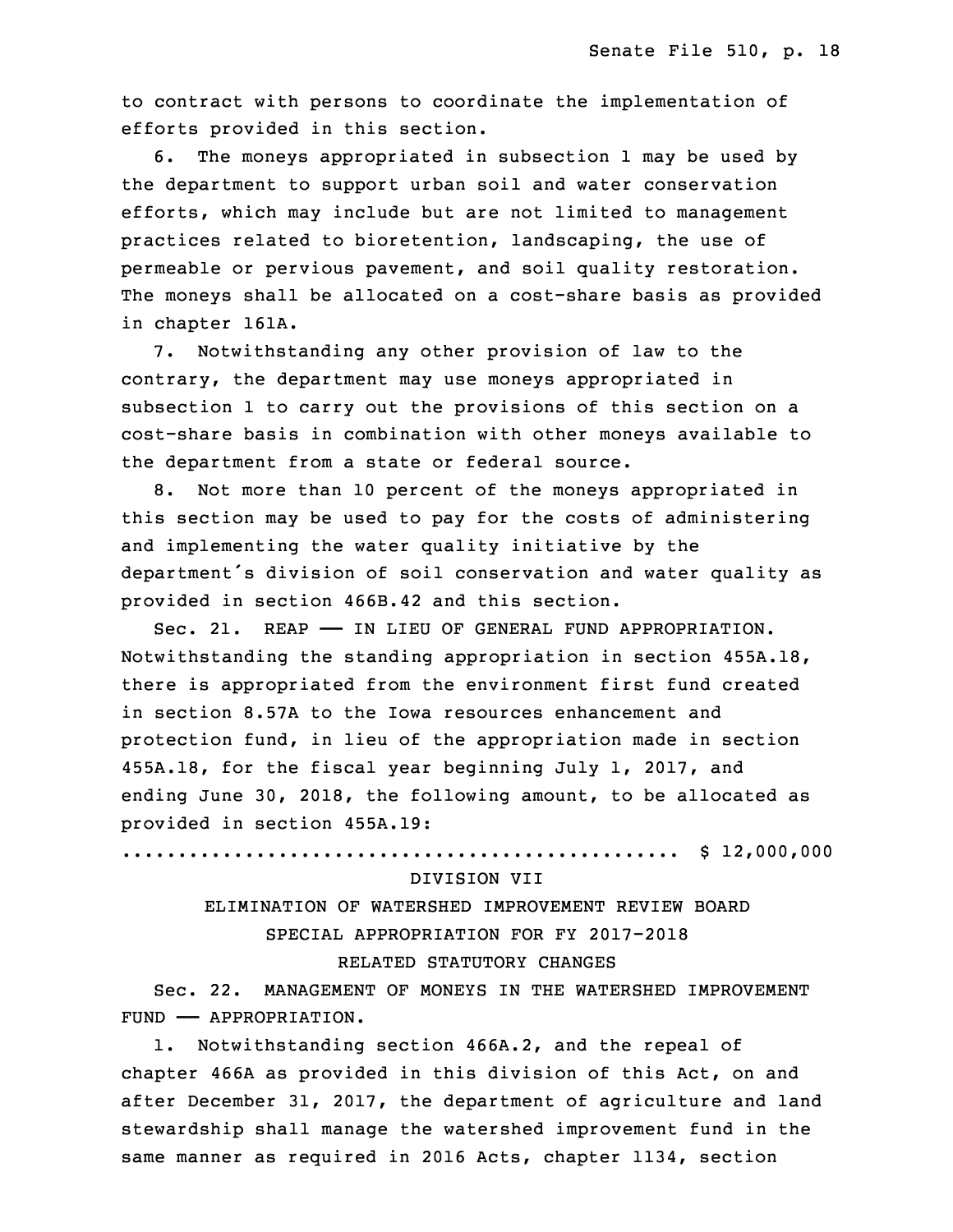to contract with persons to coordinate the implementation of efforts provided in this section.

6. The moneys appropriated in subsection 1 may be used by the department to support urban soil and water conservation efforts, which may include but are not limited to management practices related to bioretention, landscaping, the use of permeable or pervious pavement, and soil quality restoration. The moneys shall be allocated on <sup>a</sup> cost-share basis as provided in chapter 161A.

 7. Notwithstanding any other provision of law to the contrary, the department may use moneys appropriated in subsection 1 to carry out the provisions of this section on a cost-share basis in combination with other moneys available to the department from a state or federal source.

8. Not more than 10 percent of the moneys appropriated in this section may be used to pay for the costs of administering and implementing the water quality initiative by the department's division of soil conservation and water quality as provided in section 466B.42 and this section.

Sec. 21. REAP - IN LIEU OF GENERAL FUND APPROPRIATION. Notwithstanding the standing appropriation in section 455A.18, there is appropriated from the environment first fund created in section 8.57A to the Iowa resources enhancement and protection fund, in lieu of the appropriation made in section 455A.18, for the fiscal year beginning July 1, 2017, and ending June 30, 2018, the following amount, to be allocated as provided in section 455A.19:

7 .................................................. \$ 12,000,000

#### 8 DIVISION VII

9 ELIMINATION OF WATERSHED IMPROVEMENT REVIEW BOARD 10 SPECIAL APPROPRIATION FOR FY 2017-2018 RELATED STATUTORY CHANGES

 Sec. 22. MANAGEMENT OF MONEYS IN THE WATERSHED IMPROVEMENT FUND - APPROPRIATION.

 1. Notwithstanding section 466A.2, and the repeal of chapter 466A as provided in this division of this Act, on and after December 31, 2017, the department of agriculture and land stewardship shall manage the watershed improvement fund in the same manner as required in 2016 Acts, chapter 1134, section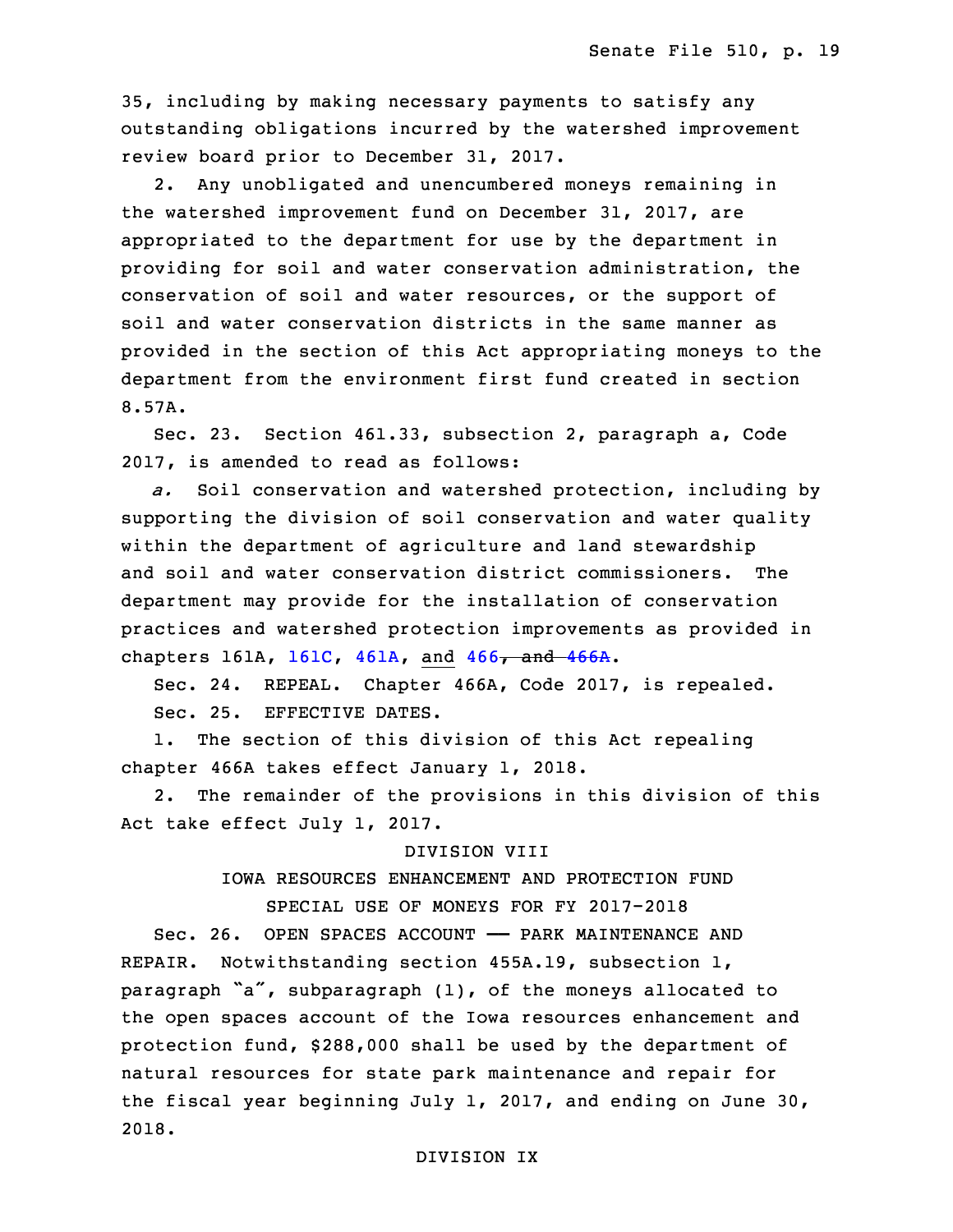19 35, including by making necessary payments to satisfy any outstanding obligations incurred by the watershed improvement review board prior to December 31, 2017.

 2. Any unobligated and unencumbered moneys remaining in the watershed improvement fund on December 31, 2017, are appropriated to the department for use by the department in providing for soil and water conservation administration, the conservation of soil and water resources, or the support of soil and water conservation districts in the same manner as provided in the section of this Act appropriating moneys to the department from the environment first fund created in section 8.57A.

Sec. 23. Section 461.33, subsection 2, paragraph a, Code 32 2017, is amended to read as follows:

a. Soil conservation and watershed protection, including by supporting the division of soil conservation and water quality within the department of agriculture and land stewardship and soil and water conservation district commissioners. The department may provide for the installation of conservation practices and watershed protection improvements as provided in chapters 161A, [161C](https://www.legis.iowa.gov/docs/code/2017/161C.pdf), [461A](https://www.legis.iowa.gov/docs/code/2017/461A.pdf), and [466](https://www.legis.iowa.gov/docs/code/2017/466.pdf), and [466A](https://www.legis.iowa.gov/docs/code/2017/466A.pdf).

5 Sec. 24. REPEAL. Chapter 466A, Code 2017, is repealed. 6 Sec. 25. EFFECTIVE DATES.

1. The section of this division of this Act repealing chapter 466A takes effect January 1, 2018.

2. The remainder of the provisions in this division of this Act take effect July 1, 2017.

#### DIVISION VIII

# IOWA RESOURCES ENHANCEMENT AND PROTECTION FUND

# 13 SPECIAL USE OF MONEYS FOR FY 2017-2018

 Sec. 26. OPEN SPACES ACCOUNT —— PARK MAINTENANCE AND REPAIR. Notwithstanding section 455A.19, subsection 1, paragraph "a", subparagraph  $(1)$ , of the moneys allocated to the open spaces account of the Iowa resources enhancement and protection fund, \$288,000 shall be used by the department of natural resources for state park maintenance and repair for the fiscal year beginning July 1, 2017, and ending on June 30, 2018.

#### DIVISION IX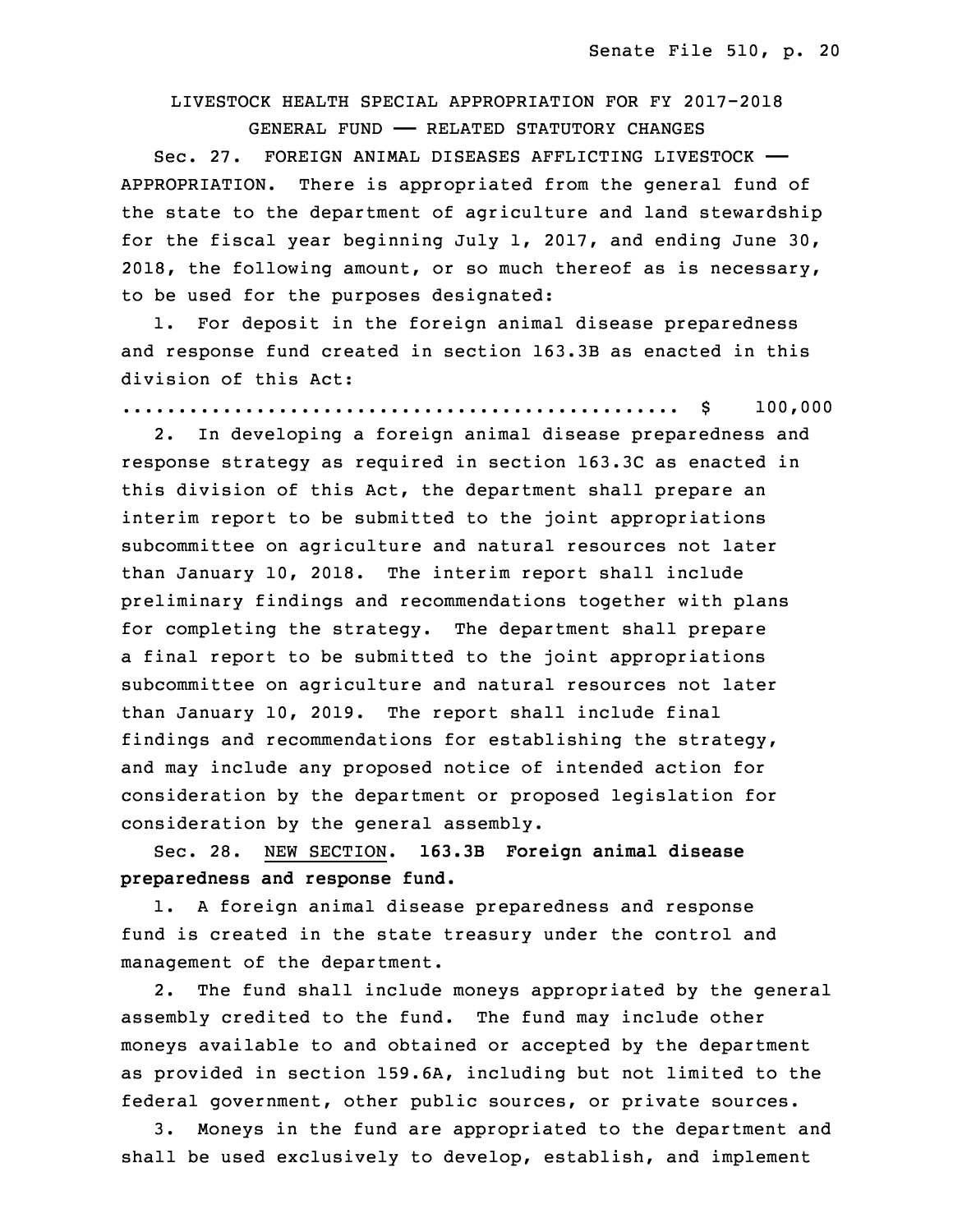# 23 LIVESTOCK HEALTH SPECIAL APPROPRIATION FOR FY 2017-2018

 GENERAL FUND —— RELATED STATUTORY CHANGES 25 Sec. 27. FOREIGN ANIMAL DISEASES AFFLICTING LIVESTOCK —— APPROPRIATION. There is appropriated from the general fund of the state to the department of agriculture and land stewardship for the fiscal year beginning July 1, 2017, and ending June 30, 2018, the following amount, or so much thereof as is necessary, to be used for the purposes designated:

1. For deposit in the foreign animal disease preparedness and response fund created in section 163.3B as enacted in this division of this Act:

34 .................................................. \$ 100,000

2. In developing a foreign animal disease preparedness and response strategy as required in section 163.3C as enacted in this division of this Act, the department shall prepare an interim report to be submitted to the joint appropriations subcommittee on agriculture and natural resources not later than January 10, 2018. The interim report shall include preliminary findings and recommendations together with plans for completing the strategy. The department shall prepare a final report to be submitted to the joint appropriations subcommittee on agriculture and natural resources not later than January 10, 2019. The report shall include final findings and recommendations for establishing the strategy, and may include any proposed notice of intended action for consideration by the department or proposed legislation for consideration by the general assembly.

15 Sec. 28. NEW SECTION. **163.3B Foreign animal disease** 16 **preparedness and response fund.**

A foreign animal disease preparedness and response fund is created in the state treasury under the control and management of the department.

2. The fund shall include moneys appropriated by the general assembly credited to the fund. The fund may include other moneys available to and obtained or accepted by the department as provided in section 159.6A, including but not limited to the federal government, other public sources, or private sources.

3. Moneys in the fund are appropriated to the department and shall be used exclusively to develop, establish, and implement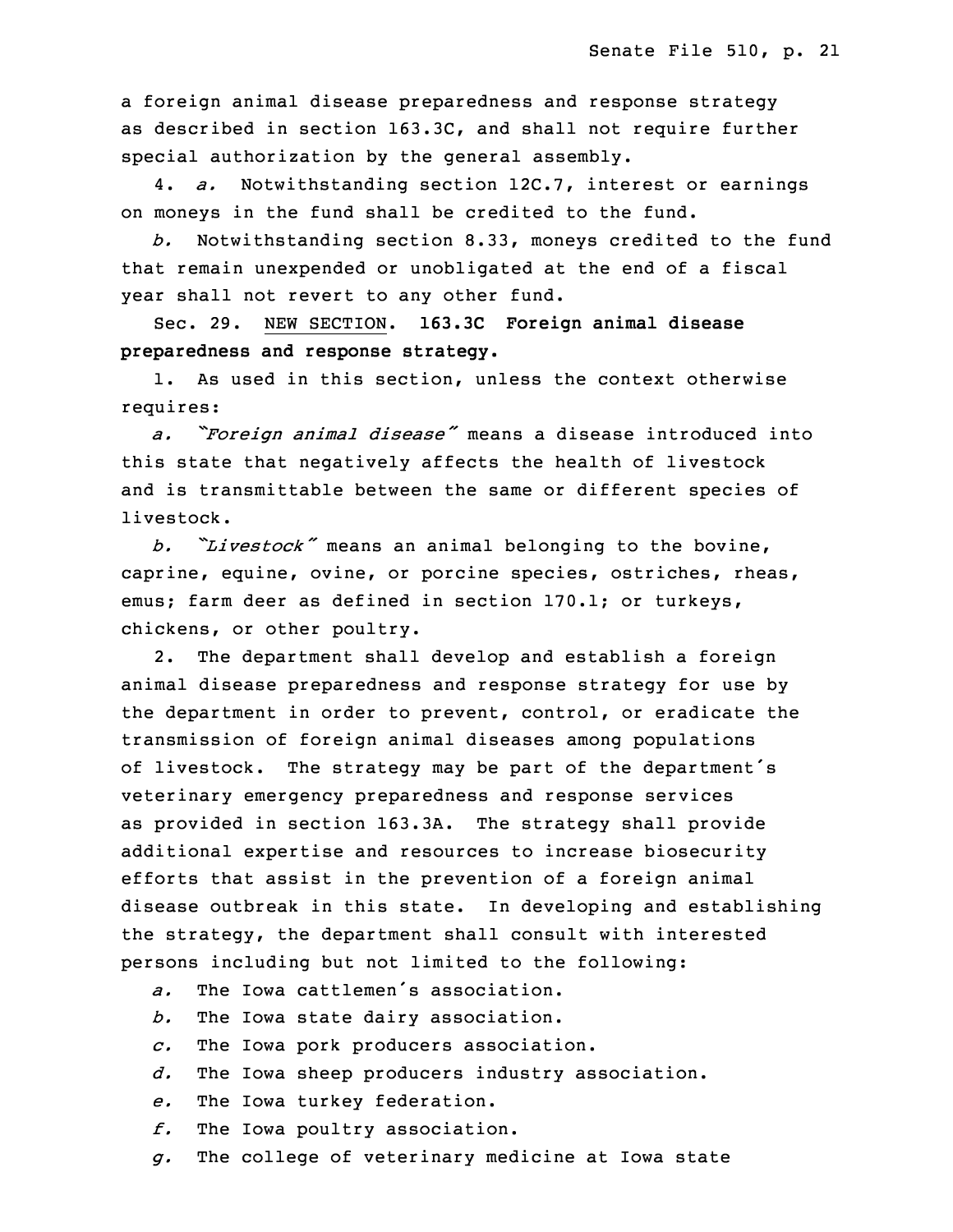a foreign animal disease preparedness and response strategy as described in section 163.3C, and shall not require further special authorization by the general assembly.

30 4. *a.* Notwithstanding section 12C.7, interest or earnings on moneys in the fund shall be credited to the fund.

32 *b.* Notwithstanding section 8.33, moneys credited to the fund that remain unexpended or unobligated at the end of a fiscal year shall not revert to any other fund.

35 Sec. 29. NEW SECTION. **163.3C Foreign animal disease preparedness and response strategy.**

 1. As used in this section, unless the context otherwise requires:

 *a. "Foreign animal disease"* means <sup>a</sup> disease introduced into this state that negatively affects the health of livestock and is transmittable between the same or different species of livestock.

<sup>8</sup> *b. "Livestock"* means an animal belonging to the bovine, caprine, equine, ovine, or porcine species, ostriches, rheas, emus; farm deer as defined in section 170.1; or turkeys, chickens, or other poultry.

 2. The department shall develop and establish <sup>a</sup> foreign animal disease preparedness and response strategy for use by the department in order to prevent, control, or eradicate the transmission of foreign animal diseases among populations of livestock. The strategy may be part of the department's veterinary emergency preparedness and response services as provided in section 163.3A. The strategy shall provide additional expertise and resources to increase biosecurity efforts that assist in the prevention of a foreign animal disease outbreak in this state. In developing and establishing the strategy, the department shall consult with interested persons including but not limited to the following:

- *a.* The Iowa cattlemen's association.
- b. The Iowa state dairy association.
- 26 *c.* The Iowa pork producers association.
- d. The Iowa sheep producers industry association.
- e. The Iowa turkey federation.
- 29 *f.* The Iowa poultry association.
- 30 *g.* The college of veterinary medicine at Iowa state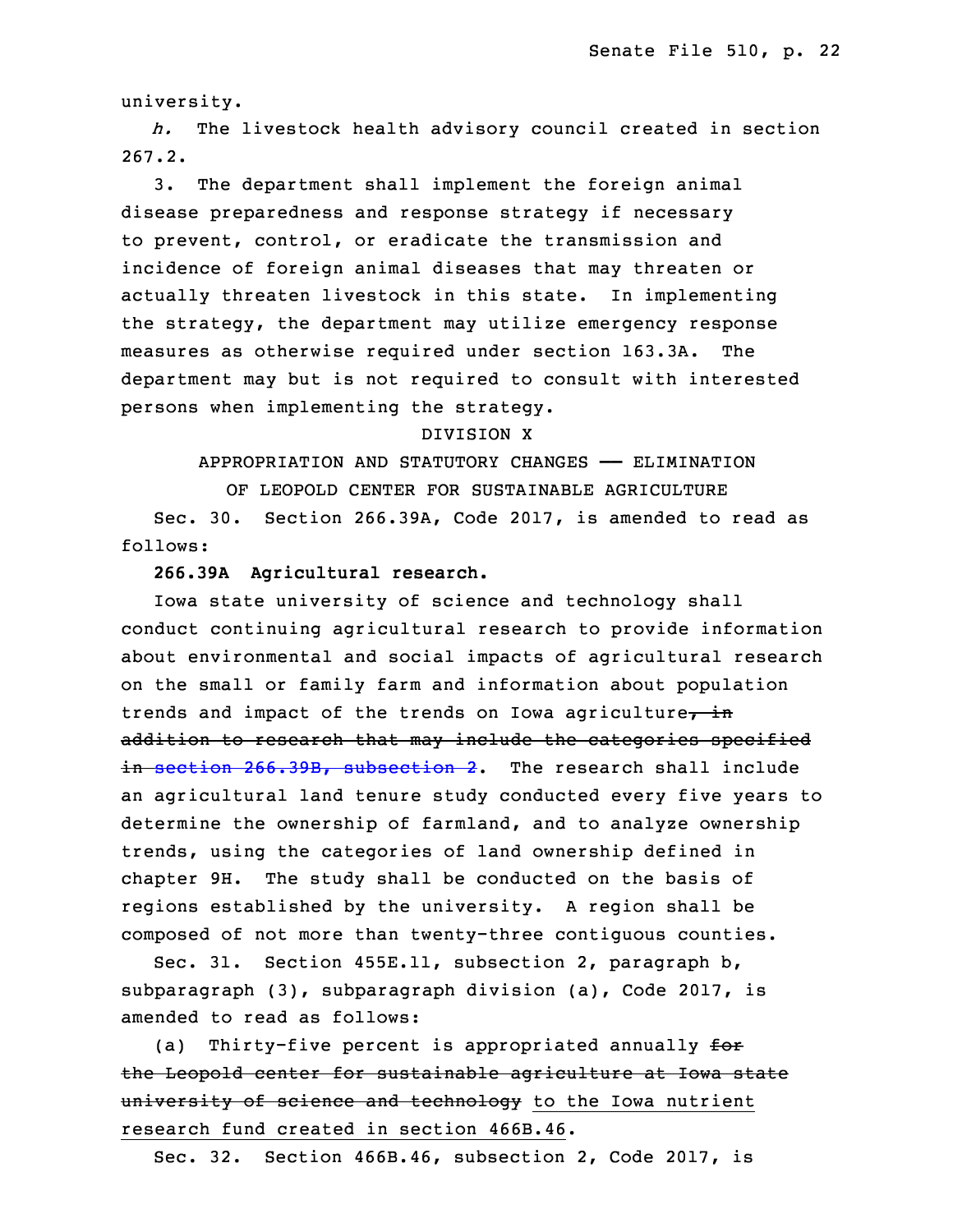university.

h. The livestock health advisory council created in section 33 267.2.

3. The department shall implement the foreign animal disease preparedness and response strategy if necessary to prevent, control, or eradicate the transmission and incidence of foreign animal diseases that may threaten or actually threaten livestock in this state. In implementing the strategy, the department may utilize emergency response measures as otherwise required under section 163.3A. The 6 department may but is not required to consult with interested persons when implementing the strategy.

## 8 DIVISION X

9 APPROPRIATION AND STATUTORY CHANGES —— ELIMINATION

OF LEOPOLD CENTER FOR SUSTAINABLE AGRICULTURE

 Sec. 30. Section 266.39A, Code 2017, is amended to read as follows:

# 13 **266.39A Agricultural research.**

 Iowa state university of science and technology shall conduct continuing agricultural research to provide information about environmental and social impacts of agricultural research on the small or family farm and information about population trends and impact of the trends on Iowa agriculture, in addition to research that may include the categories specified in section 266.39B, [subsection](https://www.legis.iowa.gov/docs/code/2017/266.39B.pdf) 2. The research shall include an agricultural land tenure study conducted every five years to determine the ownership of farmland, and to analyze ownership trends, using the categories of land ownership defined in chapter 9H. The study shall be conducted on the basis of regions established by the university. A region shall be 26 composed of not more than twenty-three contiguous counties.

Sec. 31. Section 455E.11, subsection 2, paragraph b, subparagraph  $(3)$ , subparagraph division  $(a)$ , Code 2017, is amended to read as follows:

(a) Thirty-five percent is appropriated annually  $f$ or the Leopold center for sustainable agriculture at Iowa state university of science and technology to the Iowa nutrient research fund created in section 466B.46.

Sec. 32. Section 466B.46, subsection 2, Code 2017, is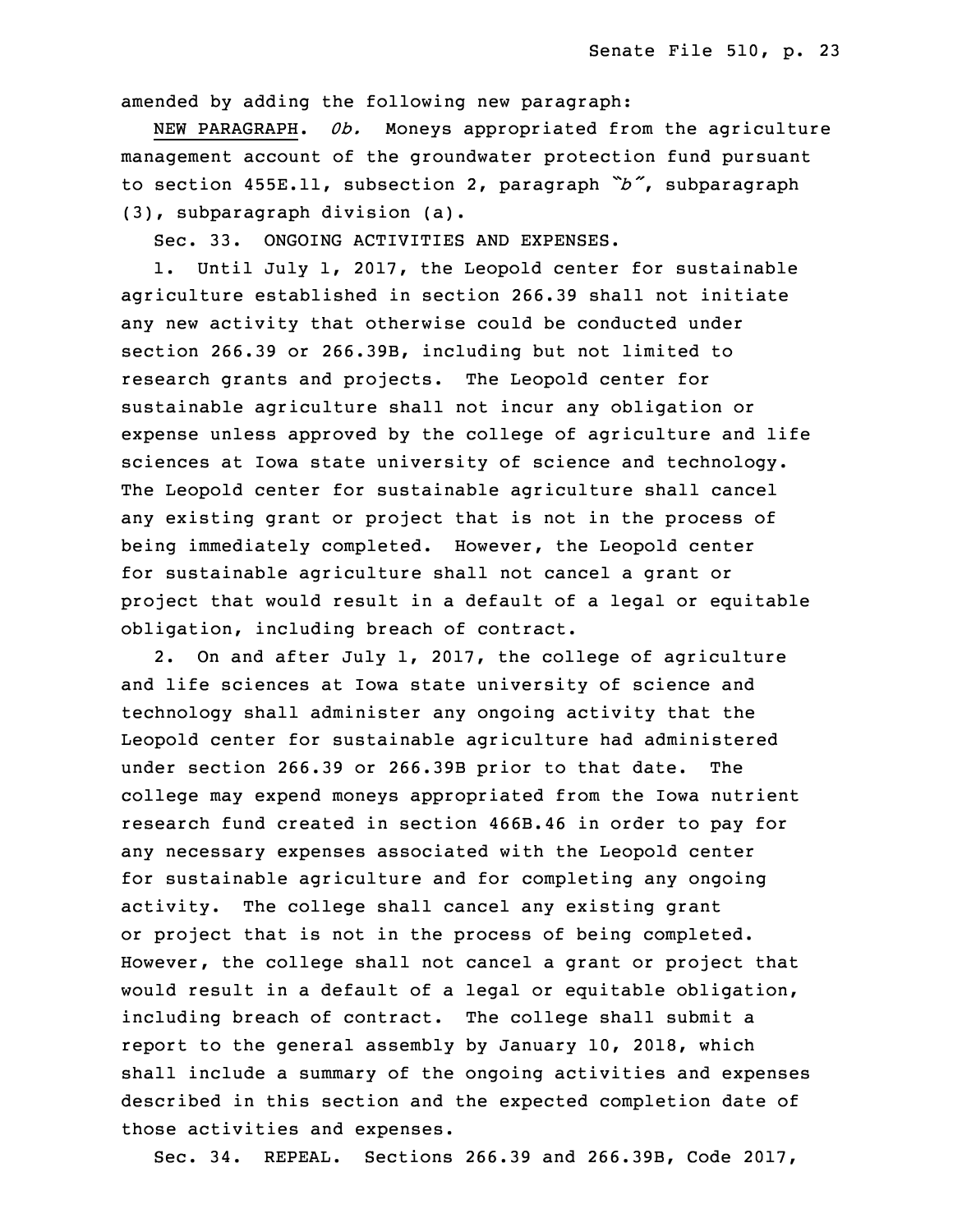amended by adding the following new paragraph:

 NEW PARAGRAPH. *0b.* Moneys appropriated from the agriculture management account of the groundwater protection fund pursuant <sup>3</sup> to section 455E.11, subsection 2, paragraph *"b"*, subparagraph (3), subparagraph division (a).

5 Sec. 33. ONGOING ACTIVITIES AND EXPENSES.

1. Until July 1, 2017, the Leopold center for sustainable agriculture established in section 266.39 shall not initiate any new activity that otherwise could be conducted under section 266.39 or 266.39B, including but not limited to research grants and projects. The Leopold center for sustainable agriculture shall not incur any obligation or expense unless approved by the college of agriculture and life sciences at Iowa state university of science and technology. The Leopold center for sustainable agriculture shall cancel any existing grant or project that is not in the process of being immediately completed. However, the Leopold center for sustainable agriculture shall not cancel a grant or project that would result in a default of a legal or equitable obligation, including breach of contract.

2. On and after July 1, 2017, the college of agriculture and life sciences at Iowa state university of science and technology shall administer any ongoing activity that the Leopold center for sustainable agriculture had administered under section 266.39 or 266.39B prior to that date. The college may expend moneys appropriated from the Iowa nutrient research fund created in section 466B.46 in order to pay for any necessary expenses associated with the Leopold center for sustainable agriculture and for completing any ongoing activity. The college shall cancel any existing grant or project that is not in the process of being completed. However, the college shall not cancel a grant or project that would result in a default of a legal or equitable obligation, including breach of contract. The college shall submit a report to the general assembly by January 10, 2018, which shall include a summary of the ongoing activities and expenses described in this section and the expected completion date of those activities and expenses.

3 Sec. 34. REPEAL. Sections 266.39 and 266.39B, Code 2017,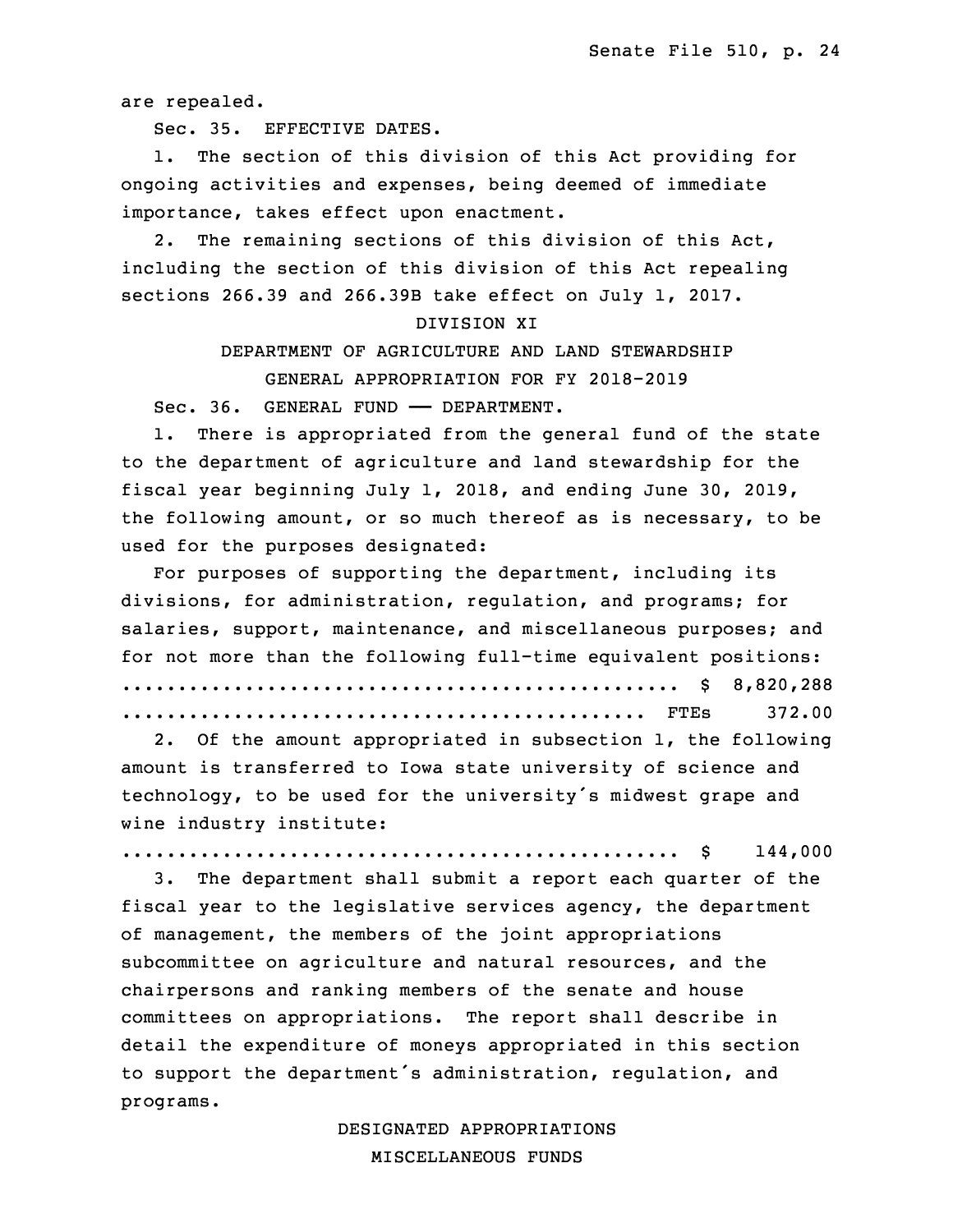are repealed.

5 Sec. 35. EFFECTIVE DATES.

1. The section of this division of this Act providing for ongoing activities and expenses, being deemed of immediate importance, takes effect upon enactment.

2. The remaining sections of this division of this Act, including the section of this division of this Act repealing sections 266.39 and 266.39B take effect on July 1, 2017.

#### DIVISION XI

DEPARTMENT OF AGRICULTURE AND LAND STEWARDSHIP GENERAL APPROPRIATION FOR FY 2018-2019

Sec. 36. GENERAL FUND - DEPARTMENT.

1. There is appropriated from the general fund of the state to the department of agriculture and land stewardship for the fiscal year beginning July 1, 2018, and ending June 30, 2019, the following amount, or so much thereof as is necessary, to be used for the purposes designated:

 For purposes of supporting the department, including its divisions, for administration, regulation, and programs; for salaries, support, maintenance, and miscellaneous purposes; and for not more than the following full-time equivalent positions: 25 .................................................. \$ 8,820,288 26 ............................................... FTEs 372.00

2. Of the amount appropriated in subsection 1, the following amount is transferred to Iowa state university of science and technology, to be used for the university's midwest grape and wine industry institute:

31 .................................................. \$ 144,000

3. The department shall submit a report each quarter of the fiscal year to the legislative services agency, the department of management, the members of the joint appropriations subcommittee on agriculture and natural resources, and the chairpersons and ranking members of the senate and house committees on appropriations. The report shall describe in detail the expenditure of moneys appropriated in this section to support the department's administration, regulation, and programs.

> 6 DESIGNATED APPROPRIATIONS 7 MISCELLANEOUS FUNDS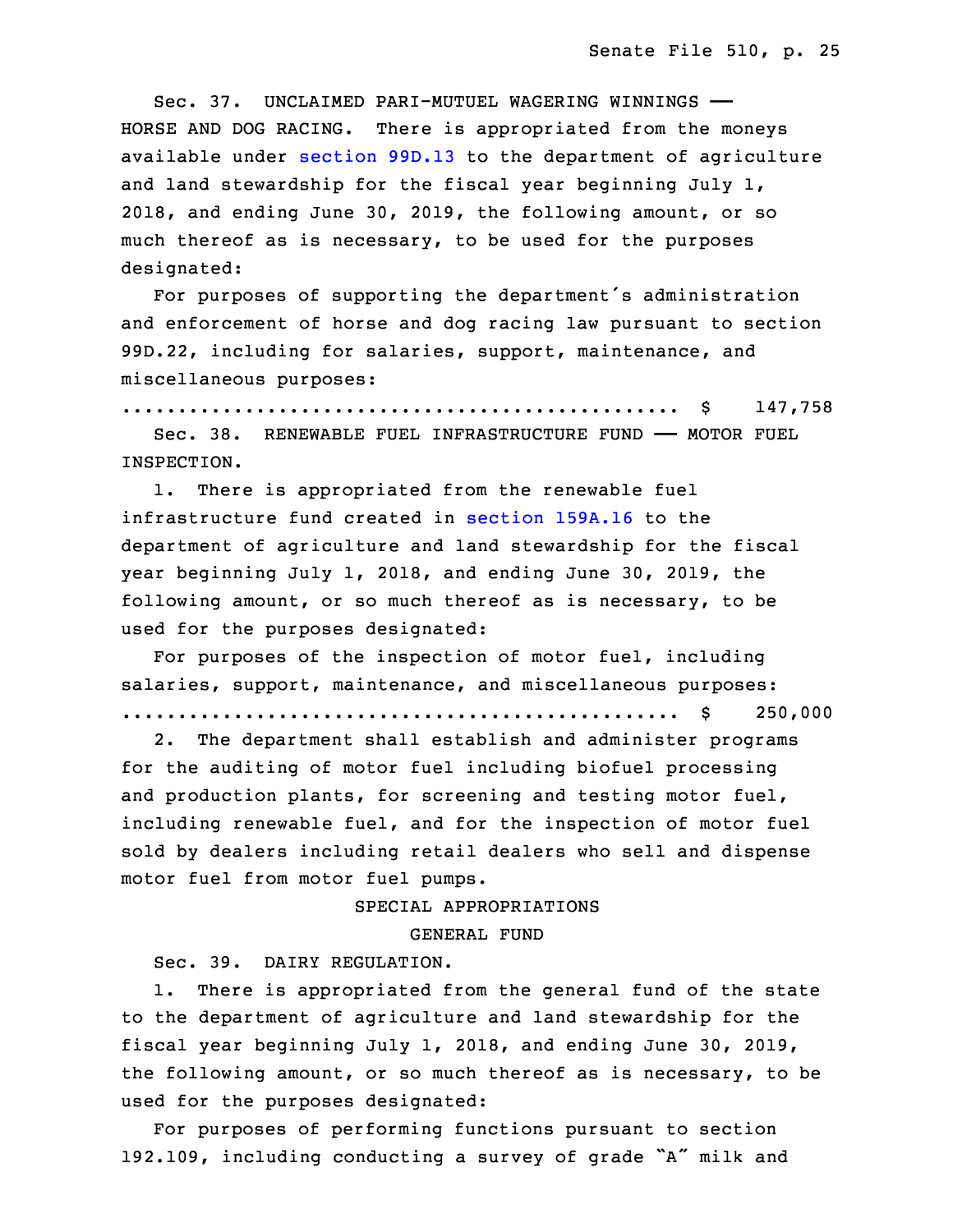Sec. 37. UNCLAIMED PARI-MUTUEL WAGERING WINNINGS -HORSE AND DOG RACING. There is appropriated from the moneys available under [section](https://www.legis.iowa.gov/docs/code/2017/99D.13.pdf) 99D.13 to the department of agriculture and land stewardship for the fiscal year beginning July 1, 2018, and ending June 30, 2019, the following amount, or so much thereof as is necessary, to be used for the purposes designated:

For purposes of supporting the department's administration and enforcement of horse and dog racing law pursuant to section 99D.22, including for salaries, support, maintenance, and miscellaneous purposes:

19 .................................................. \$ 147,758

Sec. 38. RENEWABLE FUEL INFRASTRUCTURE FUND - MOTOR FUEL INSPECTION.

 1. There is appropriated from the renewable fuel infrastructure fund created in [section](https://www.legis.iowa.gov/docs/code/2017/159A.16.pdf) 159A.16 to the department of agriculture and land stewardship for the fiscal year beginning July 1, 2018, and ending June 30, 2019, the following amount, or so much thereof as is necessary, to be used for the purposes designated:

For purposes of the inspection of motor fuel, including salaries, support, maintenance, and miscellaneous purposes: 30 .................................................. \$ 250,000

2. The department shall establish and administer programs for the auditing of motor fuel including biofuel processing and production plants, for screening and testing motor fuel, including renewable fuel, and for the inspection of motor fuel sold by dealers including retail dealers who sell and dispense motor fuel from motor fuel pumps.

SPECIAL APPROPRIATIONS

#### GENERAL FUND

Sec. 39. DAIRY REGULATION.

1. There is appropriated from the general fund of the state to the department of agriculture and land stewardship for the fiscal year beginning July 1, 2018, and ending June 30, 2019, the following amount, or so much thereof as is necessary, to be used for the purposes designated:

For purposes of performing functions pursuant to section 192.109, including conducting <sup>a</sup> survey of grade "A" milk and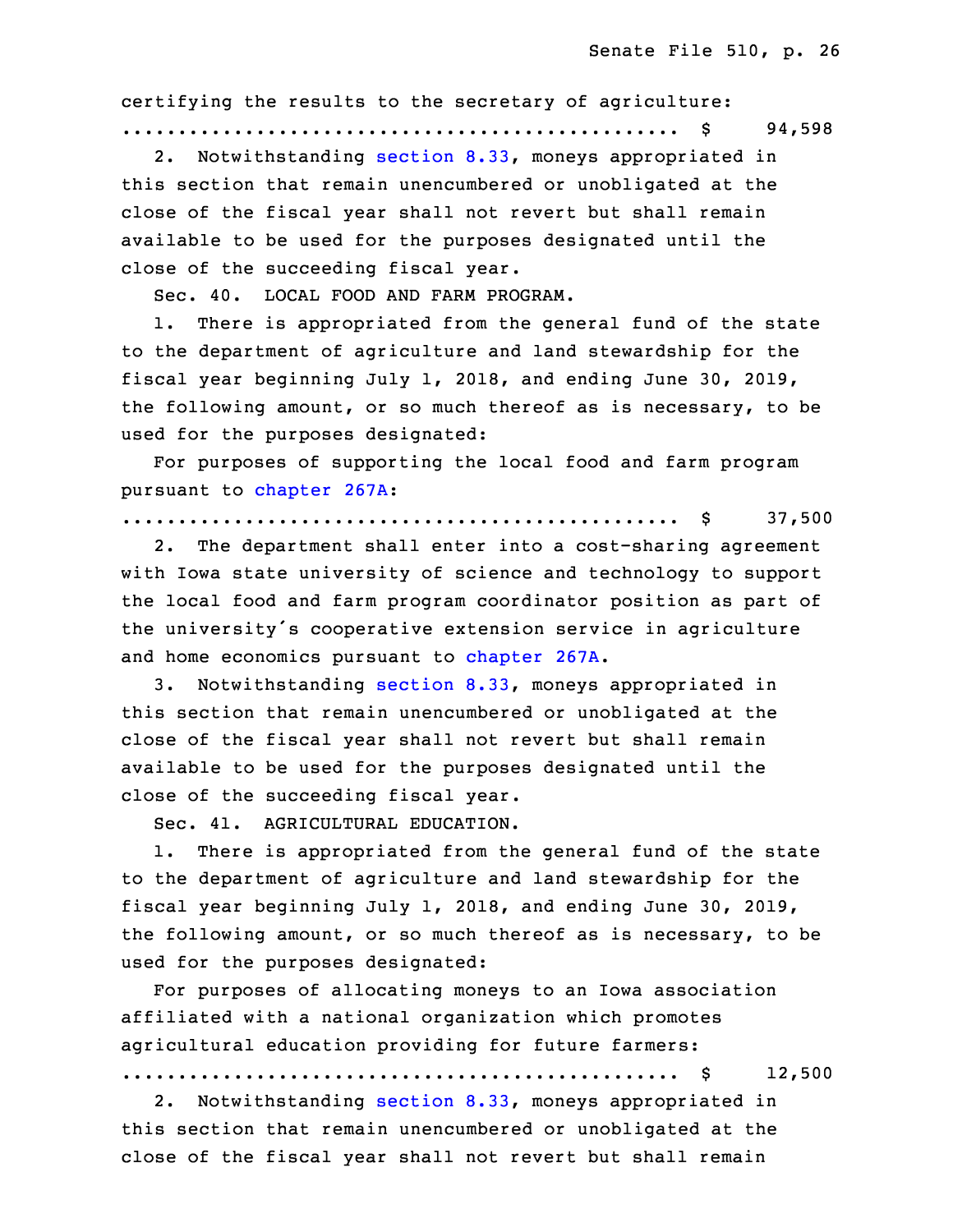certifying the results to the secretary of agriculture:

13 .................................................. \$ 94,598

 2. Notwithstanding [section](https://www.legis.iowa.gov/docs/code/2017/8.33.pdf) 8.33, moneys appropriated in this section that remain unencumbered or unobligated at the close of the fiscal year shall not revert but shall remain available to be used for the purposes designated until the close of the succeeding fiscal year.

Sec. 40. LOCAL FOOD AND FARM PROGRAM.

1. There is appropriated from the general fund of the state to the department of agriculture and land stewardship for the fiscal year beginning July 1, 2018, and ending June 30, 2019, the following amount, or so much thereof as is necessary, to be used for the purposes designated:

For purposes of supporting the local food and farm program 26 pursuant to [chapter](https://www.legis.iowa.gov/docs/code/2017/267A.pdf) 267A:

27 .................................................. \$ 37,500

2. The department shall enter into a cost-sharing agreement with Iowa state university of science and technology to support the local food and farm program coordinator position as part of the university's cooperative extension service in agriculture and home economics pursuant to [chapter](https://www.legis.iowa.gov/docs/code/2017/267A.pdf) 267A.

33 3. Notwithstanding [section](https://www.legis.iowa.gov/docs/code/2017/8.33.pdf) 8.33, moneys appropriated in this section that remain unencumbered or unobligated at the close of the fiscal year shall not revert but shall remain available to be used for the purposes designated until the close of the succeeding fiscal year.

3 Sec. 41. AGRICULTURAL EDUCATION.

 1. There is appropriated from the general fund of the state to the department of agriculture and land stewardship for the 6 fiscal year beginning July 1, 2018, and ending June 30, 2019, the following amount, or so much thereof as is necessary, to be used for the purposes designated:

9 For purposes of allocating moneys to an Iowa association affiliated with a national organization which promotes agricultural education providing for future farmers:

.................................................. \$ 12,500

2. Notwithstanding [section](https://www.legis.iowa.gov/docs/code/2017/8.33.pdf) 8.33, moneys appropriated in this section that remain unencumbered or unobligated at the close of the fiscal year shall not revert but shall remain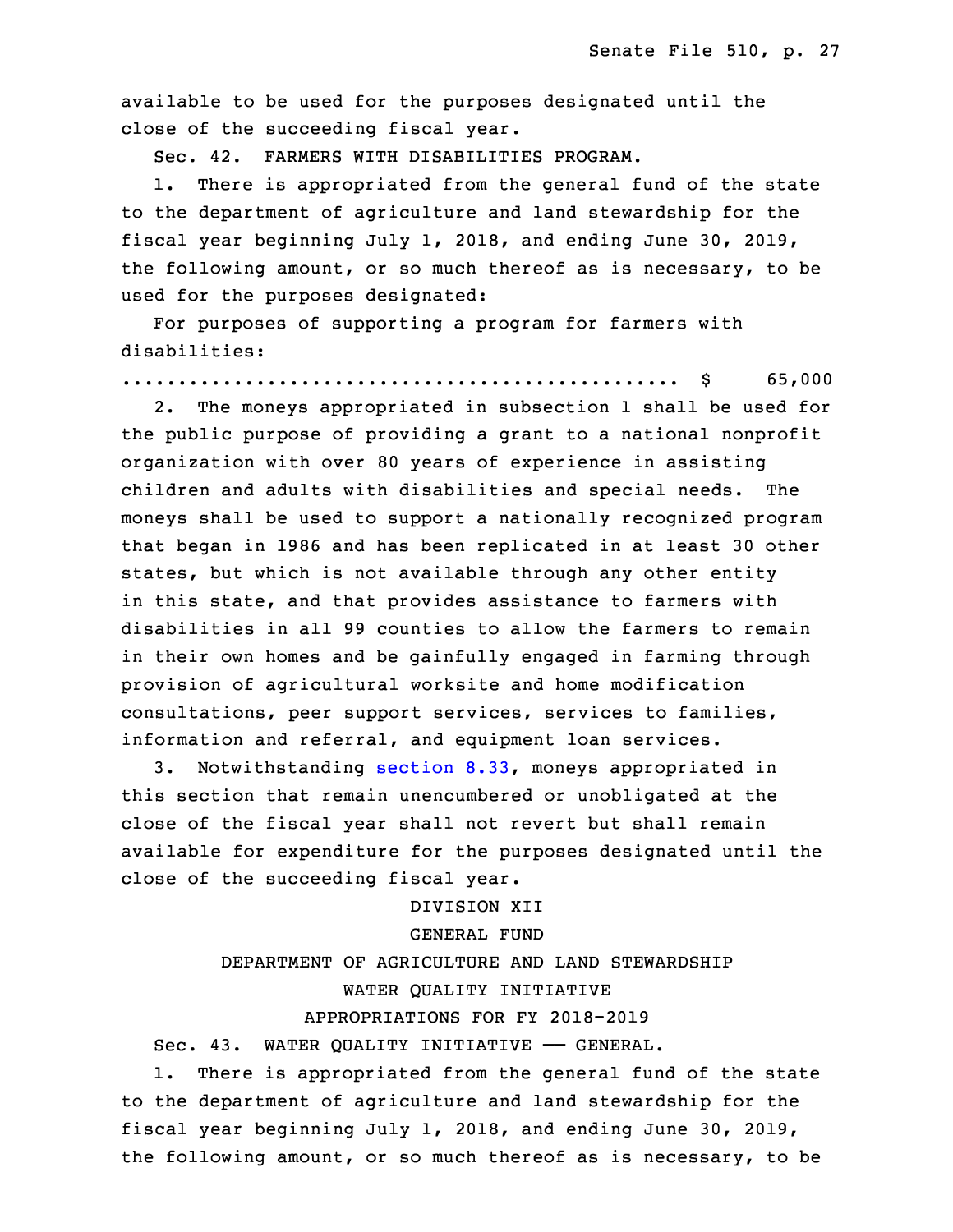available to be used for the purposes designated until the close of the succeeding fiscal year.

Sec. 42. FARMERS WITH DISABILITIES PROGRAM.

1. There is appropriated from the general fund of the state to the department of agriculture and land stewardship for the fiscal year beginning July 1, 2018, and ending June 30, 2019, the following amount, or so much thereof as is necessary, to be used for the purposes designated:

 For purposes of supporting <sup>a</sup> program for farmers with disabilities:

26 .................................................. \$ 65,000

2. The moneys appropriated in subsection 1 shall be used for the public purpose of providing a grant to a national nonprofit organization with over 80 years of experience in assisting children and adults with disabilities and special needs. The moneys shall be used to support a nationally recognized program that began in 1986 and has been replicated in at least 30 other states, but which is not available through any other entity in this state, and that provides assistance to farmers with disabilities in all 99 counties to allow the farmers to remain in their own homes and be gainfully engaged in farming through provision of agricultural worksite and home modification consultations, peer support services, services to families, information and referral, and equipment loan services.

5 3. Notwithstanding [section](https://www.legis.iowa.gov/docs/code/2017/8.33.pdf) 8.33, moneys appropriated in this section that remain unencumbered or unobligated at the close of the fiscal year shall not revert but shall remain available for expenditure for the purposes designated until the close of the succeeding fiscal year.

10 DIVISION XII

# GENERAL FUND

# DEPARTMENT OF AGRICULTURE AND LAND STEWARDSHIP WATER QUALITY INITIATIVE

## APPROPRIATIONS FOR FY 2018-2019

Sec. 43. WATER QUALITY INITIATIVE - GENERAL.

1. There is appropriated from the general fund of the state to the department of agriculture and land stewardship for the fiscal year beginning July 1, 2018, and ending June 30, 2019, the following amount, or so much thereof as is necessary, to be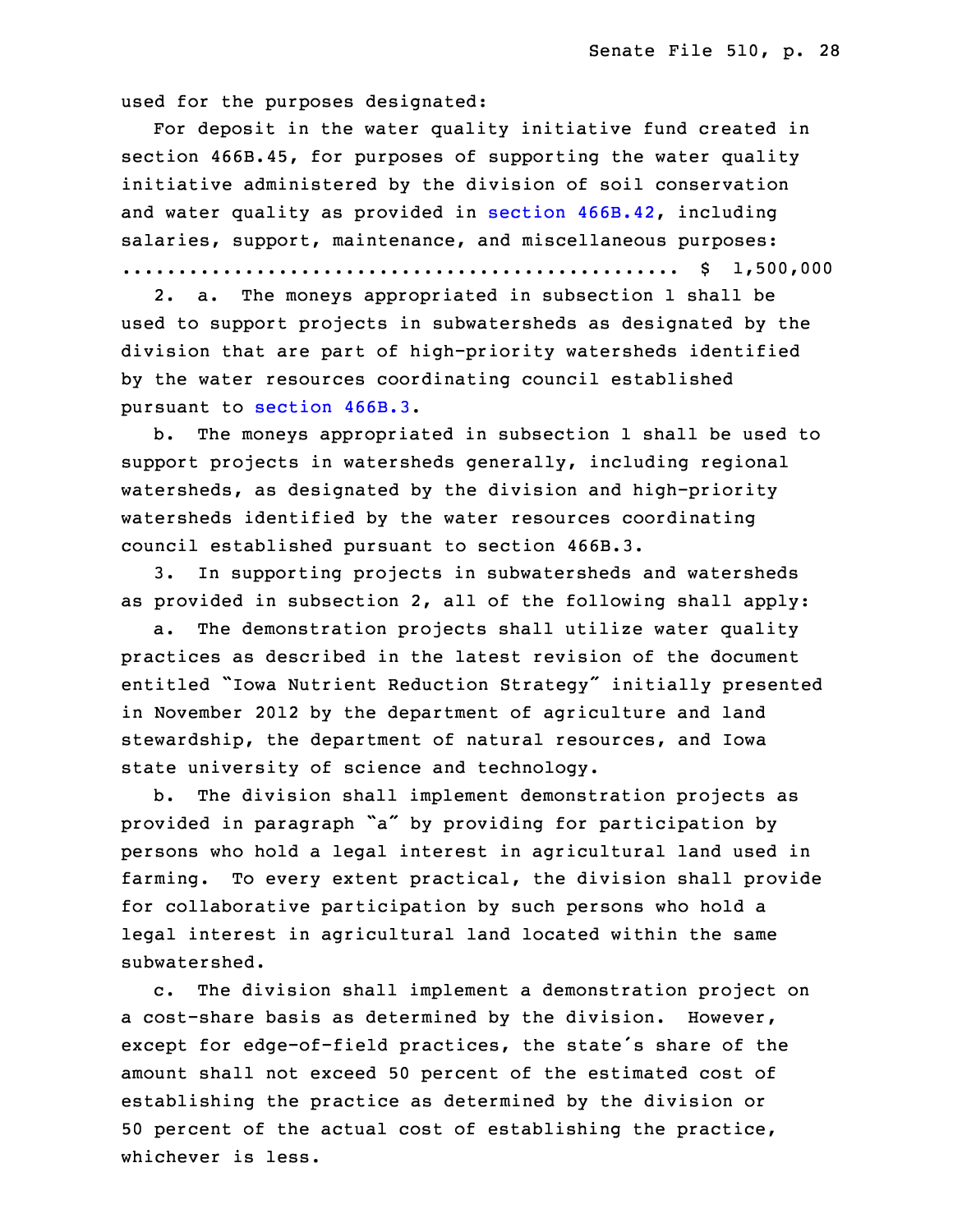used for the purposes designated:

 For deposit in the water quality initiative fund created in section 466B.45, for purposes of supporting the water quality initiative administered by the division of soil conservation and water quality as provided in section [466B.42](https://www.legis.iowa.gov/docs/code/2017/466B.42.pdf), including salaries, support, maintenance, and miscellaneous purposes: 26 .................................................. \$ 1,500,000

2. a. The moneys appropriated in subsection 1 shall be used to support projects in subwatersheds as designated by the division that are part of high-priority watersheds identified by the water resources coordinating council established pursuant to [section](https://www.legis.iowa.gov/docs/code/2017/466B.3.pdf) 466B.3.

b. The moneys appropriated in subsection 1 shall be used to support projects in watersheds generally, including regional watersheds, as designated by the division and high-priority watersheds identified by the water resources coordinating council established pursuant to section 466B.3.

 3. In supporting projects in subwatersheds and watersheds as provided in subsection 2, all of the following shall apply:

 a. The demonstration projects shall utilize water quality practices as described in the latest revision of the document entitled "Iowa Nutrient Reduction Strategy" initially presented in November 2012 by the department of agriculture and land stewardship, the department of natural resources, and Iowa state university of science and technology.

b. The division shall implement demonstration projects as provided in paragraph "a" by providing for participation by persons who hold <sup>a</sup> legal interest in agricultural land used in farming. To every extent practical, the division shall provide for collaborative participation by such persons who hold <sup>a</sup> legal interest in agricultural land located within the same subwatershed.

c. The division shall implement a demonstration project on a cost-share basis as determined by the division. However, except for edge-of-field practices, the state's share of the amount shall not exceed 50 percent of the estimated cost of establishing the practice as determined by the division or 50 percent of the actual cost of establishing the practice, whichever is less.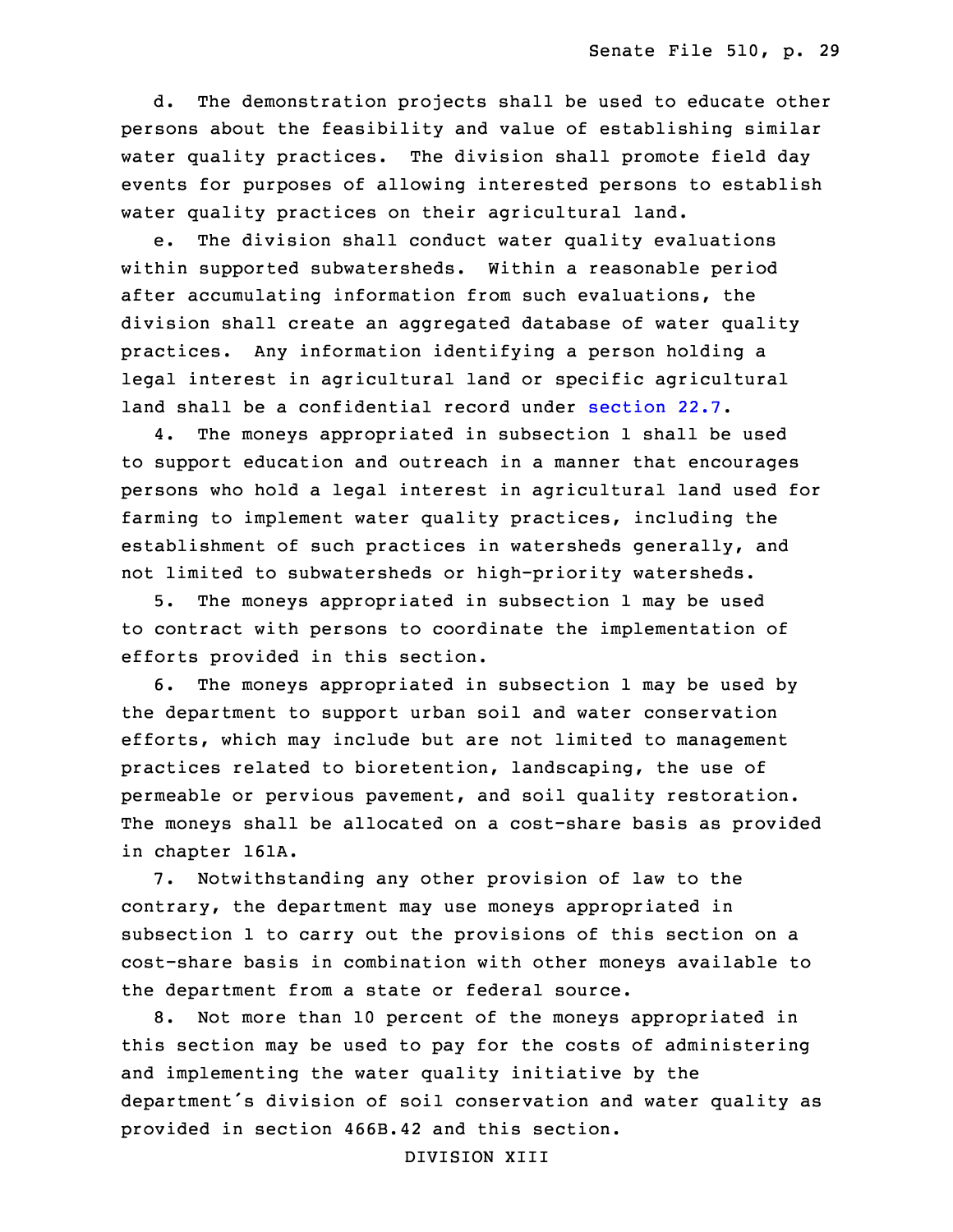d. The demonstration projects shall be used to educate other persons about the feasibility and value of establishing similar water quality practices. The division shall promote field day events for purposes of allowing interested persons to establish water quality practices on their agricultural land.

e. The division shall conduct water quality evaluations within supported subwatersheds. Within a reasonable period after accumulating information from such evaluations, the division shall create an aggregated database of water quality practices. Any information identifying a person holding a legal interest in agricultural land or specific agricultural land shall be a confidential record under [section](https://www.legis.iowa.gov/docs/code/2017/22.7.pdf) 22.7.

 4. The moneys appropriated in subsection 1 shall be used to support education and outreach in <sup>a</sup> manner that encourages persons who hold a legal interest in agricultural land used for farming to implement water quality practices, including the establishment of such practices in watersheds generally, and not limited to subwatersheds or high-priority watersheds.

5. The moneys appropriated in subsection 1 may be used to contract with persons to coordinate the implementation of efforts provided in this section.

6. The moneys appropriated in subsection 1 may be used by the department to support urban soil and water conservation efforts, which may include but are not limited to management practices related to bioretention, landscaping, the use of permeable or pervious pavement, and soil quality restoration. The moneys shall be allocated on a cost-share basis as provided in chapter 161A.

7. Notwithstanding any other provision of law to the contrary, the department may use moneys appropriated in subsection 1 to carry out the provisions of this section on a cost-share basis in combination with other moneys available to the department from <sup>a</sup> state or federal source.

 8. Not more than 10 percent of the moneys appropriated in this section may be used to pay for the costs of administering and implementing the water quality initiative by the department's division of soil conservation and water quality as provided in section 466B.42 and this section.

DIVISION XIII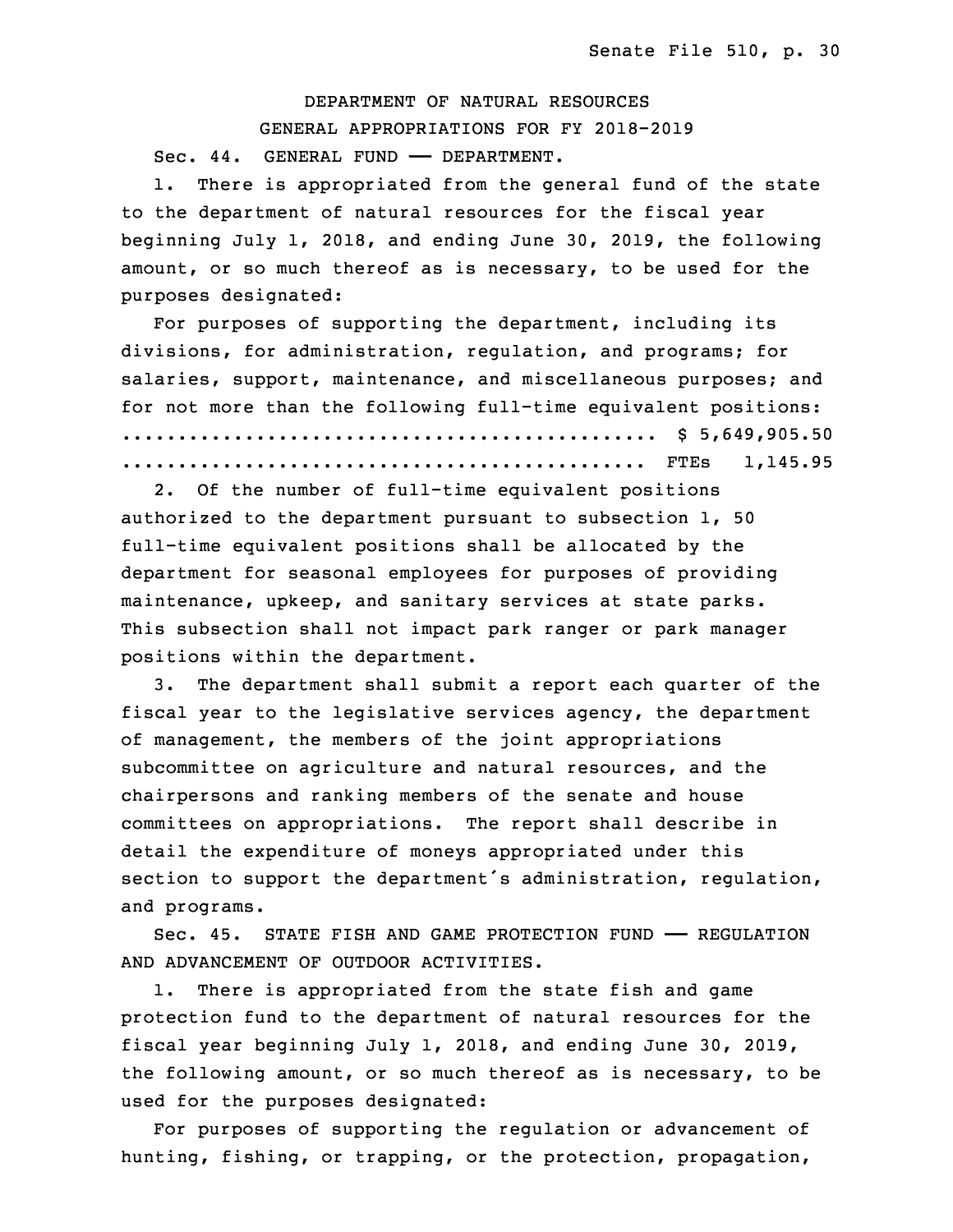28 DEPARTMENT OF NATURAL RESOURCES 29 GENERAL APPROPRIATIONS FOR FY 2018-2019 Sec. 44. GENERAL FUND - DEPARTMENT.

1. There is appropriated from the general fund of the state to the department of natural resources for the fiscal year beginning July 1, 2018, and ending June 30, 2019, the following amount, or so much thereof as is necessary, to be used for the purposes designated:

 For purposes of supporting the department, including its divisions, for administration, regulation, and programs; for salaries, support, maintenance, and miscellaneous purposes; and for not more than the following full-time equivalent positions: 5 ................................................ \$ 5,649,905.50 6 ............................................... FTEs 1,145.95

2. Of the number of full-time equivalent positions authorized to the department pursuant to subsection  $1$ , 50 full-time equivalent positions shall be allocated by the department for seasonal employees for purposes of providing maintenance, upkeep, and sanitary services at state parks. This subsection shall not impact park ranger or park manager positions within the department.

 3. The department shall submit <sup>a</sup> report each quarter of the fiscal year to the legislative services agency, the department of management, the members of the joint appropriations subcommittee on agriculture and natural resources, and the chairpersons and ranking members of the senate and house committees on appropriations. The report shall describe in detail the expenditure of moneys appropriated under this section to support the department's administration, regulation, and programs.

23 Sec. 45. STATE FISH AND GAME PROTECTION FUND —— REGULATION AND ADVANCEMENT OF OUTDOOR ACTIVITIES.

1. There is appropriated from the state fish and game protection fund to the department of natural resources for the fiscal year beginning July 1, 2018, and ending June 30, 2019, the following amount, or so much thereof as is necessary, to be used for the purposes designated:

For purposes of supporting the regulation or advancement of hunting, fishing, or trapping, or the protection, propagation,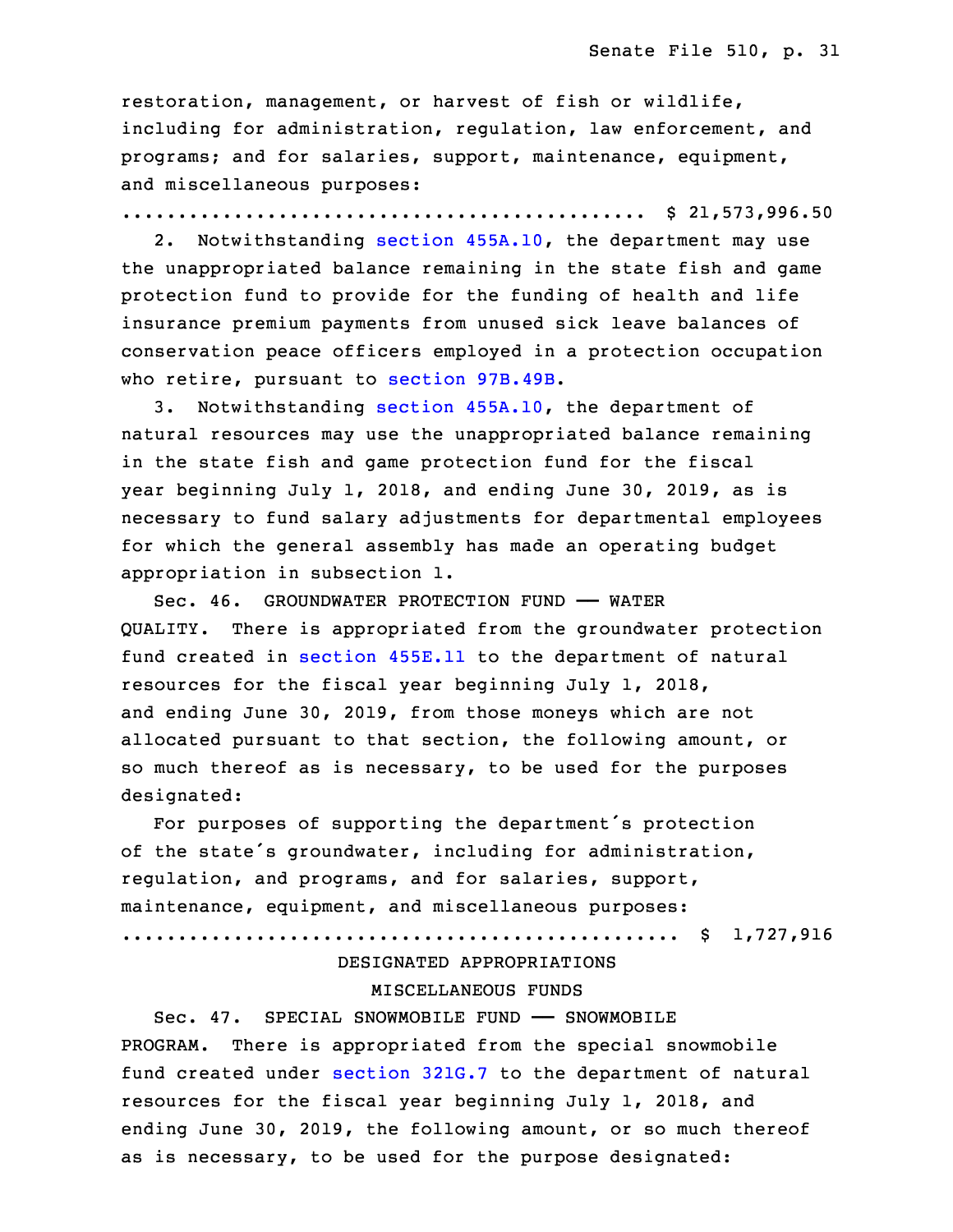restoration, management, or harvest of fish or wildlife, including for administration, regulation, law enforcement, and programs; and for salaries, support, maintenance, equipment, and miscellaneous purposes:

............................................... \$ 21,573,996.50

 2. Notwithstanding section [455A.10](https://www.legis.iowa.gov/docs/code/2017/455A.10.pdf), the department may use the unappropriated balance remaining in the state fish and game protection fund to provide for the funding of health and life insurance premium payments from unused sick leave balances of 6 conservation peace officers employed in <sup>a</sup> protection occupation who retire, pursuant to section [97B.49B](https://www.legis.iowa.gov/docs/code/2017/97B.49B.pdf).

3. Notwithstanding section [455A.10](https://www.legis.iowa.gov/docs/code/2017/455A.10.pdf), the department of natural resources may use the unappropriated balance remaining in the state fish and game protection fund for the fiscal year beginning July 1, 2018, and ending June 30, 2019, as is necessary to fund salary adjustments for departmental employees for which the general assembly has made an operating budget appropriation in subsection 1.

15 Sec. 46. GROUNDWATER PROTECTION FUND —— WATER QUALITY. There is appropriated from the groundwater protection fund created in [section](https://www.legis.iowa.gov/docs/code/2017/455E.11.pdf) 455E.11 to the department of natural resources for the fiscal year beginning July 1, 2018, and ending June 30, 2019, from those moneys which are not allocated pursuant to that section, the following amount, or so much thereof as is necessary, to be used for the purposes designated:

For purposes of supporting the department's protection of the state's groundwater, including for administration, regulation, and programs, and for salaries, support, maintenance, equipment, and miscellaneous purposes:

27 .................................................. \$ 1,727,916

# DESIGNATED APPROPRIATIONS MISCELLANEOUS FUNDS

Sec. 47. SPECIAL SNOWMOBILE FUND - SNOWMOBILE PROGRAM. There is appropriated from the special snowmobile fund created under [section](https://www.legis.iowa.gov/docs/code/2017/321G.7.pdf) 321G.7 to the department of natural resources for the fiscal year beginning July 1, 2018, and ending June 30, 2019, the following amount, or so much thereof as is necessary, to be used for the purpose designated: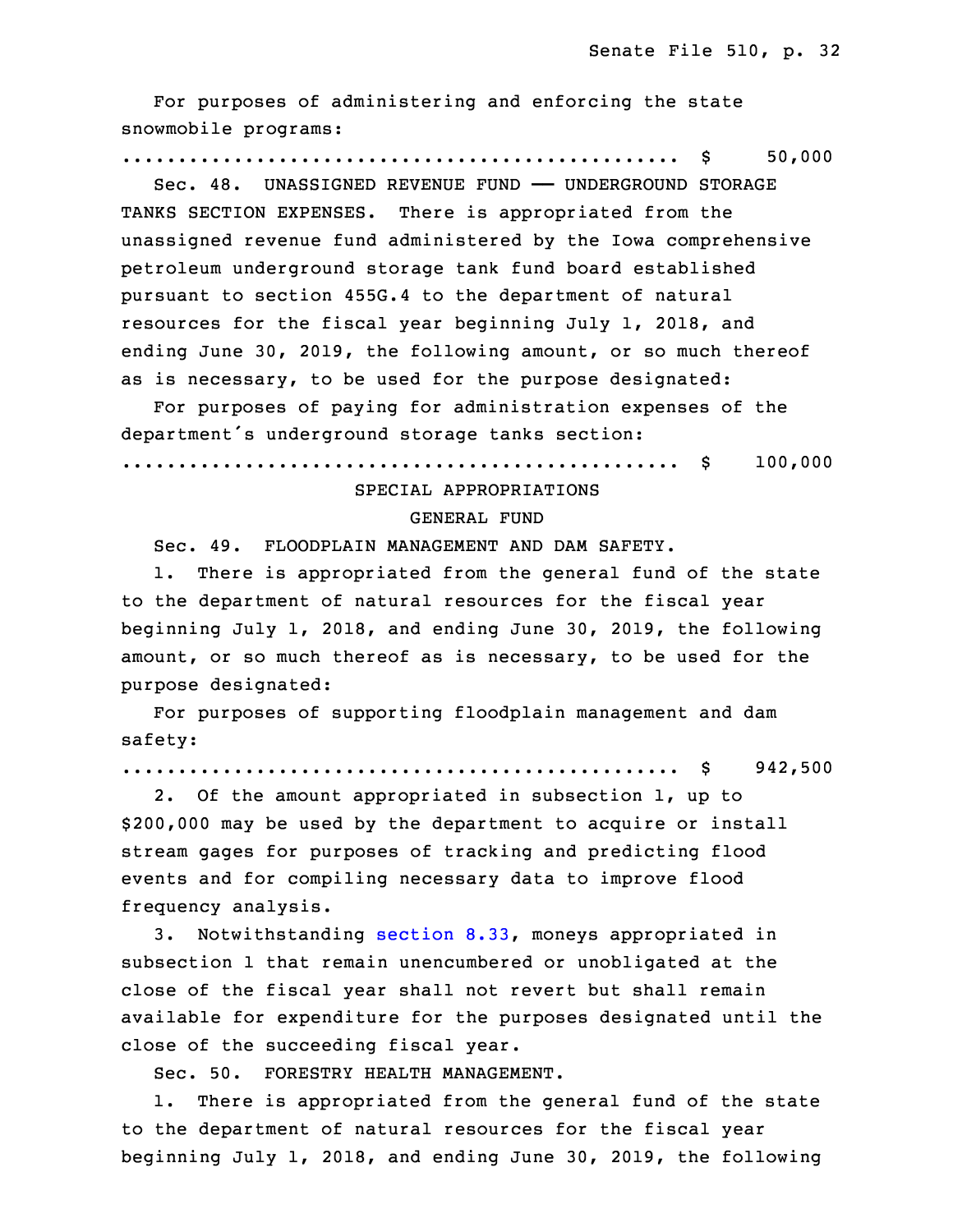For purposes of administering and enforcing the state snowmobile programs:

## 3 .................................................. \$ 50,000

 Sec. 48. UNASSIGNED REVENUE FUND —— UNDERGROUND STORAGE TANKS SECTION EXPENSES. There is appropriated from the unassigned revenue fund administered by the Iowa comprehensive 7 petroleum underground storage tank fund board established pursuant to section 455G.4 to the department of natural resources for the fiscal year beginning July 1, 2018, and ending June 30, 2019, the following amount, or so much thereof as is necessary, to be used for the purpose designated:

 For purposes of paying for administration expenses of the department's underground storage tanks section:

.................................................. \$ 100,000

## SPECIAL APPROPRIATIONS

#### GENERAL FUND

Sec. 49. FLOODPLAIN MANAGEMENT AND DAM SAFETY.

1. There is appropriated from the general fund of the state to the department of natural resources for the fiscal year 20 beginning July 1, 2018, and ending June 30, 2019, the following amount, or so much thereof as is necessary, to be used for the purpose designated:

For purposes of supporting floodplain management and dam safety:

25 .................................................. \$ 942,500

2. Of the amount appropriated in subsection 1, up to \$200,000 may be used by the department to acquire or install stream gages for purposes of tracking and predicting flood events and for compiling necessary data to improve flood frequency analysis.

3. Notwithstanding [section](https://www.legis.iowa.gov/docs/code/2017/8.33.pdf) 8.33, moneys appropriated in subsection 1 that remain unencumbered or unobligated at the close of the fiscal year shall not revert but shall remain available for expenditure for the purposes designated until the close of the succeeding fiscal year.

Sec. 50. FORESTRY HEALTH MANAGEMENT.

 1. There is appropriated from the general fund of the state to the department of natural resources for the fiscal year beginning July 1, 2018, and ending June 30, 2019, the following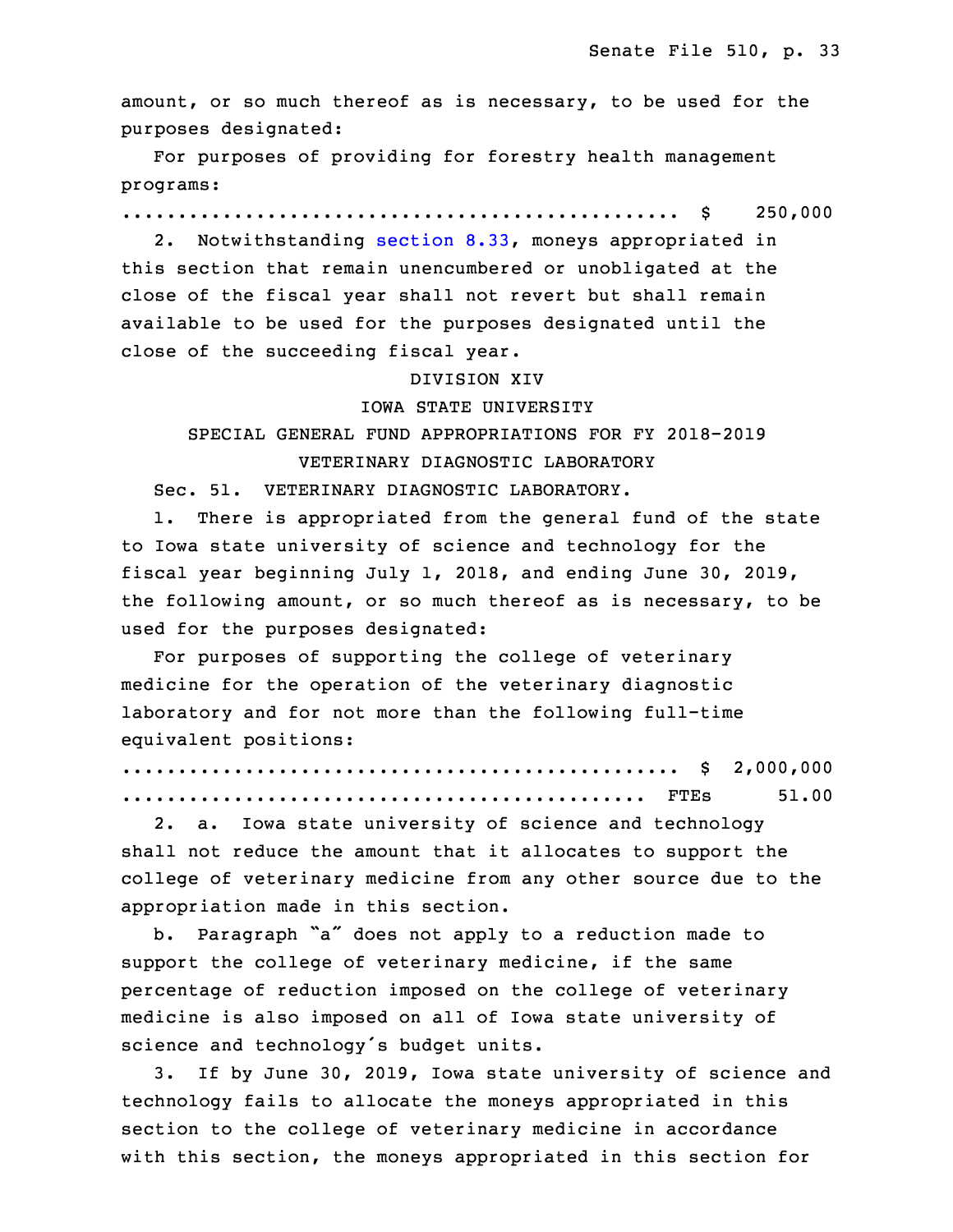amount, or so much thereof as is necessary, to be used for the purposes designated:

For purposes of providing for forestry health management programs:

9 .................................................. \$ 250,000

2. Notwithstanding [section](https://www.legis.iowa.gov/docs/code/2017/8.33.pdf) 8.33, moneys appropriated in this section that remain unencumbered or unobligated at the close of the fiscal year shall not revert but shall remain available to be used for the purposes designated until the close of the succeeding fiscal year.

#### 15 DIVISION XIV

#### 16 IOWA STATE UNIVERSITY

# 17 SPECIAL GENERAL FUND APPROPRIATIONS FOR FY 2018-2019 VETERINARY DIAGNOSTIC LABORATORY

Sec. 51. VETERINARY DIAGNOSTIC LABORATORY.

1. There is appropriated from the general fund of the state to Iowa state university of science and technology for the fiscal year beginning July 1, 2018, and ending June 30, 2019, the following amount, or so much thereof as is necessary, to be used for the purposes designated:

For purposes of supporting the college of veterinary medicine for the operation of the veterinary diagnostic laboratory and for not more than the following full-time equivalent positions:

|  | 51.00 |
|--|-------|

2. a. Iowa state university of science and technology shall not reduce the amount that it allocates to support the college of veterinary medicine from any other source due to the appropriation made in this section.

b. Paragraph "a" does not apply to a reduction made to support the college of veterinary medicine, if the same percentage of reduction imposed on the college of veterinary medicine is also imposed on all of Iowa state university of science and technology's budget units.

3. If by June 30, 2019, Iowa state university of science and technology fails to allocate the moneys appropriated in this section to the college of veterinary medicine in accordance with this section, the moneys appropriated in this section for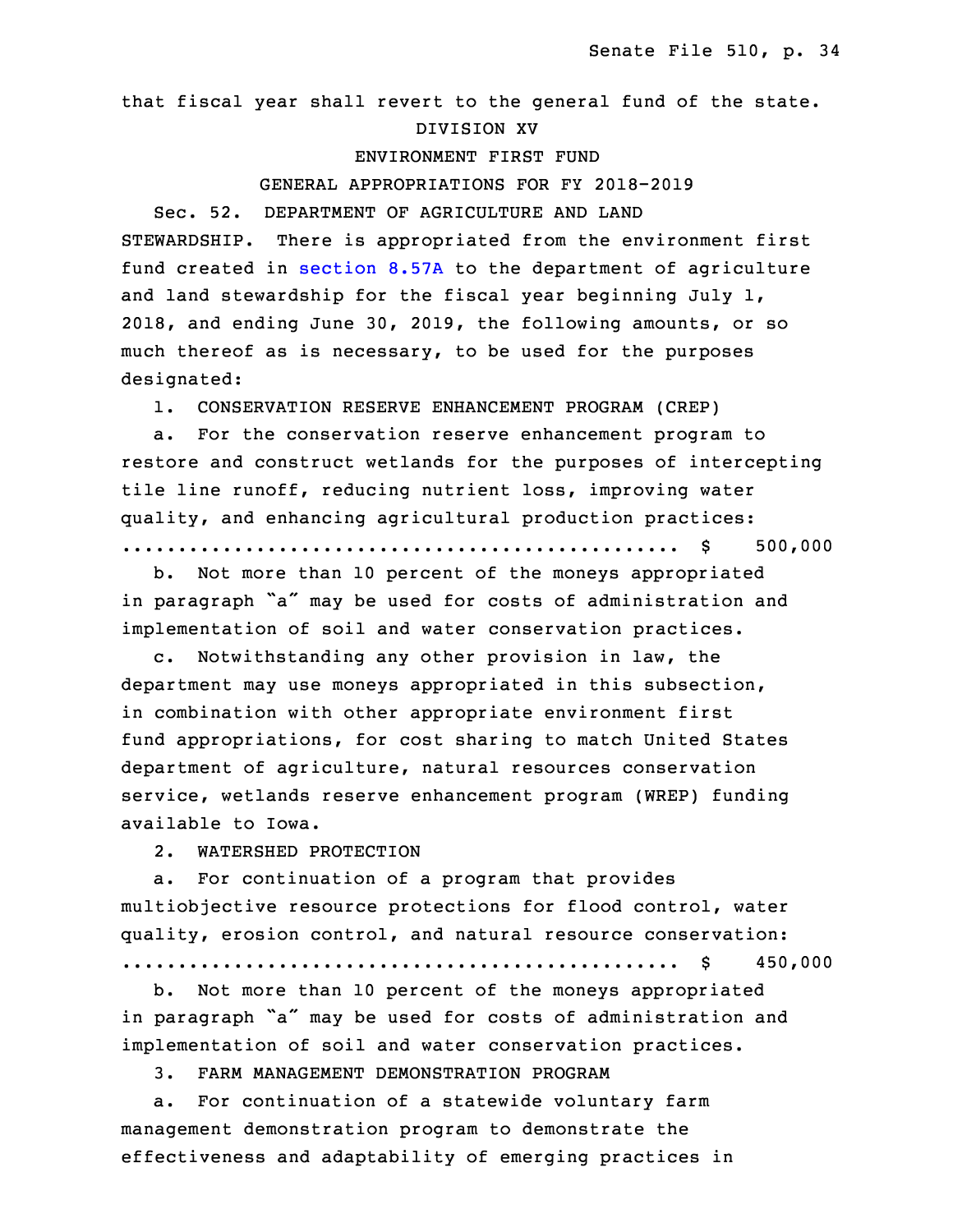that fiscal year shall revert to the general fund of the state. 10 DIVISION XV

#### ENVIRONMENT FIRST FUND

#### GENERAL APPROPRIATIONS FOR FY 2018-2019

Sec. 52. DEPARTMENT OF AGRICULTURE AND LAND STEWARDSHIP. There is appropriated from the environment first fund created in [section](https://www.legis.iowa.gov/docs/code/2017/8.57A.pdf) 8.57A to the department of agriculture and land stewardship for the fiscal year beginning July  $1$ , 2018, and ending June 30, 2019, the following amounts, or so much thereof as is necessary, to be used for the purposes designated:

1. CONSERVATION RESERVE ENHANCEMENT PROGRAM (CREP)

 a. For the conservation reserve enhancement program to restore and construct wetlands for the purposes of intercepting tile line runoff, reducing nutrient loss, improving water quality, and enhancing agricultural production practices:

25 .................................................. \$ 500,000

b. Not more than 10 percent of the moneys appropriated in paragraph "a" may be used for costs of administration and implementation of soil and water conservation practices.

c. Notwithstanding any other provision in law, the department may use moneys appropriated in this subsection, in combination with other appropriate environment first fund appropriations, for cost sharing to match United States department of agriculture, natural resources conservation service, wetlands reserve enhancement program (WREP) funding available to Iowa.

2. WATERSHED PROTECTION

 a. For continuation of <sup>a</sup> program that provides multiobjective resource protections for flood control, water quality, erosion control, and natural resource conservation:

5 .................................................. \$ 450,000

b. Not more than 10 percent of the moneys appropriated in paragraph "a" may be used for costs of administration and implementation of soil and water conservation practices.

9 3. FARM MANAGEMENT DEMONSTRATION PROGRAM

a. For continuation of a statewide voluntary farm management demonstration program to demonstrate the effectiveness and adaptability of emerging practices in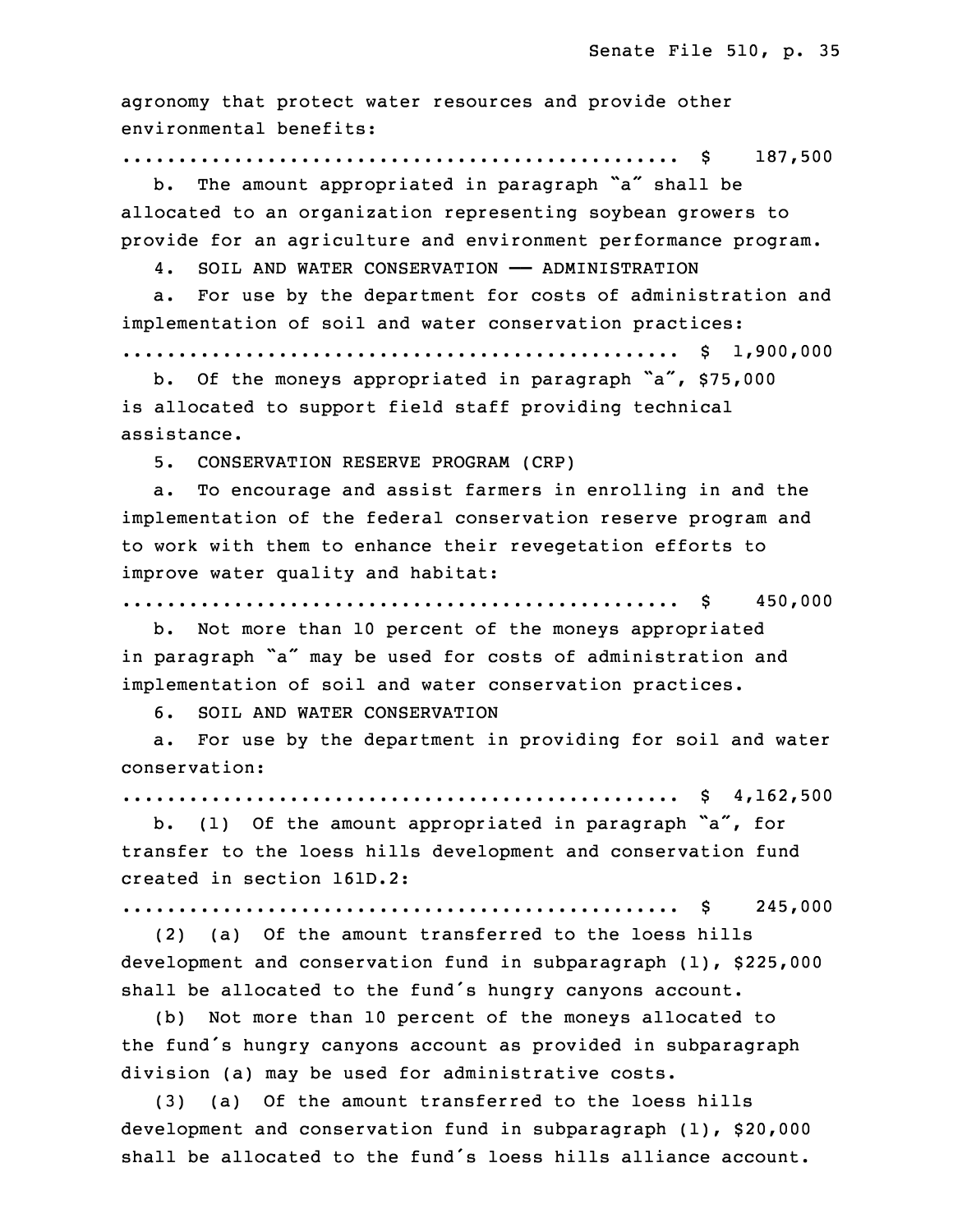agronomy that protect water resources and provide other environmental benefits:

# 15 .................................................. \$ 187,500

b. The amount appropriated in paragraph "a" shall be allocated to an organization representing soybean growers to provide for an agriculture and environment performance program.

4. SOIL AND WATER CONSERVATION - ADMINISTRATION

a. For use by the department for costs of administration and implementation of soil and water conservation practices:

.................................................. \$ 1,900,000

b. Of the moneys appropriated in paragraph "a", \$75,000 is allocated to support field staff providing technical assistance.

26 5. CONSERVATION RESERVE PROGRAM (CRP)

a. To encourage and assist farmers in enrolling in and the implementation of the federal conservation reserve program and to work with them to enhance their revegetation efforts to improve water quality and habitat:

31 .................................................. \$ 450,000

b. Not more than 10 percent of the moneys appropriated in paragraph "a" may be used for costs of administration and implementation of soil and water conservation practices.

35 6. SOIL AND WATER CONSERVATION

 a. For use by the department in providing for soil and water conservation:

3 .................................................. \$ 4,162,500

 b. (1) Of the amount appropriated in paragraph "a", for transfer to the loess hills development and conservation fund 6 created in section 161D.2:

7 .................................................. \$ 245,000

8 (2) (a) Of the amount transferred to the loess hills development and conservation fund in subparagraph (1), \$225,000 shall be allocated to the fund's hungry canyons account.

 (b) Not more than 10 percent of the moneys allocated to the fund's hungry canyons account as provided in subparagraph division (a) may be used for administrative costs.

 (3) (a) Of the amount transferred to the loess hills development and conservation fund in subparagraph  $(1)$ , \$20,000 shall be allocated to the fund's loess hills alliance account.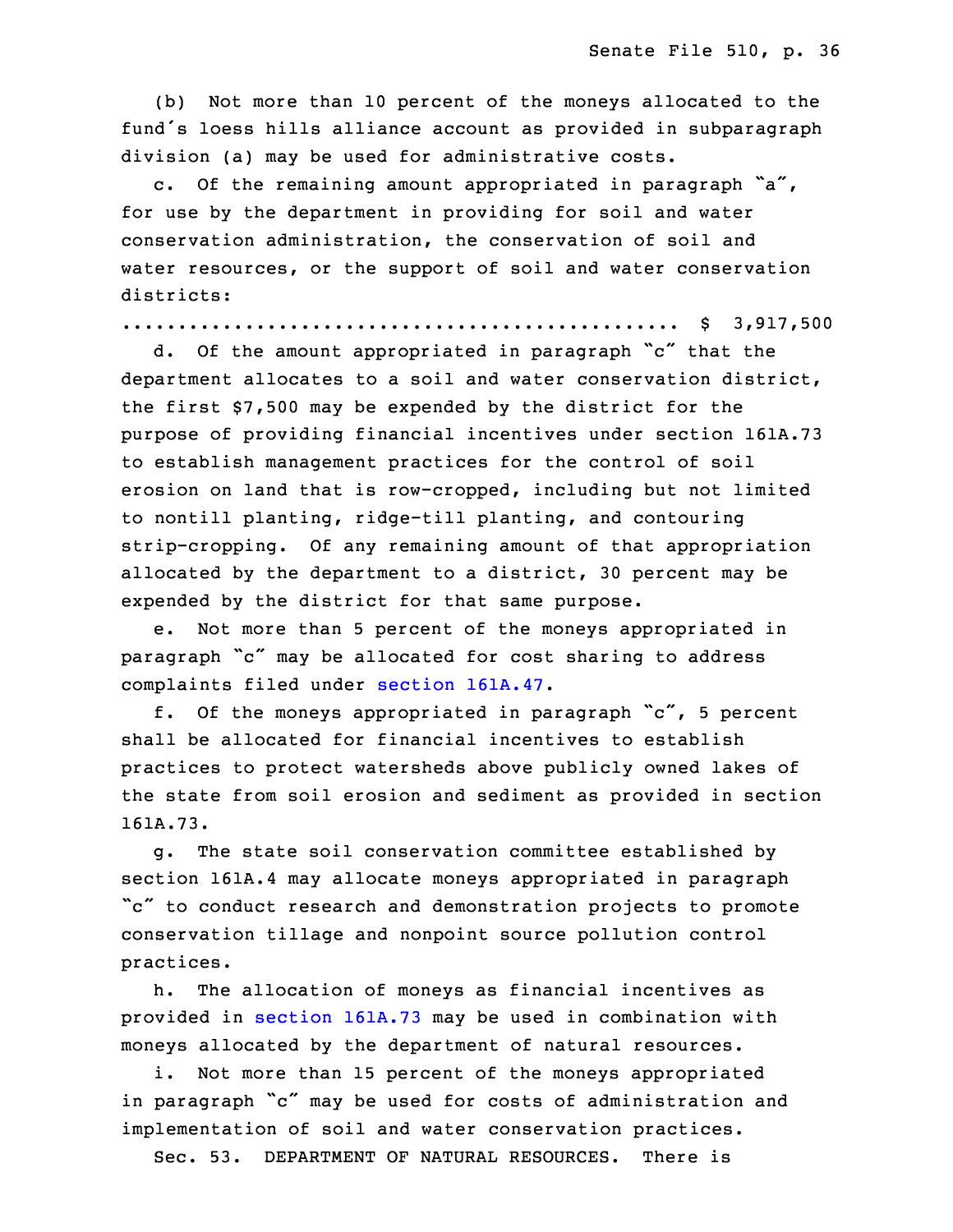(b) Not more than 10 percent of the moneys allocated to the fund's loess hills alliance account as provided in subparagraph division (a) may be used for administrative costs.

c. Of the remaining amount appropriated in paragraph  $a''$ , for use by the department in providing for soil and water conservation administration, the conservation of soil and water resources, or the support of soil and water conservation districts:

25 .................................................. \$ 3,917,500

<sup>26</sup> d. Of the amount appropriated in paragraph "c" that the department allocates to a soil and water conservation district, the first \$7,500 may be expended by the district for the 29 purpose of providing financial incentives under section 161A.73 to establish management practices for the control of soil erosion on land that is row-cropped, including but not limited to nontill planting, ridge-till planting, and contouring strip-cropping. Of any remaining amount of that appropriation allocated by the department to a district, 30 percent may be expended by the district for that same purpose.

 e. Not more than 5 percent of the moneys appropriated in paragraph "c" may be allocated for cost sharing to address complaints filed under section [161A.47](https://www.legis.iowa.gov/docs/code/2017/161A.47.pdf).

 f. Of the moneys appropriated in paragraph "c", <sup>5</sup> percent shall be allocated for financial incentives to establish practices to protect watersheds above publicly owned lakes of the state from soil erosion and sediment as provided in section 161A.73.

9 g. The state soil conservation committee established by section 161A.4 may allocate moneys appropriated in paragraph "c" to conduct research and demonstration projects to promote conservation tillage and nonpoint source pollution control practices.

 h. The allocation of moneys as financial incentives as provided in section [161A.73](https://www.legis.iowa.gov/docs/code/2017/161A.73.pdf) may be used in combination with moneys allocated by the department of natural resources.

i. Not more than 15 percent of the moneys appropriated in paragraph "c" may be used for costs of administration and implementation of soil and water conservation practices.

Sec. 53. DEPARTMENT OF NATURAL RESOURCES. There is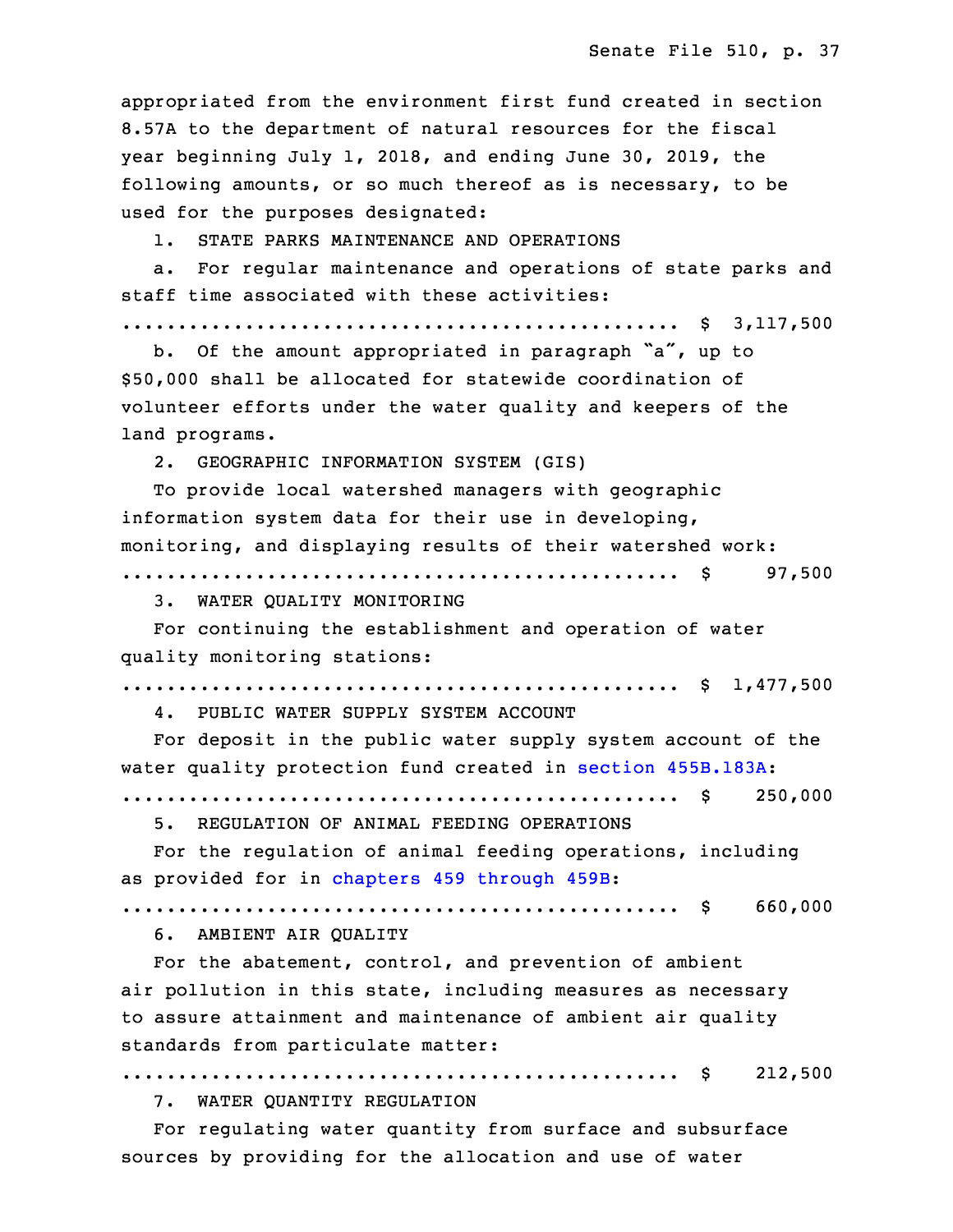appropriated from the environment first fund created in section 8.57A to the department of natural resources for the fiscal year beginning July 1, 2018, and ending June 30, 2019, the following amounts, or so much thereof as is necessary, to be used for the purposes designated:

1. STATE PARKS MAINTENANCE AND OPERATIONS

a. For regular maintenance and operations of state parks and staff time associated with these activities:

29 .................................................. \$ 3,117,500

b. Of the amount appropriated in paragraph "a", up to 31 \$50,000 shall be allocated for statewide coordination of volunteer efforts under the water quality and keepers of the land programs.

34 2. GEOGRAPHIC INFORMATION SYSTEM (GIS)

To provide local watershed managers with geographic information system data for their use in developing, monitoring, and displaying results of their watershed work: 3 .................................................. \$ 97,500

3. WATER QUALITY MONITORING

5 For continuing the establishment and operation of water quality monitoring stations:

7 .................................................. \$ 1,477,500

4. PUBLIC WATER SUPPLY SYSTEM ACCOUNT

For deposit in the public water supply system account of the water quality protection fund created in section [455B.183A](https://www.legis.iowa.gov/docs/code/2017/455B.183A.pdf):

.................................................. \$ 250,000

5. REGULATION OF ANIMAL FEEDING OPERATIONS

For the regulation of animal feeding operations, including as provided for in [chapters](https://www.legis.iowa.gov/docs/code/2017/459.pdf) 459 through 459B:

15 .................................................. \$ 660,000

16 6. AMBIENT AIR QUALITY

For the abatement, control, and prevention of ambient air pollution in this state, including measures as necessary to assure attainment and maintenance of ambient air quality standards from particulate matter:

.................................................. \$ 212,500

7. WATER QUANTITY REGULATION

For regulating water quantity from surface and subsurface sources by providing for the allocation and use of water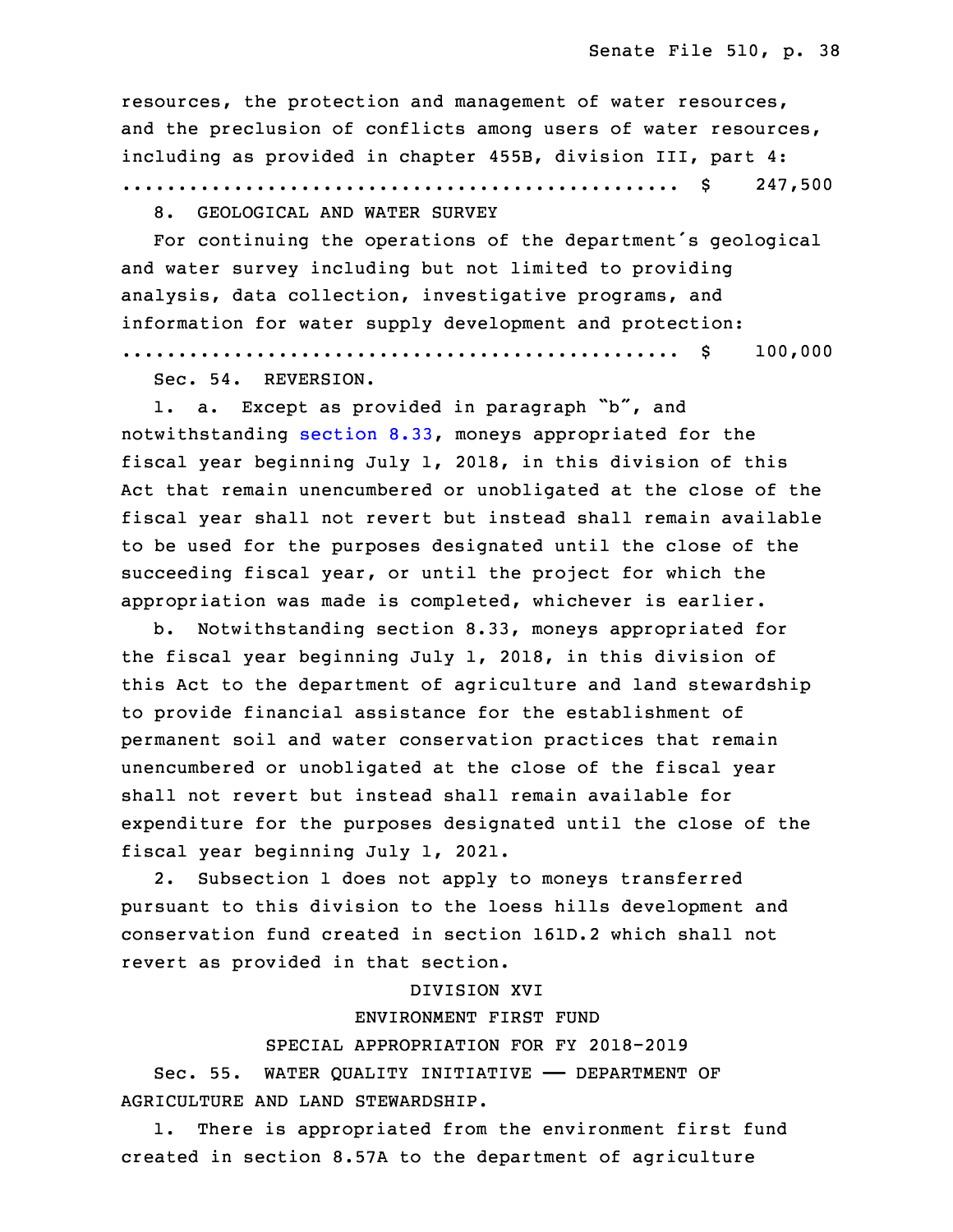resources, the protection and management of water resources, and the preclusion of conflicts among users of water resources, including as provided in chapter 455B, division III, part 4:

28 .................................................. \$ 247,500

8. GEOLOGICAL AND WATER SURVEY

For continuing the operations of the department's geological and water survey including but not limited to providing analysis, data collection, investigative programs, and information for water supply development and protection:

34 .................................................. \$ 100,000

Sec. 54. REVERSION.

 1. a. Except as provided in paragraph "b", and notwithstanding [section](https://www.legis.iowa.gov/docs/code/2017/8.33.pdf) 8.33, moneys appropriated for the fiscal year beginning July 1, 2018, in this division of this Act that remain unencumbered or unobligated at the close of the 5 fiscal year shall not revert but instead shall remain available to be used for the purposes designated until the close of the succeeding fiscal year, or until the project for which the appropriation was made is completed, whichever is earlier.

b. Notwithstanding section 8.33, moneys appropriated for the fiscal year beginning July 1, 2018, in this division of this Act to the department of agriculture and land stewardship to provide financial assistance for the establishment of permanent soil and water conservation practices that remain unencumbered or unobligated at the close of the fiscal year shall not revert but instead shall remain available for expenditure for the purposes designated until the close of the fiscal year beginning July 1, 2021.

2. Subsection 1 does not apply to moneys transferred pursuant to this division to the loess hills development and 20 conservation fund created in section 161D.2 which shall not revert as provided in that section.

#### DIVISION XVI

# 23 ENVIRONMENT FIRST FUND

SPECIAL APPROPRIATION FOR FY 2018-2019

Sec. 55. WATER QUALITY INITIATIVE - DEPARTMENT OF 26 AGRICULTURE AND LAND STEWARDSHIP.

1. There is appropriated from the environment first fund created in section 8.57A to the department of agriculture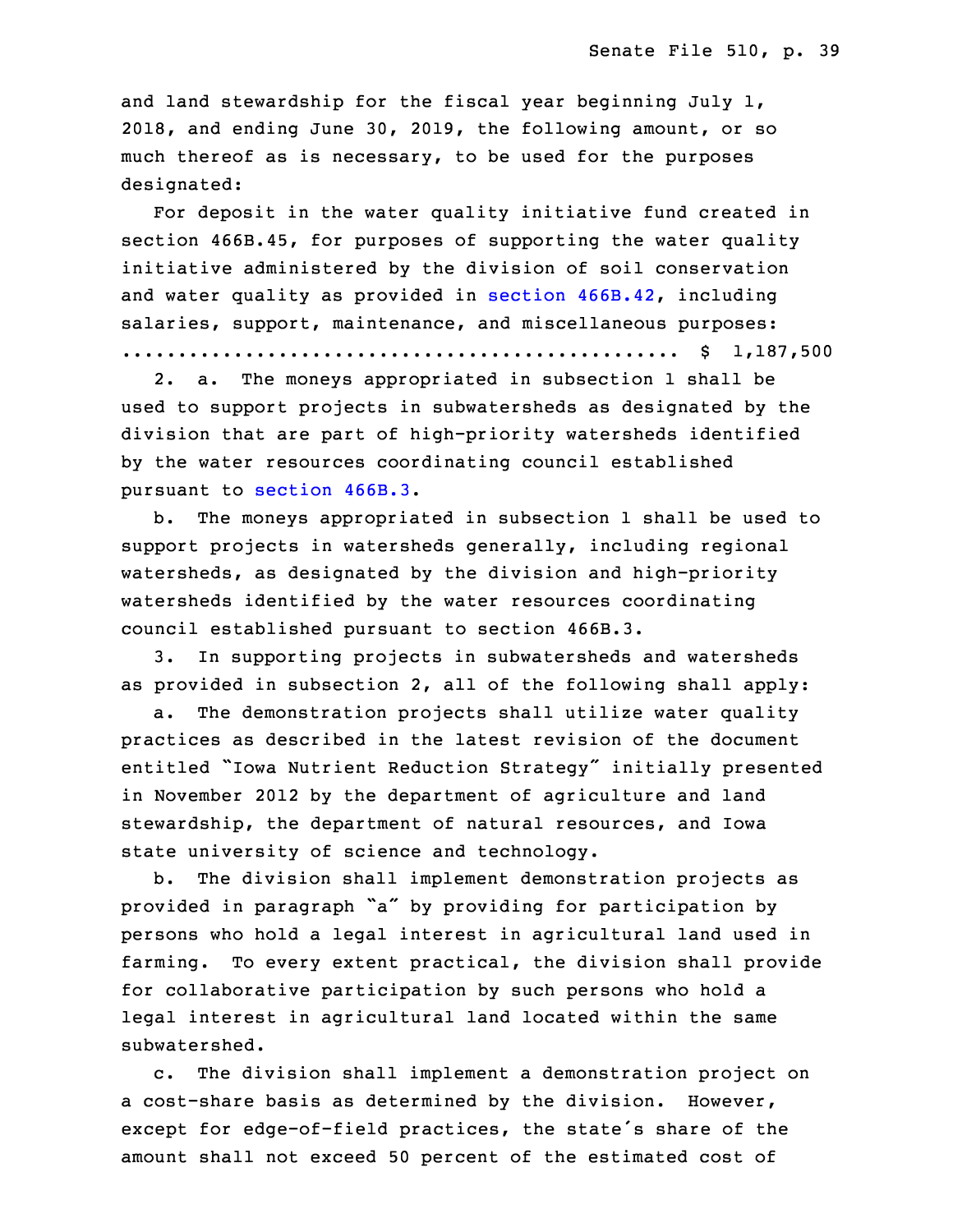and land stewardship for the fiscal year beginning July 1, 30 2018, and ending June 30, 2019, the following amount, or so much thereof as is necessary, to be used for the purposes designated:

For deposit in the water quality initiative fund created in section 466B.45, for purposes of supporting the water quality initiative administered by the division of soil conservation and water quality as provided in section [466B.42](https://www.legis.iowa.gov/docs/code/2017/466B.42.pdf), including salaries, support, maintenance, and miscellaneous purposes: 3 .................................................. \$ 1,187,500

 2. a. The moneys appropriated in subsection 1 shall be used to support projects in subwatersheds as designated by the 6 division that are part of high-priority watersheds identified by the water resources coordinating council established pursuant to [section](https://www.legis.iowa.gov/docs/code/2017/466B.3.pdf) 466B.3.

b. The moneys appropriated in subsection 1 shall be used to support projects in watersheds generally, including regional watersheds, as designated by the division and high-priority watersheds identified by the water resources coordinating council established pursuant to section 466B.3.

 3. In supporting projects in subwatersheds and watersheds as provided in subsection 2, all of the following shall apply:

a. The demonstration projects shall utilize water quality practices as described in the latest revision of the document entitled "Iowa Nutrient Reduction Strategy" initially presented in November 2012 by the department of agriculture and land stewardship, the department of natural resources, and Iowa state university of science and technology.

 b. The division shall implement demonstration projects as provided in paragraph "a" by providing for participation by persons who hold <sup>a</sup> legal interest in agricultural land used in farming. To every extent practical, the division shall provide for collaborative participation by such persons who hold a legal interest in agricultural land located within the same subwatershed.

c. The division shall implement a demonstration project on a cost-share basis as determined by the division. However, except for edge-of-field practices, the state's share of the amount shall not exceed 50 percent of the estimated cost of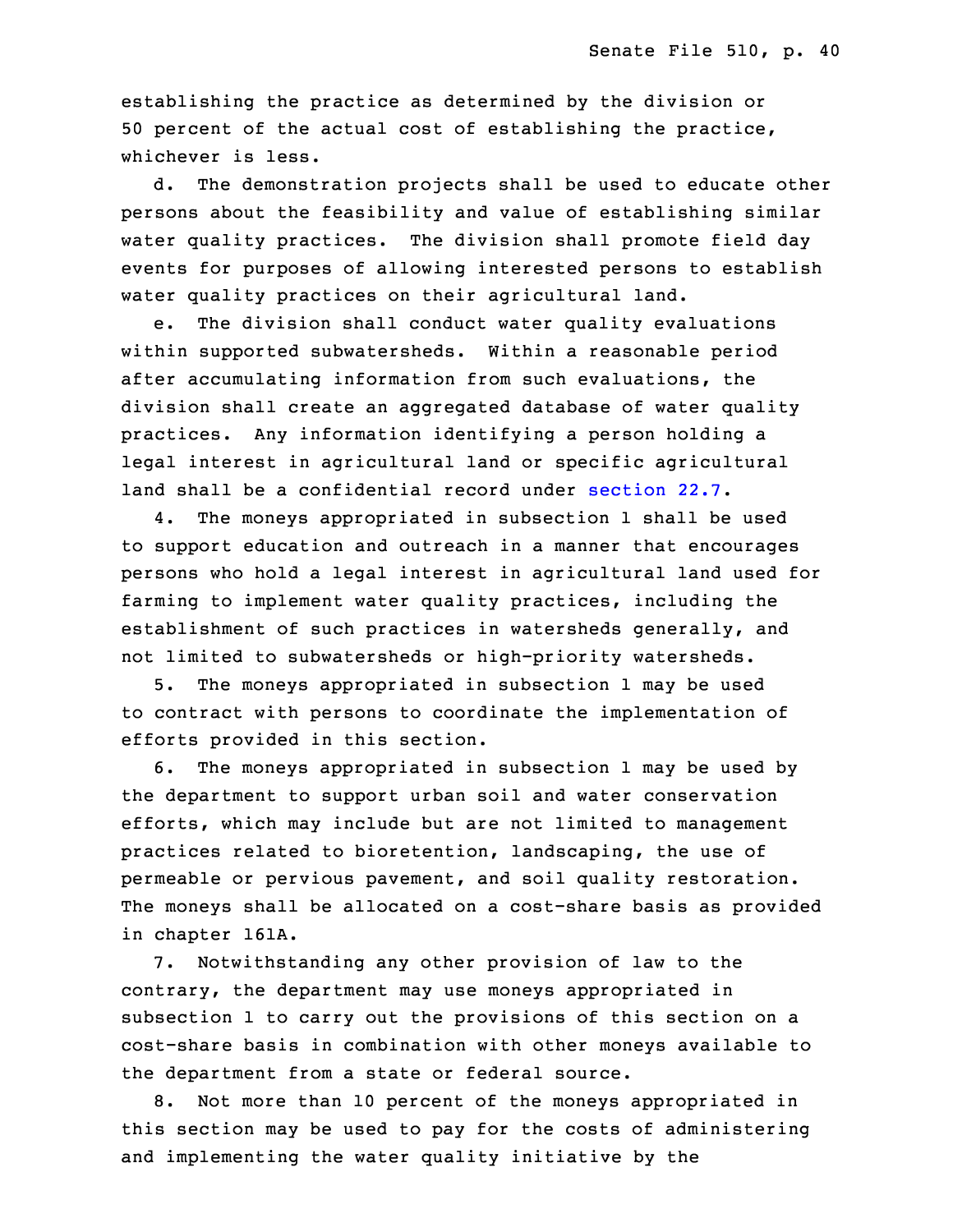establishing the practice as determined by the division or 50 percent of the actual cost of establishing the practice, whichever is less.

 d. The demonstration projects shall be used to educate other persons about the feasibility and value of establishing similar water quality practices. The division shall promote field day events for purposes of allowing interested persons to establish water quality practices on their agricultural land.

e. The division shall conduct water quality evaluations within supported subwatersheds. Within a reasonable period after accumulating information from such evaluations, the division shall create an aggregated database of water quality practices. Any information identifying a person holding a legal interest in agricultural land or specific agricultural land shall be <sup>a</sup> confidential record under [section](https://www.legis.iowa.gov/docs/code/2017/22.7.pdf) 22.7.

4. The moneys appropriated in subsection 1 shall be used to support education and outreach in <sup>a</sup> manner that encourages persons who hold a legal interest in agricultural land used for farming to implement water quality practices, including the establishment of such practices in watersheds generally, and not limited to subwatersheds or high-priority watersheds.

5. The moneys appropriated in subsection 1 may be used to contract with persons to coordinate the implementation of efforts provided in this section.

 6. The moneys appropriated in subsection 1 may be used by the department to support urban soil and water conservation efforts, which may include but are not limited to management practices related to bioretention, landscaping, the use of permeable or pervious pavement, and soil quality restoration. The moneys shall be allocated on a cost-share basis as provided in chapter 161A.

7. Notwithstanding any other provision of law to the contrary, the department may use moneys appropriated in subsection 1 to carry out the provisions of this section on a cost-share basis in combination with other moneys available to the department from a state or federal source.

8. Not more than 10 percent of the moneys appropriated in this section may be used to pay for the costs of administering and implementing the water quality initiative by the